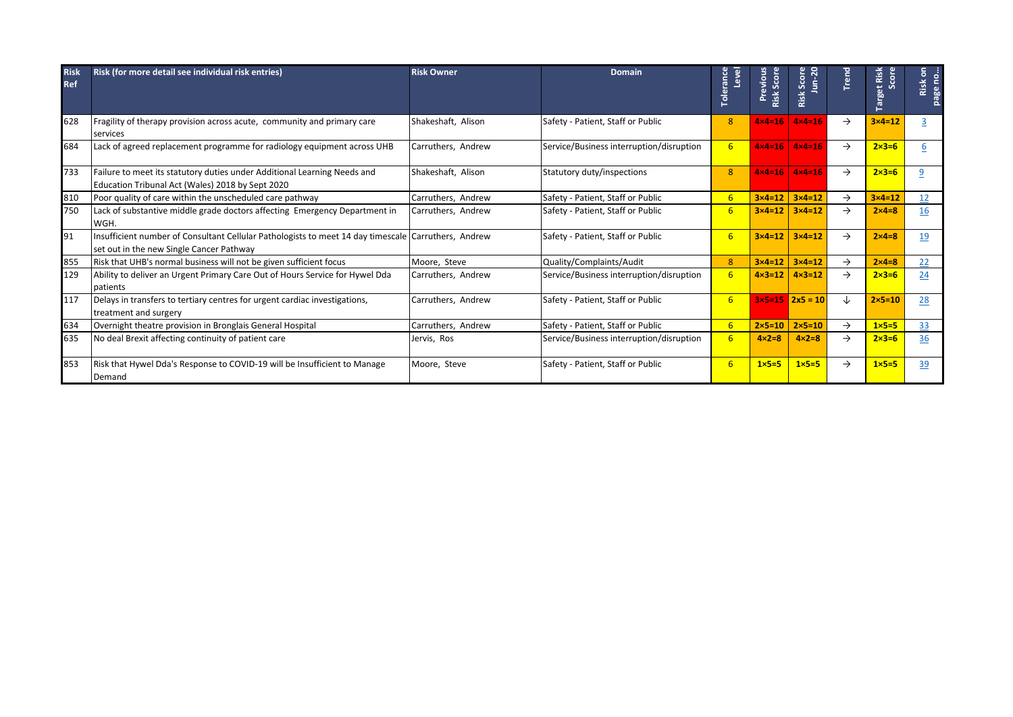| <b>Risk</b><br><b>Ref</b> | Risk (for more detail see individual risk entries)                                                                                              | <b>Risk Owner</b>  | <b>Domain</b>                            | Level<br>Toleranc | Risk Score<br>Previous | $n-2$<br>Risk Scor                  | Trend         | arget Risk<br>core<br>Ō. | ႅ<br>no<br>×.<br>isi<br>page |
|---------------------------|-------------------------------------------------------------------------------------------------------------------------------------------------|--------------------|------------------------------------------|-------------------|------------------------|-------------------------------------|---------------|--------------------------|------------------------------|
| 628                       | Fragility of therapy provision across acute, community and primary care<br>services                                                             | Shakeshaft, Alison | Safety - Patient, Staff or Public        | 8                 | $4 \times 4 = 16$      | $4 \times 4 = 16$                   | $\rightarrow$ | $3\times 4=12$           | $\overline{3}$               |
| 684                       | Lack of agreed replacement programme for radiology equipment across UHB                                                                         | Carruthers, Andrew | Service/Business interruption/disruption | 6                 | $4 \times 4 = 16$      | $4x4=16$                            | $\rightarrow$ | $2 \times 3 = 6$         | 6                            |
| 733                       | Failure to meet its statutory duties under Additional Learning Needs and<br>Education Tribunal Act (Wales) 2018 by Sept 2020                    | Shakeshaft, Alison | Statutory duty/inspections               | 8                 | $4 \times 4 = 16$      | $4x4=16$                            | $\rightarrow$ | $2 \times 3 = 6$         | 9                            |
| 810                       | Poor quality of care within the unscheduled care pathway                                                                                        | Carruthers, Andrew | Safety - Patient, Staff or Public        | 6                 | $3 \times 4 = 12$      | $3\times4=12$                       | $\rightarrow$ | $3 \times 4 = 12$        | 12 <sup>2</sup>              |
| 750                       | Lack of substantive middle grade doctors affecting Emergency Department in<br>WGH.                                                              | Carruthers, Andrew | Safety - Patient, Staff or Public        | 6                 | $3 \times 4 = 12$      | $3\times 4=12$                      | $\rightarrow$ | $2\times 4=8$            | 16                           |
| 91                        | Insufficient number of Consultant Cellular Pathologists to meet 14 day timescale Carruthers, Andrew<br>set out in the new Single Cancer Pathway |                    | Safety - Patient, Staff or Public        | 6                 | $3\times 4=12$         | $3 \times 4 = 12$                   | $\rightarrow$ | $2\times 4=8$            | 19                           |
| 855                       | Risk that UHB's normal business will not be given sufficient focus                                                                              | Moore, Steve       | Quality/Complaints/Audit                 | 8                 | $3 \times 4 = 12$      | $3 \times 4 = 12$                   | $\rightarrow$ | $2\times 4=8$            | 22                           |
| 129                       | Ability to deliver an Urgent Primary Care Out of Hours Service for Hywel Dda<br>patients                                                        | Carruthers, Andrew | Service/Business interruption/disruption | 6                 | $4 \times 3 = 12$      | $4 \times 3 = 12$                   | $\rightarrow$ | $2 \times 3 = 6$         | 24                           |
| 117                       | Delays in transfers to tertiary centres for urgent cardiac investigations,<br>treatment and surgery                                             | Carruthers, Andrew | Safety - Patient, Staff or Public        | 6                 |                        | $3 \times 5 = 15$ $2 \times 5 = 10$ | ↓             | $2\times 5=10$           | 28                           |
| 634                       | Overnight theatre provision in Bronglais General Hospital                                                                                       | Carruthers, Andrew | Safety - Patient, Staff or Public        | 6                 | $2 \times 5 = 10$      | $2 \times 5 = 10$                   | $\rightarrow$ | $1\times 5=5$            | 33                           |
| 635                       | No deal Brexit affecting continuity of patient care                                                                                             | Jervis, Ros        | Service/Business interruption/disruption | $6\overline{6}$   | $4 \times 2 = 8$       | $4 \times 2 = 8$                    | $\rightarrow$ | $2 \times 3 = 6$         | 36                           |
| 853                       | Risk that Hywel Dda's Response to COVID-19 will be Insufficient to Manage<br>Demand                                                             | Moore, Steve       | Safety - Patient, Staff or Public        | 6                 | $1 \times 5 = 5$       | $1\times 5=5$                       | $\rightarrow$ | $1x5=5$                  | 39                           |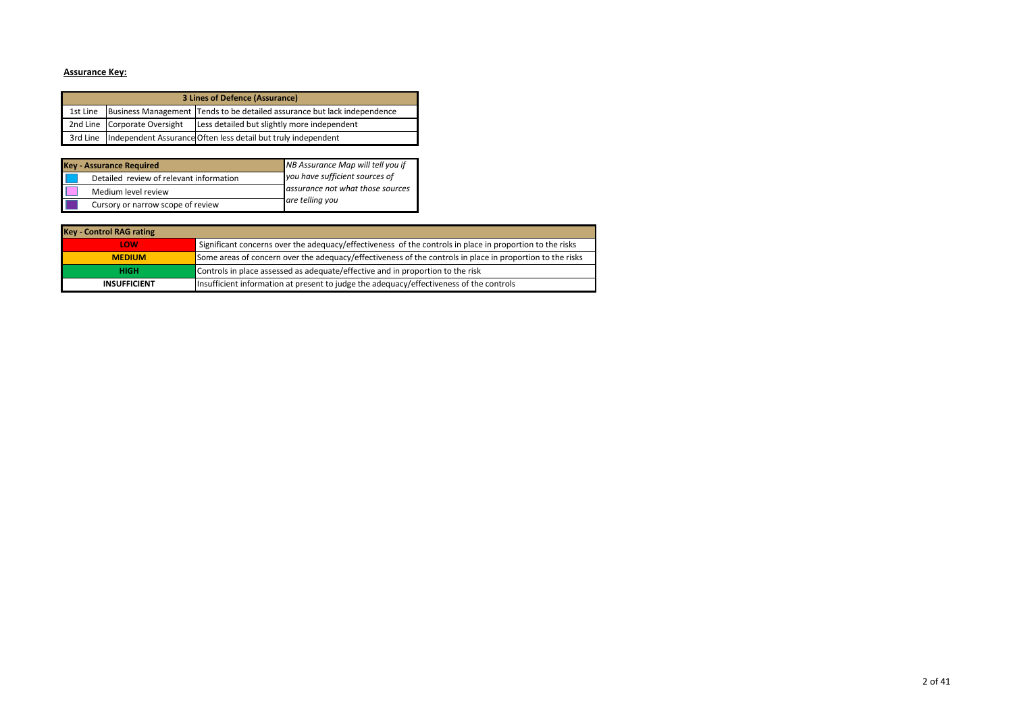# **Assurance Key:**

|          | 3 Lines of Defence (Assurance) |                                                                          |  |  |  |  |  |  |
|----------|--------------------------------|--------------------------------------------------------------------------|--|--|--|--|--|--|
| 1st Line |                                | Business Management Tends to be detailed assurance but lack independence |  |  |  |  |  |  |
|          | 2nd Line Corporate Oversight   | Less detailed but slightly more independent                              |  |  |  |  |  |  |
|          |                                | 3rd Line Independent Assurance Often less detail but truly independent   |  |  |  |  |  |  |

| <b>Key - Assurance Required</b>         | NB Assurance Map will tell you if |
|-----------------------------------------|-----------------------------------|
| Detailed review of relevant information | you have sufficient sources of    |
| Medium level review                     | assurance not what those sources  |
| Cursory or narrow scope of review       | are telling you                   |

| <b>Key - Control RAG rating</b> |                                                                                                           |
|---------------------------------|-----------------------------------------------------------------------------------------------------------|
| LOW                             | Significant concerns over the adequacy/effectiveness of the controls in place in proportion to the risks  |
| <b>MEDIUM</b>                   | Some areas of concern over the adequacy/effectiveness of the controls in place in proportion to the risks |
| <b>HIGH</b>                     | Controls in place assessed as adequate/effective and in proportion to the risk                            |
| <b>INSUFFICIENT</b>             | Insufficient information at present to judge the adequacy/effectiveness of the controls                   |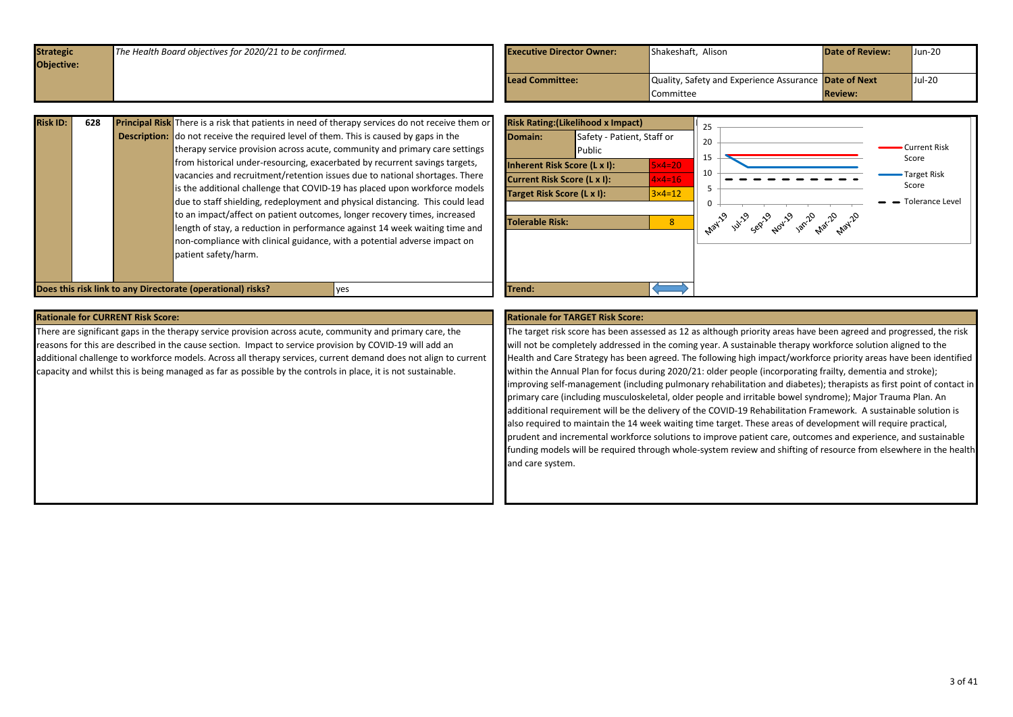<span id="page-2-0"></span>

| <b>Strategic</b> | The Health Board objectives for 2020/21 to be confirmed. | <b>Executive Director Owner:</b> | Shakeshaft, Alison                                    | <b>Date of Review:</b> | Jun-20 |
|------------------|----------------------------------------------------------|----------------------------------|-------------------------------------------------------|------------------------|--------|
| Objective:       |                                                          |                                  |                                                       |                        |        |
|                  |                                                          | <b>Lead Committee:</b>           | Quality, Safety and Experience Assurance Date of Next |                        | Jul-20 |
|                  |                                                          |                                  | <b>Committee</b>                                      | <b>Review:</b>         |        |
|                  |                                                          |                                  |                                                       |                        |        |

| <b>Risk ID:</b> | 628 | <b>Principal Risk</b> There is a risk that patients in need of therapy services do not receive them or |
|-----------------|-----|--------------------------------------------------------------------------------------------------------|
|                 |     | <b>Description:</b> do not receive the required level of them. This is caused by gaps in the           |
|                 |     | therapy service provision across acute, community and primary care settings                            |
|                 |     | from historical under-resourcing, exacerbated by recurrent savings targets,                            |
|                 |     | vacancies and recruitment/retention issues due to national shortages. There                            |
|                 |     | is the additional challenge that COVID-19 has placed upon workforce models                             |
|                 |     | due to staff shielding, redeployment and physical distancing. This could lead                          |
|                 |     | to an impact/affect on patient outcomes, longer recovery times, increased                              |
|                 |     | length of stay, a reduction in performance against 14 week waiting time and                            |
|                 |     | non-compliance with clinical guidance, with a potential adverse impact on                              |
|                 |     | patient safety/harm.                                                                                   |
|                 |     |                                                                                                        |
|                 |     |                                                                                                        |



There are significant gaps in the therapy service provision across acute, community and primary care, the reasons for this are described in the cause section. Impact to service provision by COVID-19 will add an additional challenge to workforce models. Across all therapy services, current demand does not align to current capacity and whilst this is being managed as far as possible by the controls in place, it is not sustainable.

The target risk score has been assessed as 12 as although priority areas have been agreed and progressed, the risk will not be completely addressed in the coming year. A sustainable therapy workforce solution aligned to the Health and Care Strategy has been agreed. The following high impact/workforce priority areas have been identified within the Annual Plan for focus during 2020/21: older people (incorporating frailty, dementia and stroke); improving self-management (including pulmonary rehabilitation and diabetes); therapists as first point of contact in primary care (including musculoskeletal, older people and irritable bowel syndrome); Major Trauma Plan. An additional requirement will be the delivery of the COVID-19 Rehabilitation Framework. A sustainable solution is also required to maintain the 14 week waiting time target. These areas of development will require practical, prudent and incremental workforce solutions to improve patient care, outcomes and experience, and sustainable funding models will be required through whole-system review and shifting of resource from elsewhere in the health and care system.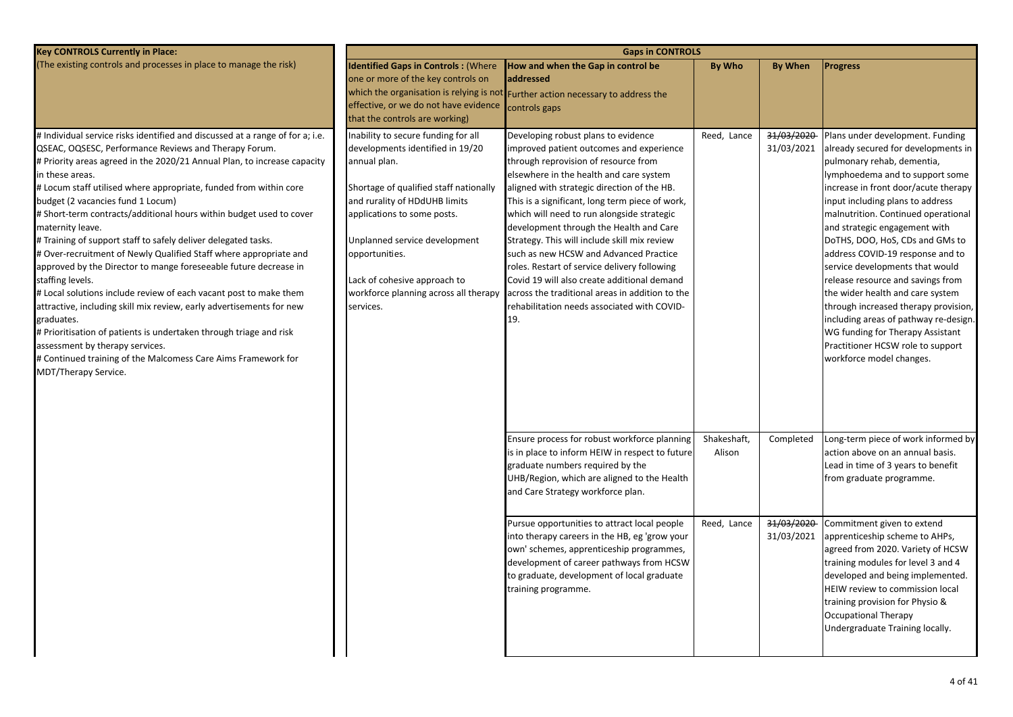| (The existing controls and processes in place to manage the risk)<br><b>Identified Gaps in Controls: (Where</b><br>How and when the Gap in control be<br><b>By Who</b><br><b>By When</b><br><b>Progress</b><br>one or more of the key controls on<br>addressed<br>which the organisation is relying is not Further action necessary to address the<br>effective, or we do not have evidence<br>controls gaps<br>that the controls are working)<br># Individual service risks identified and discussed at a range of for a; i.e.<br>Inability to secure funding for all<br>Developing robust plans to evidence<br>Reed, Lance<br>31/03/2020<br>Plans under development. Funding<br>QSEAC, OQSESC, Performance Reviews and Therapy Forum.<br>developments identified in 19/20<br>31/03/2021<br>already secured for developments in<br>improved patient outcomes and experience<br># Priority areas agreed in the 2020/21 Annual Plan, to increase capacity<br>through reprovision of resource from<br>pulmonary rehab, dementia,<br>annual plan.<br>in these areas.<br>elsewhere in the health and care system<br>lymphoedema and to support some<br>Shortage of qualified staff nationally<br># Locum staff utilised where appropriate, funded from within core<br>aligned with strategic direction of the HB.<br>increase in front door/acute therapy<br>budget (2 vacancies fund 1 Locum)<br>and rurality of HDdUHB limits<br>This is a significant, long term piece of work,<br>input including plans to address<br># Short-term contracts/additional hours within budget used to cover<br>which will need to run alongside strategic<br>malnutrition. Continued operational<br>applications to some posts.<br>maternity leave.<br>development through the Health and Care<br>and strategic engagement with<br># Training of support staff to safely deliver delegated tasks.<br>Unplanned service development<br>Strategy. This will include skill mix review<br>DoTHS, DOO, HoS, CDs and GMs to<br># Over-recruitment of Newly Qualified Staff where appropriate and<br>such as new HCSW and Advanced Practice<br>address COVID-19 response and to<br>opportunities.<br>approved by the Director to mange foreseeable future decrease in<br>roles. Restart of service delivery following<br>service developments that would<br>staffing levels.<br>Lack of cohesive approach to<br>Covid 19 will also create additional demand<br>release resource and savings from<br># Local solutions include review of each vacant post to make them<br>workforce planning across all therapy<br>across the traditional areas in addition to the<br>the wider health and care system<br>attractive, including skill mix review, early advertisements for new<br>rehabilitation needs associated with COVID-<br>through increased therapy provision,<br>services.<br>19.<br>including areas of pathway re-design.<br>graduates.<br># Prioritisation of patients is undertaken through triage and risk<br>WG funding for Therapy Assistant<br>Practitioner HCSW role to support<br>assessment by therapy services.<br># Continued training of the Malcomess Care Aims Framework for<br>workforce model changes.<br>MDT/Therapy Service.<br>Ensure process for robust workforce planning<br>Shakeshaft,<br>Long-term piece of work informed by<br>Completed<br>is in place to inform HEIW in respect to future<br>Alison<br>action above on an annual basis.<br>graduate numbers required by the<br>Lead in time of 3 years to benefit<br>UHB/Region, which are aligned to the Health<br>from graduate programme.<br>and Care Strategy workforce plan.<br>31/03/2020<br>Commitment given to extend<br>Pursue opportunities to attract local people<br>Reed, Lance<br>into therapy careers in the HB, eg 'grow your<br>31/03/2021<br>apprenticeship scheme to AHPs,<br>agreed from 2020. Variety of HCSW<br>own' schemes, apprenticeship programmes,<br>development of career pathways from HCSW<br>training modules for level 3 and 4<br>to graduate, development of local graduate<br>developed and being implemented.<br>training programme.<br>HEIW review to commission local<br>training provision for Physio &<br><b>Occupational Therapy</b><br>Undergraduate Training locally. | <b>Key CONTROLS Currently in Place:</b> | <b>Gaps in CONTROLS</b> |  |  |  |  |  |
|-----------------------------------------------------------------------------------------------------------------------------------------------------------------------------------------------------------------------------------------------------------------------------------------------------------------------------------------------------------------------------------------------------------------------------------------------------------------------------------------------------------------------------------------------------------------------------------------------------------------------------------------------------------------------------------------------------------------------------------------------------------------------------------------------------------------------------------------------------------------------------------------------------------------------------------------------------------------------------------------------------------------------------------------------------------------------------------------------------------------------------------------------------------------------------------------------------------------------------------------------------------------------------------------------------------------------------------------------------------------------------------------------------------------------------------------------------------------------------------------------------------------------------------------------------------------------------------------------------------------------------------------------------------------------------------------------------------------------------------------------------------------------------------------------------------------------------------------------------------------------------------------------------------------------------------------------------------------------------------------------------------------------------------------------------------------------------------------------------------------------------------------------------------------------------------------------------------------------------------------------------------------------------------------------------------------------------------------------------------------------------------------------------------------------------------------------------------------------------------------------------------------------------------------------------------------------------------------------------------------------------------------------------------------------------------------------------------------------------------------------------------------------------------------------------------------------------------------------------------------------------------------------------------------------------------------------------------------------------------------------------------------------------------------------------------------------------------------------------------------------------------------------------------------------------------------------------------------------------------------------------------------------------------------------------------------------------------------------------------------------------------------------------------------------------------------------------------------------------------------------------------------------------------------------------------------------------------------------------------------------------------------------------------------------------------------------------------------------------------------------------------------------------------------------------------------------------------------------------------------------------------------------------------------------------------------------------------------------------------------------------------------------------------------------------------------------------------------------------------------------------------------------------------------------------------------------------------------------------------------------------------------------------|-----------------------------------------|-------------------------|--|--|--|--|--|
|                                                                                                                                                                                                                                                                                                                                                                                                                                                                                                                                                                                                                                                                                                                                                                                                                                                                                                                                                                                                                                                                                                                                                                                                                                                                                                                                                                                                                                                                                                                                                                                                                                                                                                                                                                                                                                                                                                                                                                                                                                                                                                                                                                                                                                                                                                                                                                                                                                                                                                                                                                                                                                                                                                                                                                                                                                                                                                                                                                                                                                                                                                                                                                                                                                                                                                                                                                                                                                                                                                                                                                                                                                                                                                                                                                                                                                                                                                                                                                                                                                                                                                                                                                                                                                                                             |                                         |                         |  |  |  |  |  |
|                                                                                                                                                                                                                                                                                                                                                                                                                                                                                                                                                                                                                                                                                                                                                                                                                                                                                                                                                                                                                                                                                                                                                                                                                                                                                                                                                                                                                                                                                                                                                                                                                                                                                                                                                                                                                                                                                                                                                                                                                                                                                                                                                                                                                                                                                                                                                                                                                                                                                                                                                                                                                                                                                                                                                                                                                                                                                                                                                                                                                                                                                                                                                                                                                                                                                                                                                                                                                                                                                                                                                                                                                                                                                                                                                                                                                                                                                                                                                                                                                                                                                                                                                                                                                                                                             |                                         |                         |  |  |  |  |  |
|                                                                                                                                                                                                                                                                                                                                                                                                                                                                                                                                                                                                                                                                                                                                                                                                                                                                                                                                                                                                                                                                                                                                                                                                                                                                                                                                                                                                                                                                                                                                                                                                                                                                                                                                                                                                                                                                                                                                                                                                                                                                                                                                                                                                                                                                                                                                                                                                                                                                                                                                                                                                                                                                                                                                                                                                                                                                                                                                                                                                                                                                                                                                                                                                                                                                                                                                                                                                                                                                                                                                                                                                                                                                                                                                                                                                                                                                                                                                                                                                                                                                                                                                                                                                                                                                             |                                         |                         |  |  |  |  |  |
|                                                                                                                                                                                                                                                                                                                                                                                                                                                                                                                                                                                                                                                                                                                                                                                                                                                                                                                                                                                                                                                                                                                                                                                                                                                                                                                                                                                                                                                                                                                                                                                                                                                                                                                                                                                                                                                                                                                                                                                                                                                                                                                                                                                                                                                                                                                                                                                                                                                                                                                                                                                                                                                                                                                                                                                                                                                                                                                                                                                                                                                                                                                                                                                                                                                                                                                                                                                                                                                                                                                                                                                                                                                                                                                                                                                                                                                                                                                                                                                                                                                                                                                                                                                                                                                                             |                                         |                         |  |  |  |  |  |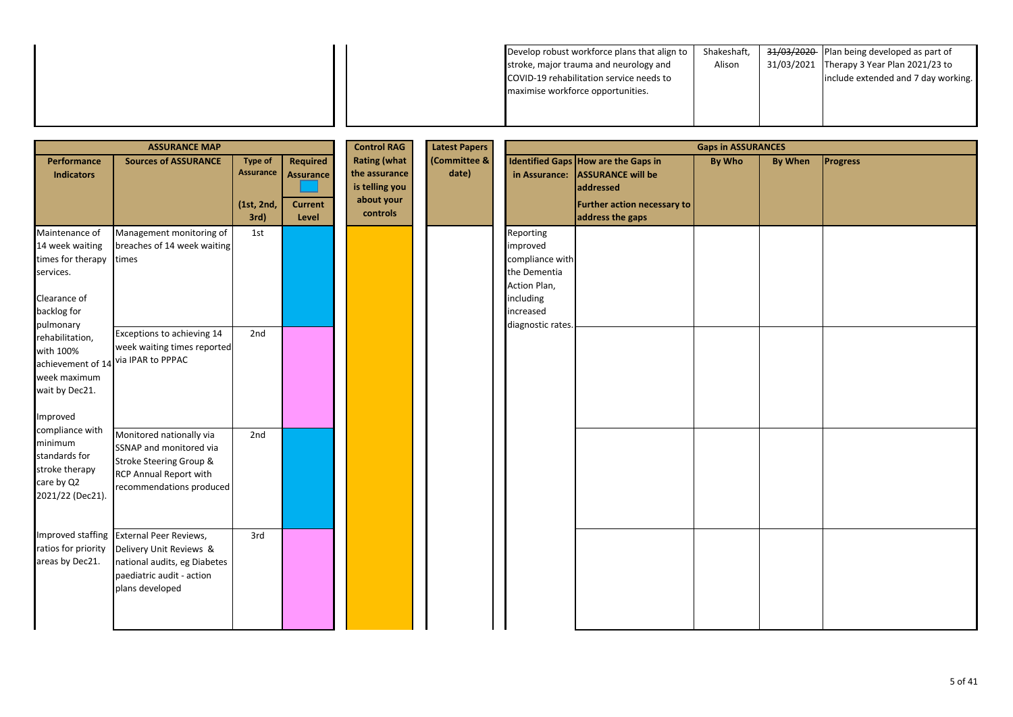| 31/03/2021 Therapy 3 Year Plan 2021/23 to<br>Alison<br>stroke, major trauma and neurology and<br>include extended and 7 day working.<br>COVID-19 rehabilitation service needs to<br>maximise workforce opportunities. |  |
|-----------------------------------------------------------------------------------------------------------------------------------------------------------------------------------------------------------------------|--|
|                                                                                                                                                                                                                       |  |
|                                                                                                                                                                                                                       |  |
|                                                                                                                                                                                                                       |  |

| <b>ASSURANCE MAP</b>                                                                                            |                                                                                                                                                     |                                                   |                                                         | <b>Control RAG</b>                                                               | <b>Latest Papers</b>  |                                                                                                                         |                                                                                                                                               | <b>Gaps in ASSURANCES</b> |                |                 |
|-----------------------------------------------------------------------------------------------------------------|-----------------------------------------------------------------------------------------------------------------------------------------------------|---------------------------------------------------|---------------------------------------------------------|----------------------------------------------------------------------------------|-----------------------|-------------------------------------------------------------------------------------------------------------------------|-----------------------------------------------------------------------------------------------------------------------------------------------|---------------------------|----------------|-----------------|
| Performance<br><b>Indicators</b>                                                                                | <b>Sources of ASSURANCE</b>                                                                                                                         | <b>Type of</b><br>Assurance<br>(1st, 2nd,<br>3rd) | Required<br><b>Assurance</b><br><b>Current</b><br>Level | <b>Rating (what</b><br>the assurance<br>is telling you<br>about your<br>controls | (Committee &<br>date) |                                                                                                                         | <b>Identified Gaps How are the Gaps in</b><br>in Assurance: ASSURANCE will be<br>addressed<br>Further action necessary to<br>address the gaps | By Who                    | <b>By When</b> | <b>Progress</b> |
| Maintenance of<br>14 week waiting<br>times for therapy<br>services.<br>Clearance of<br>backlog for<br>pulmonary | Management monitoring of<br>breaches of 14 week waiting<br>times                                                                                    | 1st                                               |                                                         |                                                                                  |                       | Reporting<br>improved<br>compliance with<br>the Dementia<br>Action Plan,<br>including<br>increased<br>diagnostic rates. |                                                                                                                                               |                           |                |                 |
| rehabilitation,<br>with 100%<br>week maximum<br>wait by Dec21.<br>Improved                                      | Exceptions to achieving 14<br>week waiting times reported<br>achievement of 14 via IPAR to PPPAC                                                    | 2nd                                               |                                                         |                                                                                  |                       |                                                                                                                         |                                                                                                                                               |                           |                |                 |
| compliance with<br>minimum<br>standards for<br>stroke therapy<br>care by Q2<br>2021/22 (Dec21).                 | Monitored nationally via<br>SSNAP and monitored via<br>Stroke Steering Group &<br>RCP Annual Report with<br>recommendations produced                | 2nd                                               |                                                         |                                                                                  |                       |                                                                                                                         |                                                                                                                                               |                           |                |                 |
| ratios for priority<br>areas by Dec21.                                                                          | Improved staffing External Peer Reviews,<br>Delivery Unit Reviews &<br>national audits, eg Diabetes<br>paediatric audit - action<br>plans developed | 3rd                                               |                                                         |                                                                                  |                       |                                                                                                                         |                                                                                                                                               |                           |                |                 |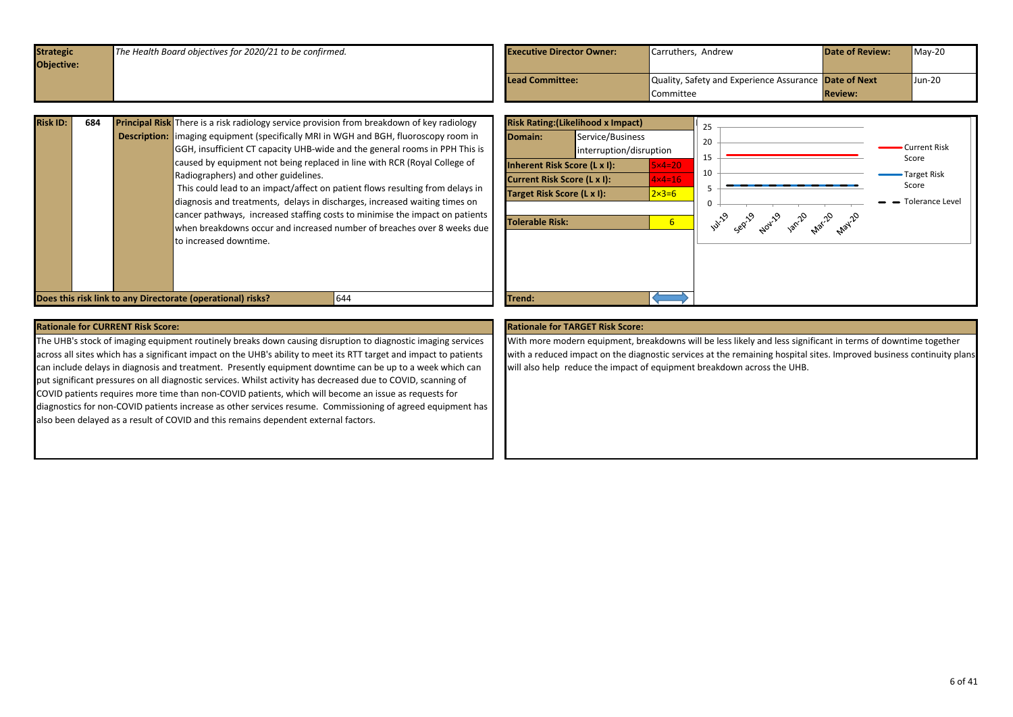<span id="page-5-0"></span>

| <b>Strategic</b>  | The Health Board objectives for 2020/21 to be confirmed. | <b>Executive Director Owner:</b> | Carruthers, Andrew                                    | <b>Date of Review:</b> | $May-20$ |
|-------------------|----------------------------------------------------------|----------------------------------|-------------------------------------------------------|------------------------|----------|
| <b>Objective:</b> |                                                          |                                  |                                                       |                        |          |
|                   |                                                          | Lead Committee:                  | Quality, Safety and Experience Assurance Date of Next |                        | Jun-20   |
|                   |                                                          |                                  | <b>Committee</b>                                      | <b>Review:</b>         |          |

| 684 |                                                                             | <b>Risk Ratin</b>                                                                                                                                                                                                                                                                                                                                                                                                                                                                                                                                                                              |
|-----|-----------------------------------------------------------------------------|------------------------------------------------------------------------------------------------------------------------------------------------------------------------------------------------------------------------------------------------------------------------------------------------------------------------------------------------------------------------------------------------------------------------------------------------------------------------------------------------------------------------------------------------------------------------------------------------|
|     |                                                                             | Domain:                                                                                                                                                                                                                                                                                                                                                                                                                                                                                                                                                                                        |
|     | GGH, insufficient CT capacity UHB-wide and the general rooms in PPH This is |                                                                                                                                                                                                                                                                                                                                                                                                                                                                                                                                                                                                |
|     | caused by equipment not being replaced in line with RCR (Roval College of   | <b>Inherent I</b>                                                                                                                                                                                                                                                                                                                                                                                                                                                                                                                                                                              |
|     |                                                                             | <b>Current R</b>                                                                                                                                                                                                                                                                                                                                                                                                                                                                                                                                                                               |
|     |                                                                             | <b>Target Ris</b>                                                                                                                                                                                                                                                                                                                                                                                                                                                                                                                                                                              |
|     |                                                                             |                                                                                                                                                                                                                                                                                                                                                                                                                                                                                                                                                                                                |
|     |                                                                             | <b>Tolerable</b>                                                                                                                                                                                                                                                                                                                                                                                                                                                                                                                                                                               |
|     |                                                                             |                                                                                                                                                                                                                                                                                                                                                                                                                                                                                                                                                                                                |
|     |                                                                             |                                                                                                                                                                                                                                                                                                                                                                                                                                                                                                                                                                                                |
|     |                                                                             |                                                                                                                                                                                                                                                                                                                                                                                                                                                                                                                                                                                                |
|     |                                                                             |                                                                                                                                                                                                                                                                                                                                                                                                                                                                                                                                                                                                |
|     |                                                                             |                                                                                                                                                                                                                                                                                                                                                                                                                                                                                                                                                                                                |
|     |                                                                             | <b>Principal Risk</b> There is a risk radiology service provision from breakdown of key radiology<br><b>Description:</b> limaging equipment (specifically MRI in WGH and BGH, fluoroscopy room in<br>Radiographers) and other guidelines.<br>This could lead to an impact/affect on patient flows resulting from delays in<br>diagnosis and treatments, delays in discharges, increased waiting times on<br>cancer pathways, increased staffing costs to minimise the impact on patients<br>when breakdowns occur and increased number of breaches over 8 weeks due<br>Ito increased downtime. |



The UHB's stock of imaging equipment routinely breaks down causing disruption to diagnostic imaging services across all sites which has a significant impact on the UHB's ability to meet its RTT target and impact to patients can include delays in diagnosis and treatment. Presently equipment downtime can be up to a week which can put significant pressures on all diagnostic services. Whilst activity has decreased due to COVID, scanning of COVID patients requires more time than non-COVID patients, which will become an issue as requests for diagnostics for non-COVID patients increase as other services resume. Commissioning of agreed equipment has also been delayed as a result of COVID and this remains dependent external factors.

With more modern equipment, breakdowns will be less likely and less significant in terms of downtime together with a reduced impact on the diagnostic services at the remaining hospital sites. Improved business continuity plans will also help reduce the impact of equipment breakdown across the UHB.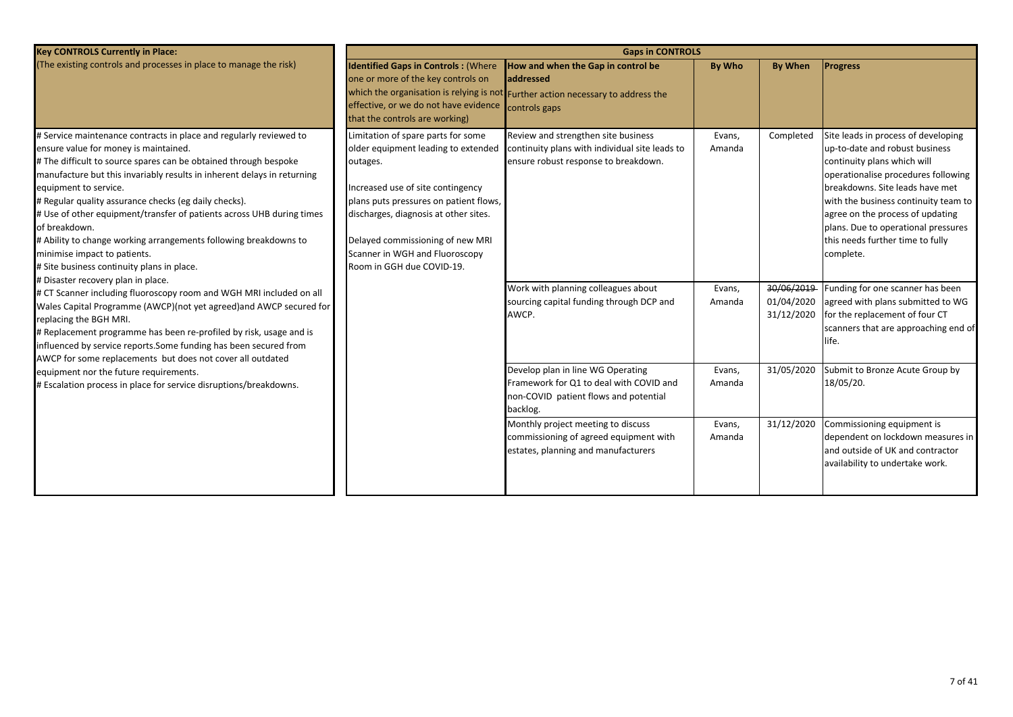| <b>Key CONTROLS Currently in Place:</b>                                                                                                                                                                                                                                                                                                                                                                                                                                                                                                                                                                                        | <b>Gaps in CONTROLS</b>                                                                                                                                                                                                                                                                                          |                                                                                                                                      |                  |                                        |                                                                                                                                                                                                                                                                                                                                                    |  |
|--------------------------------------------------------------------------------------------------------------------------------------------------------------------------------------------------------------------------------------------------------------------------------------------------------------------------------------------------------------------------------------------------------------------------------------------------------------------------------------------------------------------------------------------------------------------------------------------------------------------------------|------------------------------------------------------------------------------------------------------------------------------------------------------------------------------------------------------------------------------------------------------------------------------------------------------------------|--------------------------------------------------------------------------------------------------------------------------------------|------------------|----------------------------------------|----------------------------------------------------------------------------------------------------------------------------------------------------------------------------------------------------------------------------------------------------------------------------------------------------------------------------------------------------|--|
| (The existing controls and processes in place to manage the risk)                                                                                                                                                                                                                                                                                                                                                                                                                                                                                                                                                              | <b>Identified Gaps in Controls: (Where</b><br>one or more of the key controls on<br>effective, or we do not have evidence controls gaps<br>that the controls are working)                                                                                                                                        | How and when the Gap in control be<br>laddressed<br>which the organisation is relying is not Further action necessary to address the | By Who           | <b>By When</b>                         | <b>Progress</b>                                                                                                                                                                                                                                                                                                                                    |  |
| # Service maintenance contracts in place and regularly reviewed to<br>ensure value for money is maintained.<br># The difficult to source spares can be obtained through bespoke<br>manufacture but this invariably results in inherent delays in returning<br>equipment to service.<br># Regular quality assurance checks (eg daily checks).<br># Use of other equipment/transfer of patients across UHB during times<br>of breakdown.<br># Ability to change working arrangements following breakdowns to<br>minimise impact to patients.<br># Site business continuity plans in place.<br># Disaster recovery plan in place. | Limitation of spare parts for some<br>older equipment leading to extended<br>outages.<br>Increased use of site contingency<br>plans puts pressures on patient flows,<br>discharges, diagnosis at other sites.<br>Delayed commissioning of new MRI<br>Scanner in WGH and Fluoroscopy<br>Room in GGH due COVID-19. | Review and strengthen site business<br>continuity plans with individual site leads to<br>ensure robust response to breakdown.        | Evans,<br>Amanda | Completed                              | Site leads in process of developing<br>up-to-date and robust business<br>continuity plans which will<br>operationalise procedures following<br>breakdowns. Site leads have met<br>with the business continuity team to<br>agree on the process of updating<br>plans. Due to operational pressures<br>this needs further time to fully<br>complete. |  |
| # CT Scanner including fluoroscopy room and WGH MRI included on all<br>Wales Capital Programme (AWCP)(not yet agreed) and AWCP secured for<br>replacing the BGH MRI.<br># Replacement programme has been re-profiled by risk, usage and is<br>influenced by service reports. Some funding has been secured from<br>AWCP for some replacements but does not cover all outdated                                                                                                                                                                                                                                                  |                                                                                                                                                                                                                                                                                                                  | Work with planning colleagues about<br>sourcing capital funding through DCP and<br>AWCP.                                             | Evans,<br>Amanda | 30/06/2019<br>01/04/2020<br>31/12/2020 | Funding for one scanner has been<br>agreed with plans submitted to WG<br>for the replacement of four CT<br>scanners that are approaching end of<br>life.                                                                                                                                                                                           |  |
| equipment nor the future requirements.<br># Escalation process in place for service disruptions/breakdowns.                                                                                                                                                                                                                                                                                                                                                                                                                                                                                                                    |                                                                                                                                                                                                                                                                                                                  | Develop plan in line WG Operating<br>Framework for Q1 to deal with COVID and<br>non-COVID patient flows and potential<br>backlog.    | Evans,<br>Amanda | 31/05/2020                             | Submit to Bronze Acute Group by<br>18/05/20.                                                                                                                                                                                                                                                                                                       |  |
|                                                                                                                                                                                                                                                                                                                                                                                                                                                                                                                                                                                                                                |                                                                                                                                                                                                                                                                                                                  | Monthly project meeting to discuss<br>commissioning of agreed equipment with<br>estates, planning and manufacturers                  | Evans,<br>Amanda | 31/12/2020                             | Commissioning equipment is<br>dependent on lockdown measures in<br>and outside of UK and contractor<br>availability to undertake work.                                                                                                                                                                                                             |  |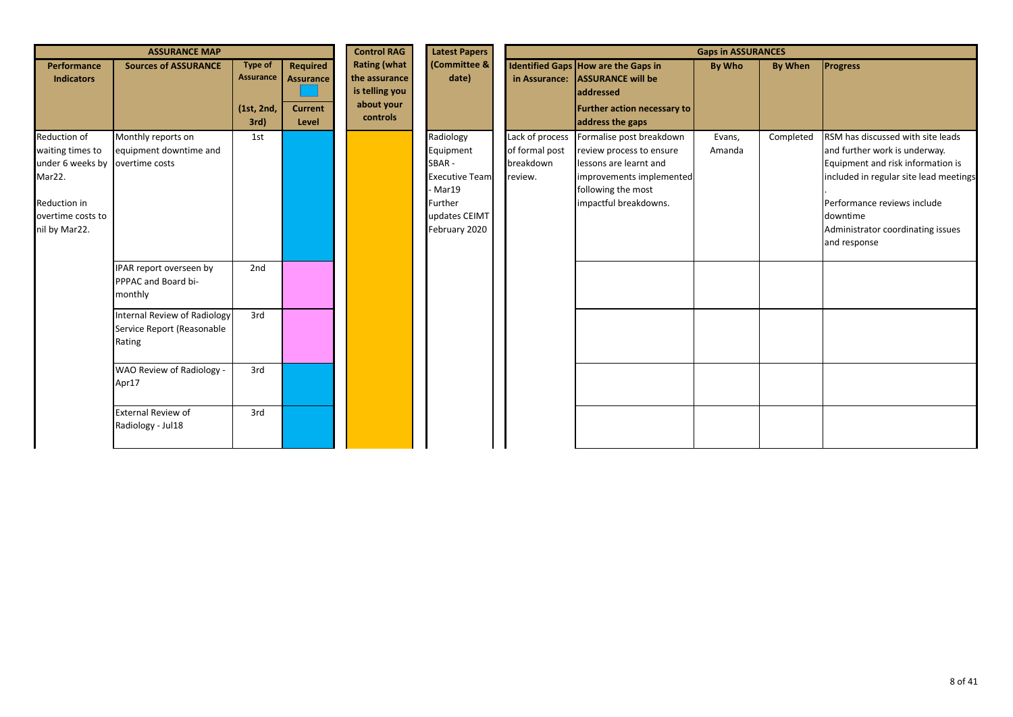|                                                                                                                      | <b>ASSURANCE MAP</b>                                                        |                                            |                                                                | <b>Control RAG</b>                                                               | <b>Latest Papers</b>                                                                                             | <b>Gaps in ASSURANCES</b>                                 |                                                                                                                                                           |                  |           |                                                                                                                                                                                                                                                   |
|----------------------------------------------------------------------------------------------------------------------|-----------------------------------------------------------------------------|--------------------------------------------|----------------------------------------------------------------|----------------------------------------------------------------------------------|------------------------------------------------------------------------------------------------------------------|-----------------------------------------------------------|-----------------------------------------------------------------------------------------------------------------------------------------------------------|------------------|-----------|---------------------------------------------------------------------------------------------------------------------------------------------------------------------------------------------------------------------------------------------------|
| <b>Performance</b><br><b>Indicators</b>                                                                              | <b>Sources of ASSURANCE</b>                                                 | Type of<br>Assurance<br>(1st, 2nd,<br>3rd) | <b>Required</b><br><b>Assurance</b><br><b>Current</b><br>Level | <b>Rating (what</b><br>the assurance<br>is telling you<br>about your<br>controls | (Committee &<br>date)                                                                                            |                                                           | Identified Gaps How are the Gaps in<br>in Assurance: ASSURANCE will be<br><b>laddressed</b><br><b>Further action necessary to</b><br>address the gaps     | By Who           | By When   | <b>Progress</b>                                                                                                                                                                                                                                   |
| Reduction of<br>waiting times to<br>under 6 weeks by<br>Mar22.<br>Reduction in<br>overtime costs to<br>nil by Mar22. | Monthly reports on<br>equipment downtime and<br>overtime costs              | 1st                                        |                                                                |                                                                                  | Radiology<br>Equipment<br>SBAR-<br><b>Executive Team</b><br>- Mar19<br>Further<br>updates CEIMT<br>February 2020 | Lack of process<br>of formal post<br>breakdown<br>review. | Formalise post breakdown<br>review process to ensure<br>lessons are learnt and<br>improvements implemented<br>following the most<br>impactful breakdowns. | Evans,<br>Amanda | Completed | RSM has discussed with site leads<br>and further work is underway.<br>Equipment and risk information is<br>included in regular site lead meetings<br>Performance reviews include<br>downtime<br>Administrator coordinating issues<br>and response |
|                                                                                                                      | IPAR report overseen by<br>PPPAC and Board bi-<br>monthly                   | 2nd                                        |                                                                |                                                                                  |                                                                                                                  |                                                           |                                                                                                                                                           |                  |           |                                                                                                                                                                                                                                                   |
|                                                                                                                      | <b>Internal Review of Radiology</b><br>Service Report (Reasonable<br>Rating | 3rd                                        |                                                                |                                                                                  |                                                                                                                  |                                                           |                                                                                                                                                           |                  |           |                                                                                                                                                                                                                                                   |
|                                                                                                                      | WAO Review of Radiology -<br>Apr17                                          | 3rd                                        |                                                                |                                                                                  |                                                                                                                  |                                                           |                                                                                                                                                           |                  |           |                                                                                                                                                                                                                                                   |
|                                                                                                                      | <b>External Review of</b><br>Radiology - Jul18                              | 3rd                                        |                                                                |                                                                                  |                                                                                                                  |                                                           |                                                                                                                                                           |                  |           |                                                                                                                                                                                                                                                   |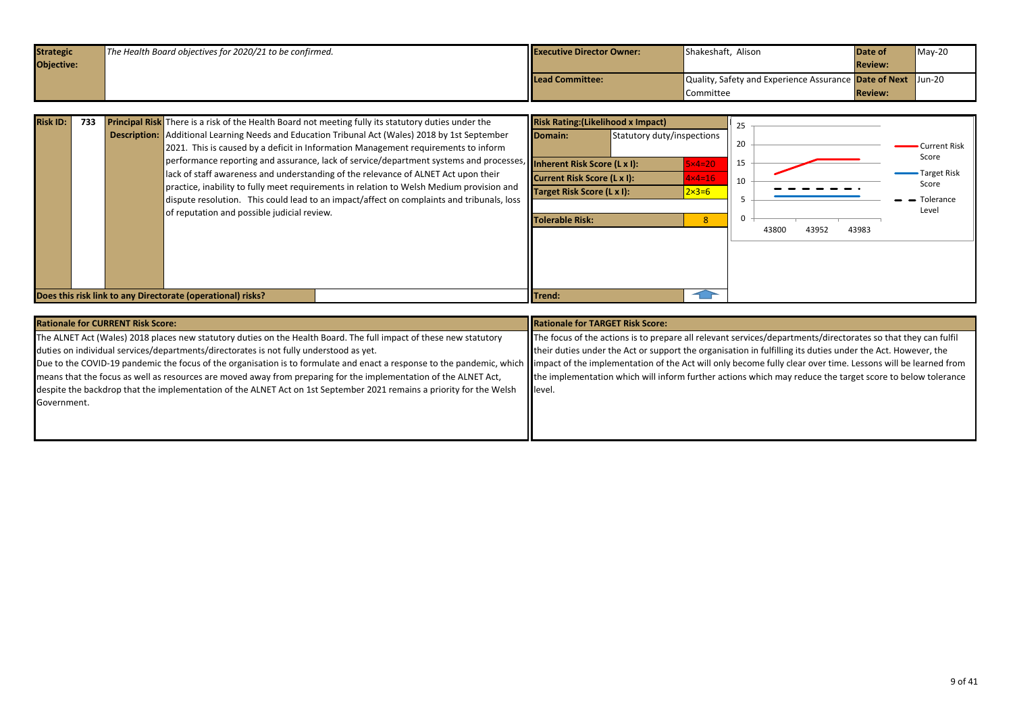<span id="page-8-0"></span>

| <b>Strategic</b>  | The Health Board objectives for 2020/21 to be confirmed. | <b>Executive Director Owner:</b> | Shakeshaft, Alison                                           | Date of        | $Mav-20$ |
|-------------------|----------------------------------------------------------|----------------------------------|--------------------------------------------------------------|----------------|----------|
| <b>Objective:</b> |                                                          |                                  |                                                              | <b>Review:</b> |          |
|                   |                                                          | Lead Committee:                  | Quality, Safety and Experience Assurance Date of Next Jun-20 |                |          |
|                   |                                                          |                                  | Committee                                                    | <b>Review:</b> |          |

| <b>Risk ID:</b> | 733 | <b>Principal Risk</b> There is a risk of the Health Board not meeting fully its statutory duties under the<br><b>Description:</b> Additional Learning Needs and Education Tribunal Act (Wales) 2018 by 1st September<br>2021. This is caused by a deficit in Information Management requirements to inform<br>performance reporting and assurance, lack of service/department systems and processes, <b>Inherent Risk Score (L x I):</b><br>lack of staff awareness and understanding of the relevance of ALNET Act upon their<br>practice, inability to fully meet requirements in relation to Welsh Medium provision and<br>dispute resolution. This could lead to an impact/affect on complaints and tribunals, loss<br>of reputation and possible judicial review. | <b>Risk Rating: (Likelihood x Impact)</b><br><b>IDomain:</b><br>Current Risk Score (L x I):<br>Target Risk Score (L x I):<br>Tolerable Risk: | Statutory duty/inspections<br>$5\times 4=20$<br>$4 \times 4 = 16$<br>$2 \times 3 = 6$ | 25<br>20<br>15<br>10 | 43983<br>43800<br>43952 | <b>Current Risk</b><br>Score<br>-Target Risk<br>Score<br>- Tolerance<br>Level |
|-----------------|-----|------------------------------------------------------------------------------------------------------------------------------------------------------------------------------------------------------------------------------------------------------------------------------------------------------------------------------------------------------------------------------------------------------------------------------------------------------------------------------------------------------------------------------------------------------------------------------------------------------------------------------------------------------------------------------------------------------------------------------------------------------------------------|----------------------------------------------------------------------------------------------------------------------------------------------|---------------------------------------------------------------------------------------|----------------------|-------------------------|-------------------------------------------------------------------------------|
|                 |     | Does this risk link to any Directorate (operational) risks?                                                                                                                                                                                                                                                                                                                                                                                                                                                                                                                                                                                                                                                                                                            | <b>ITrend:</b>                                                                                                                               |                                                                                       |                      |                         |                                                                               |

| <b>Rationale for CURRENT Risk Score:</b>                                                                                                                                                                                       | Rationale for TARGET Risk Score:                                                                              |
|--------------------------------------------------------------------------------------------------------------------------------------------------------------------------------------------------------------------------------|---------------------------------------------------------------------------------------------------------------|
| The ALNET Act (Wales) 2018 places new statutory duties on the Health Board. The full impact of these new statutory                                                                                                             | The focus of the actions is to prepare all relevant services/departments/directorates so that they can fulfil |
| duties on individual services/departments/directorates is not fully understood as yet.                                                                                                                                         | their duties under the Act or support the organisation in fulfilling its duties under the Act. However, the   |
| Due to the COVID-19 pandemic the focus of the organisation is to formulate and enact a response to the pandemic, which limpact of the implementation of the Act will only become fully clear over time. Lessons will be learne |                                                                                                               |
| means that the focus as well as resources are moved away from preparing for the implementation of the ALNET Act,                                                                                                               | the implementation which will inform further actions which may reduce the target score to below tolerance     |
| despite the backdrop that the implementation of the ALNET Act on 1st September 2021 remains a priority for the Welsh                                                                                                           | <b>Illevel.</b>                                                                                               |
| Government.                                                                                                                                                                                                                    |                                                                                                               |
|                                                                                                                                                                                                                                |                                                                                                               |
|                                                                                                                                                                                                                                |                                                                                                               |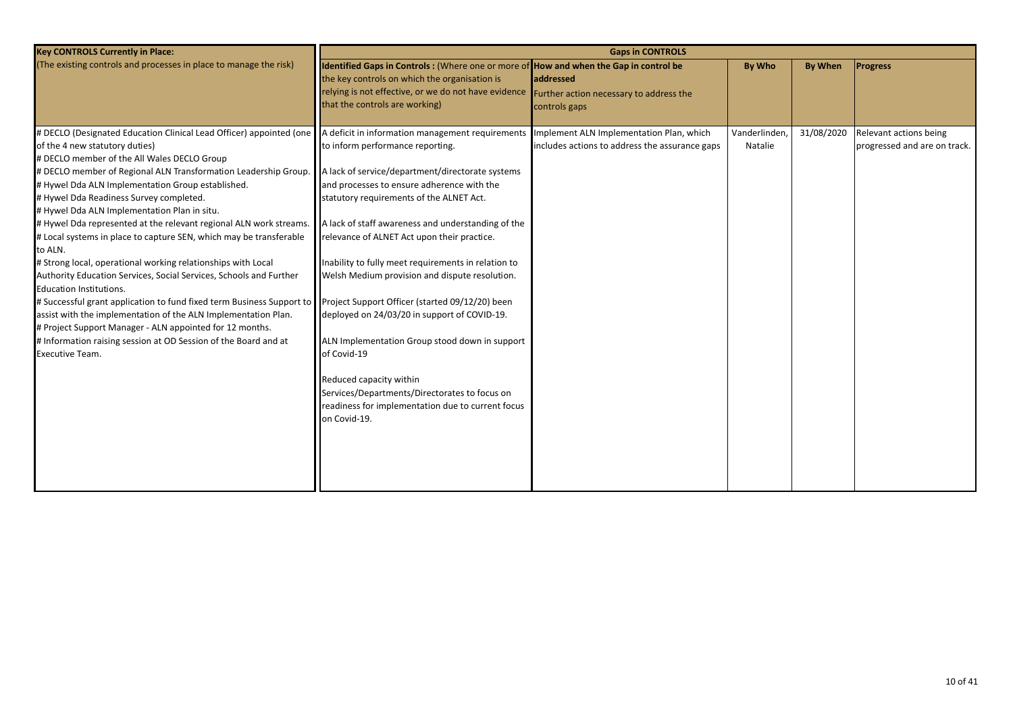| <b>Key CONTROLS Currently in Place:</b>                                                                                                                                                                                                                                                                                                                                                                                                                                                                                                                                                                                                                                                                                                                                                                                                                                                                                                                                                                                                                                                                |                                                                                                                                                                                                                                                                                                                                                                                                                                                                                                                                                                                                                                                                | <b>Gaps in CONTROLS</b>                                                                    |                          |                |                                                        |
|--------------------------------------------------------------------------------------------------------------------------------------------------------------------------------------------------------------------------------------------------------------------------------------------------------------------------------------------------------------------------------------------------------------------------------------------------------------------------------------------------------------------------------------------------------------------------------------------------------------------------------------------------------------------------------------------------------------------------------------------------------------------------------------------------------------------------------------------------------------------------------------------------------------------------------------------------------------------------------------------------------------------------------------------------------------------------------------------------------|----------------------------------------------------------------------------------------------------------------------------------------------------------------------------------------------------------------------------------------------------------------------------------------------------------------------------------------------------------------------------------------------------------------------------------------------------------------------------------------------------------------------------------------------------------------------------------------------------------------------------------------------------------------|--------------------------------------------------------------------------------------------|--------------------------|----------------|--------------------------------------------------------|
| (The existing controls and processes in place to manage the risk)                                                                                                                                                                                                                                                                                                                                                                                                                                                                                                                                                                                                                                                                                                                                                                                                                                                                                                                                                                                                                                      | Identified Gaps in Controls : (Where one or more of How and when the Gap in control be<br>the key controls on which the organisation is<br>relying is not effective, or we do not have evidence<br>that the controls are working)                                                                                                                                                                                                                                                                                                                                                                                                                              | addressed<br>Further action necessary to address the<br>controls gaps                      | By Who                   | <b>By When</b> | <b>Progress</b>                                        |
| # DECLO (Designated Education Clinical Lead Officer) appointed (one   A deficit in information management requirements<br>of the 4 new statutory duties)<br># DECLO member of the All Wales DECLO Group<br># DECLO member of Regional ALN Transformation Leadership Group.<br># Hywel Dda ALN Implementation Group established.<br># Hywel Dda Readiness Survey completed.<br># Hywel Dda ALN Implementation Plan in situ.<br># Hywel Dda represented at the relevant regional ALN work streams.<br># Local systems in place to capture SEN, which may be transferable<br>to ALN.<br># Strong local, operational working relationships with Local<br>Authority Education Services, Social Services, Schools and Further<br>Education Institutions.<br># Successful grant application to fund fixed term Business Support to Project Support Officer (started 09/12/20) been<br>assist with the implementation of the ALN Implementation Plan.<br># Project Support Manager - ALN appointed for 12 months.<br># Information raising session at OD Session of the Board and at<br><b>Executive Team.</b> | to inform performance reporting.<br>A lack of service/department/directorate systems<br>and processes to ensure adherence with the<br>statutory requirements of the ALNET Act.<br>A lack of staff awareness and understanding of the<br>relevance of ALNET Act upon their practice.<br>Inability to fully meet requirements in relation to<br>Welsh Medium provision and dispute resolution.<br>deployed on 24/03/20 in support of COVID-19.<br>ALN Implementation Group stood down in support<br>of Covid-19<br>Reduced capacity within<br>Services/Departments/Directorates to focus on<br>readiness for implementation due to current focus<br>on Covid-19. | Implement ALN Implementation Plan, which<br>includes actions to address the assurance gaps | Vanderlinden,<br>Natalie | 31/08/2020     | Relevant actions being<br>progressed and are on track. |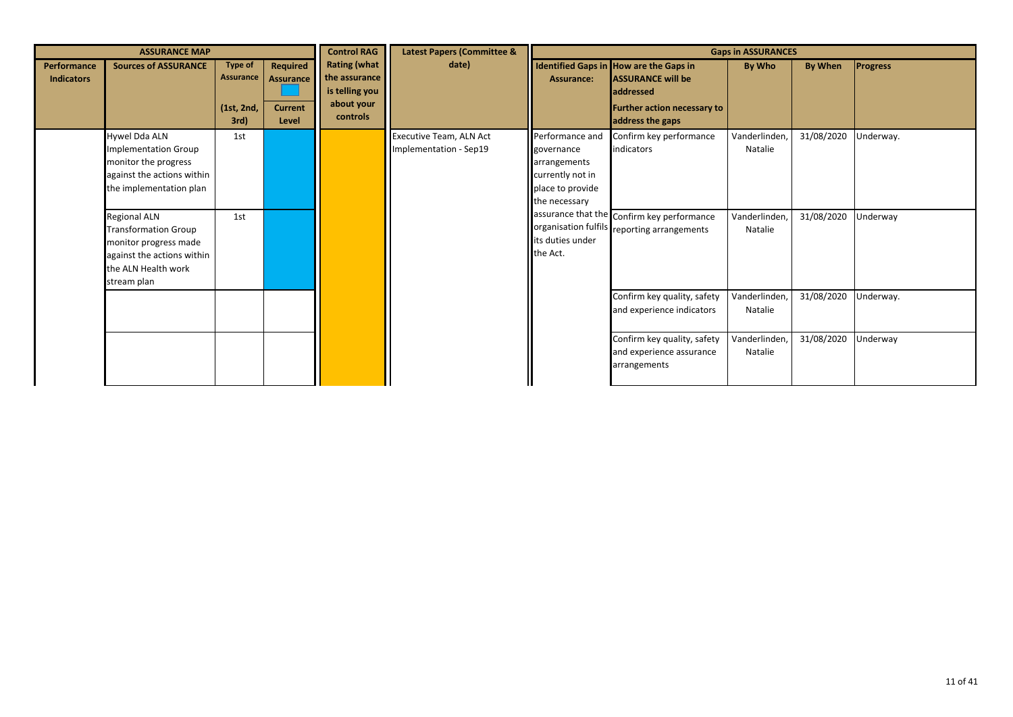|                                  | <b>ASSURANCE MAP</b>                                                                                                                            |                                                         |                                                         | <b>Control RAG</b>                                                               | <b>Latest Papers (Committee &amp;</b>                    |                                                                                                        |                                                                                                                                                  | <b>Gaps in ASSURANCES</b> |                |                 |
|----------------------------------|-------------------------------------------------------------------------------------------------------------------------------------------------|---------------------------------------------------------|---------------------------------------------------------|----------------------------------------------------------------------------------|----------------------------------------------------------|--------------------------------------------------------------------------------------------------------|--------------------------------------------------------------------------------------------------------------------------------------------------|---------------------------|----------------|-----------------|
| Performance<br><b>Indicators</b> | <b>Sources of ASSURANCE</b>                                                                                                                     | <b>Type of</b><br><b>Assurance</b><br>(1st, 2nd,<br>3rd | Required<br><b>Assurance</b><br><b>Current</b><br>Level | <b>Rating (what</b><br>the assurance<br>is telling you<br>about your<br>controls | date)                                                    | Assurance:                                                                                             | Identified Gaps in How are the Gaps in<br><b>ASSURANCE will be</b><br><b>addressed</b><br><b>Further action necessary to</b><br>address the gaps | By Who                    | <b>By When</b> | <b>Progress</b> |
|                                  | Hywel Dda ALN<br><b>Implementation Group</b><br>monitor the progress<br>against the actions within<br>the implementation plan                   | 1st                                                     |                                                         |                                                                                  | <b>Executive Team, ALN Act</b><br>Implementation - Sep19 | Performance and<br>governance<br>arrangements<br>currently not in<br>place to provide<br>the necessary | Confirm key performance<br>indicators                                                                                                            | Vanderlinden,<br>Natalie  | 31/08/2020     | Underway.       |
|                                  | <b>Regional ALN</b><br><b>Transformation Group</b><br>monitor progress made<br>against the actions within<br>the ALN Health work<br>stream plan | 1st                                                     |                                                         |                                                                                  |                                                          | its duties under<br>the Act.                                                                           | assurance that the Confirm key performance<br>organisation fulfils reporting arrangements                                                        | Vanderlinden,<br>Natalie  | 31/08/2020     | Underway        |
|                                  |                                                                                                                                                 |                                                         |                                                         |                                                                                  |                                                          |                                                                                                        | Confirm key quality, safety<br>and experience indicators                                                                                         | Vanderlinden,<br>Natalie  | 31/08/2020     | Underway.       |
|                                  |                                                                                                                                                 |                                                         |                                                         |                                                                                  |                                                          |                                                                                                        | Confirm key quality, safety<br>and experience assurance<br>arrangements                                                                          | Vanderlinden,<br>Natalie  | 31/08/2020     | Underway        |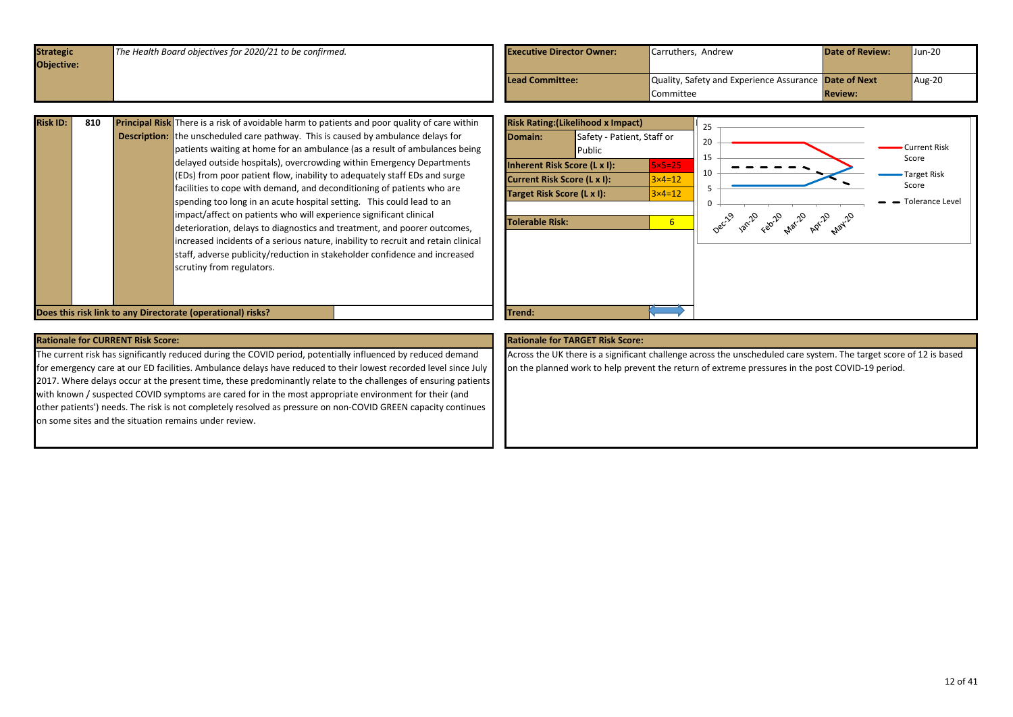<span id="page-11-0"></span>

| Quality, Safety and Experience Assurance Date of Next<br><b>Lead Committee:</b> | $Aug-20$ |
|---------------------------------------------------------------------------------|----------|
| <b>Review:</b><br>Committee                                                     |          |

| <b>Risk ID:</b> | 810 | <b>Principal Risk</b> There is a risk of avoidable harm to patients and poor quality of care within |
|-----------------|-----|-----------------------------------------------------------------------------------------------------|
|                 |     | <b>Description:</b> the unscheduled care pathway. This is caused by ambulance delays for            |
|                 |     | patients waiting at home for an ambulance (as a result of ambulances being                          |
|                 |     | delayed outside hospitals), overcrowding within Emergency Departments                               |
|                 |     | (EDs) from poor patient flow, inability to adequately staff EDs and surge                           |
|                 |     | facilities to cope with demand, and deconditioning of patients who are                              |
|                 |     | spending too long in an acute hospital setting. This could lead to an                               |
|                 |     | impact/affect on patients who will experience significant clinical                                  |
|                 |     | deterioration, delays to diagnostics and treatment, and poorer outcomes,                            |
|                 |     | increased incidents of a serious nature, inability to recruit and retain clinical                   |
|                 |     | staff, adverse publicity/reduction in stakeholder confidence and increased                          |
|                 |     | scrutiny from regulators.                                                                           |
|                 |     |                                                                                                     |
|                 |     |                                                                                                     |

**Does this risk link to any Directorate (operational) risks?** The control of the control of the control of the control of the control of the control of the control of the control of the control of the control of the contro



## **Rationale for CURRENT Risk Score: Rationale for TARGET Risk Score:**

The current risk has significantly reduced during the COVID period, potentially influenced by reduced demand for emergency care at our ED facilities. Ambulance delays have reduced to their lowest recorded level since July 2017. Where delays occur at the present time, these predominantly relate to the challenges of ensuring patients with known / suspected COVID symptoms are cared for in the most appropriate environment for their (and other patients') needs. The risk is not completely resolved as pressure on non-COVID GREEN capacity continues on some sites and the situation remains under review.

Across the UK there is a significant challenge across the unscheduled care system. The target score of 12 is based on the planned work to help prevent the return of extreme pressures in the post COVID-19 period.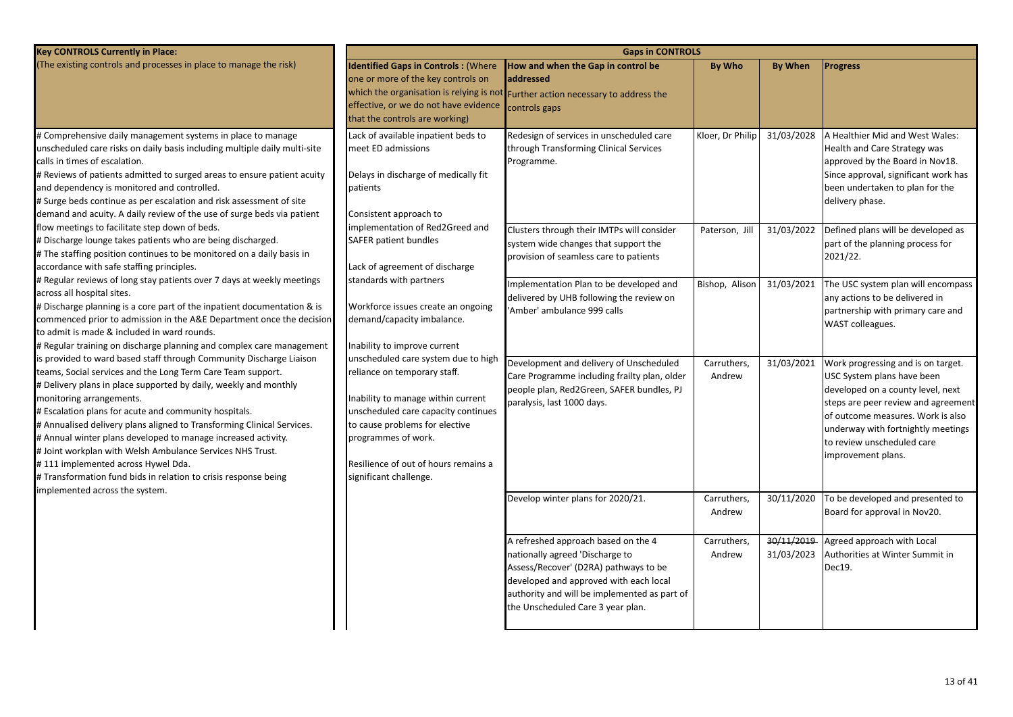| <b>Key CONTROLS Currently in Place:</b>                                                                                                                                                                                                                                                                                                                                                                                                                                                                                                                                                                                                        | <b>Gaps in CONTROLS</b>                                                                                                                                                                                                                                                     |                                                                                                                                                                                                                                                |                                    |                          |                                                                                                                                                                                                                                                                             |  |  |  |
|------------------------------------------------------------------------------------------------------------------------------------------------------------------------------------------------------------------------------------------------------------------------------------------------------------------------------------------------------------------------------------------------------------------------------------------------------------------------------------------------------------------------------------------------------------------------------------------------------------------------------------------------|-----------------------------------------------------------------------------------------------------------------------------------------------------------------------------------------------------------------------------------------------------------------------------|------------------------------------------------------------------------------------------------------------------------------------------------------------------------------------------------------------------------------------------------|------------------------------------|--------------------------|-----------------------------------------------------------------------------------------------------------------------------------------------------------------------------------------------------------------------------------------------------------------------------|--|--|--|
| (The existing controls and processes in place to manage the risk)                                                                                                                                                                                                                                                                                                                                                                                                                                                                                                                                                                              | <b>Identified Gaps in Controls: (Where</b><br>one or more of the key controls on<br>effective, or we do not have evidence<br>that the controls are working)                                                                                                                 | How and when the Gap in control be<br>addressed<br>which the organisation is relying is not Further action necessary to address the<br>controls gaps                                                                                           | By Who                             | <b>By When</b>           | <b>Progress</b>                                                                                                                                                                                                                                                             |  |  |  |
| # Comprehensive daily management systems in place to manage<br>unscheduled care risks on daily basis including multiple daily multi-site<br>calls in times of escalation.<br># Reviews of patients admitted to surged areas to ensure patient acuity<br>and dependency is monitored and controlled.<br># Surge beds continue as per escalation and risk assessment of site<br>demand and acuity. A daily review of the use of surge beds via patient<br>flow meetings to facilitate step down of beds.                                                                                                                                         | Lack of available inpatient beds to<br>meet ED admissions<br>Delays in discharge of medically fit<br>patients<br>Consistent approach to<br>implementation of Red2Greed and                                                                                                  | Redesign of services in unscheduled care<br>through Transforming Clinical Services<br>Programme.<br>Clusters through their IMTPs will consider                                                                                                 | Kloer, Dr Philip<br>Paterson, Jill | 31/03/2028<br>31/03/2022 | A Healthier Mid and West Wales:<br>Health and Care Strategy was<br>approved by the Board in Nov18.<br>Since approval, significant work has<br>been undertaken to plan for the<br>delivery phase.<br>Defined plans will be developed as                                      |  |  |  |
| # Discharge lounge takes patients who are being discharged.<br># The staffing position continues to be monitored on a daily basis in<br>accordance with safe staffing principles.                                                                                                                                                                                                                                                                                                                                                                                                                                                              | SAFER patient bundles<br>Lack of agreement of discharge                                                                                                                                                                                                                     | system wide changes that support the<br>provision of seamless care to patients                                                                                                                                                                 |                                    |                          | part of the planning process for<br>2021/22.                                                                                                                                                                                                                                |  |  |  |
| # Regular reviews of long stay patients over 7 days at weekly meetings<br>across all hospital sites.<br># Discharge planning is a core part of the inpatient documentation & is<br>commenced prior to admission in the A&E Department once the decision<br>to admit is made & included in ward rounds.<br># Regular training on discharge planning and complex care management                                                                                                                                                                                                                                                                 | standards with partners<br>Workforce issues create an ongoing<br>demand/capacity imbalance.<br>Inability to improve current                                                                                                                                                 | Implementation Plan to be developed and<br>delivered by UHB following the review on<br>'Amber' ambulance 999 calls                                                                                                                             | Bishop, Alison                     | 31/03/2021               | The USC system plan will encompass<br>any actions to be delivered in<br>partnership with primary care and<br>WAST colleagues.                                                                                                                                               |  |  |  |
| is provided to ward based staff through Community Discharge Liaison<br>teams, Social services and the Long Term Care Team support.<br># Delivery plans in place supported by daily, weekly and monthly<br>monitoring arrangements.<br># Escalation plans for acute and community hospitals.<br># Annualised delivery plans aligned to Transforming Clinical Services.<br># Annual winter plans developed to manage increased activity.<br># Joint workplan with Welsh Ambulance Services NHS Trust.<br>#111 implemented across Hywel Dda.<br># Transformation fund bids in relation to crisis response being<br>implemented across the system. | unscheduled care system due to high<br>reliance on temporary staff.<br>Inability to manage within current<br>unscheduled care capacity continues<br>to cause problems for elective<br>programmes of work.<br>Resilience of out of hours remains a<br>significant challenge. | Development and delivery of Unscheduled<br>Care Programme including frailty plan, older<br>people plan, Red2Green, SAFER bundles, PJ<br>paralysis, last 1000 days.                                                                             | Carruthers,<br>Andrew              | 31/03/2021               | Work progressing and is on target.<br>USC System plans have been<br>developed on a county level, next<br>steps are peer review and agreement<br>of outcome measures. Work is also<br>underway with fortnightly meetings<br>to review unscheduled care<br>improvement plans. |  |  |  |
|                                                                                                                                                                                                                                                                                                                                                                                                                                                                                                                                                                                                                                                |                                                                                                                                                                                                                                                                             | Develop winter plans for 2020/21.                                                                                                                                                                                                              | Carruthers,<br>Andrew              | 30/11/2020               | To be developed and presented to<br>Board for approval in Nov20.                                                                                                                                                                                                            |  |  |  |
|                                                                                                                                                                                                                                                                                                                                                                                                                                                                                                                                                                                                                                                |                                                                                                                                                                                                                                                                             | A refreshed approach based on the 4<br>nationally agreed 'Discharge to<br>Assess/Recover' (D2RA) pathways to be<br>developed and approved with each local<br>authority and will be implemented as part of<br>the Unscheduled Care 3 year plan. | Carruthers,<br>Andrew              | 30/11/2019<br>31/03/2023 | Agreed approach with Local<br>Authorities at Winter Summit in<br>Dec19.                                                                                                                                                                                                     |  |  |  |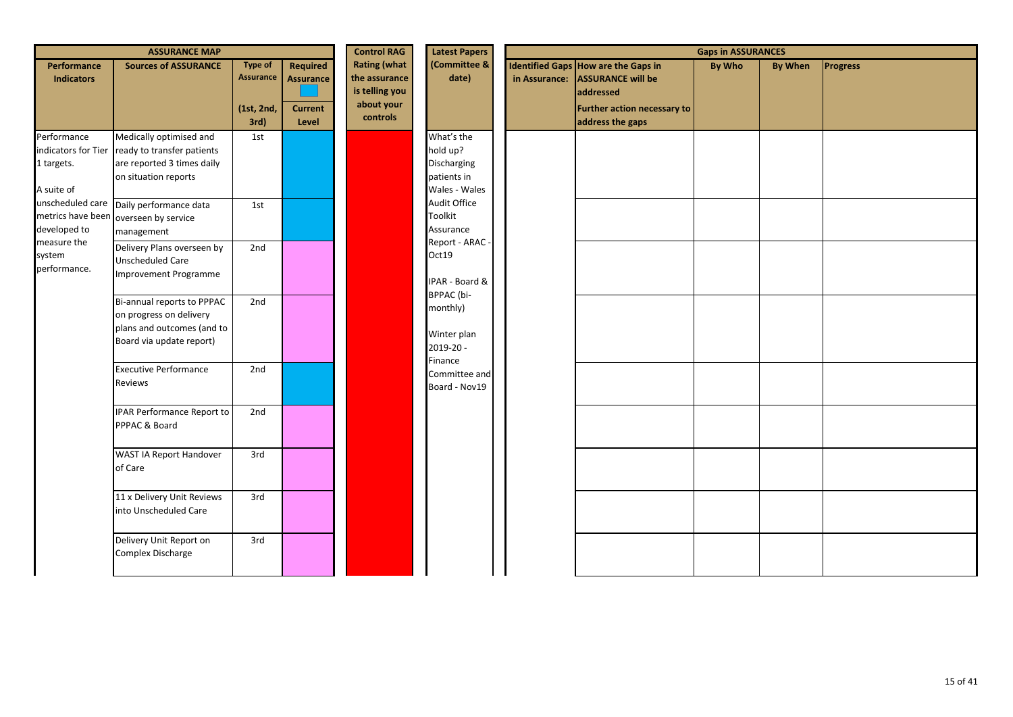|                                                                | <b>ASSURANCE MAP</b>                                                                                            |                                                          |                                                                | <b>Control RAG</b>                                                               | <b>Latest Papers</b>                                                  | <b>Gaps in ASSURANCES</b> |                                                                                                                                                      |               |                |          |
|----------------------------------------------------------------|-----------------------------------------------------------------------------------------------------------------|----------------------------------------------------------|----------------------------------------------------------------|----------------------------------------------------------------------------------|-----------------------------------------------------------------------|---------------------------|------------------------------------------------------------------------------------------------------------------------------------------------------|---------------|----------------|----------|
| Performance<br><b>Indicators</b>                               | <b>Sources of ASSURANCE</b>                                                                                     | <b>Type of</b><br><b>Assurance</b><br>(1st, 2nd,<br>3rd) | <b>Required</b><br><b>Assurance</b><br><b>Current</b><br>Level | <b>Rating (what</b><br>the assurance<br>is telling you<br>about your<br>controls | (Committee &<br>date)                                                 |                           | <b>Identified Gaps How are the Gaps in</b><br>in Assurance: ASSURANCE will be<br>addressed<br><b>Further action necessary to</b><br>address the gaps | <b>By Who</b> | <b>By When</b> | Progress |
| Performance<br>indicators for Tier<br>1 targets.<br>A suite of | Medically optimised and<br>ready to transfer patients<br>are reported 3 times daily<br>on situation reports     | 1st                                                      |                                                                |                                                                                  | What's the<br>hold up?<br>Discharging<br>patients in<br>Wales - Wales |                           |                                                                                                                                                      |               |                |          |
| unscheduled care<br>metrics have been<br>developed to          | Daily performance data<br>overseen by service<br>management                                                     | 1st                                                      |                                                                |                                                                                  | Audit Office<br>Toolkit<br>Assurance                                  |                           |                                                                                                                                                      |               |                |          |
| measure the<br>system<br>performance.                          | Delivery Plans overseen by<br>Unscheduled Care<br>Improvement Programme                                         | 2nd                                                      |                                                                |                                                                                  | Report - ARAC -<br>Oct19<br>IPAR - Board &                            |                           |                                                                                                                                                      |               |                |          |
|                                                                | Bi-annual reports to PPPAC<br>on progress on delivery<br>plans and outcomes (and to<br>Board via update report) | 2nd                                                      |                                                                |                                                                                  | BPPAC (bi-<br>monthly)<br>Winter plan<br>2019-20 -                    |                           |                                                                                                                                                      |               |                |          |
|                                                                | <b>Executive Performance</b><br>Reviews                                                                         | 2nd                                                      |                                                                |                                                                                  | Finance<br>Committee and<br>Board - Nov19                             |                           |                                                                                                                                                      |               |                |          |
|                                                                | <b>IPAR Performance Report to</b><br>PPPAC & Board                                                              | 2nd                                                      |                                                                |                                                                                  |                                                                       |                           |                                                                                                                                                      |               |                |          |
|                                                                | WAST IA Report Handover<br>of Care                                                                              | 3rd                                                      |                                                                |                                                                                  |                                                                       |                           |                                                                                                                                                      |               |                |          |
|                                                                | 11 x Delivery Unit Reviews<br>into Unscheduled Care                                                             | 3rd                                                      |                                                                |                                                                                  |                                                                       |                           |                                                                                                                                                      |               |                |          |
|                                                                | Delivery Unit Report on<br>Complex Discharge                                                                    | 3rd                                                      |                                                                |                                                                                  |                                                                       |                           |                                                                                                                                                      |               |                |          |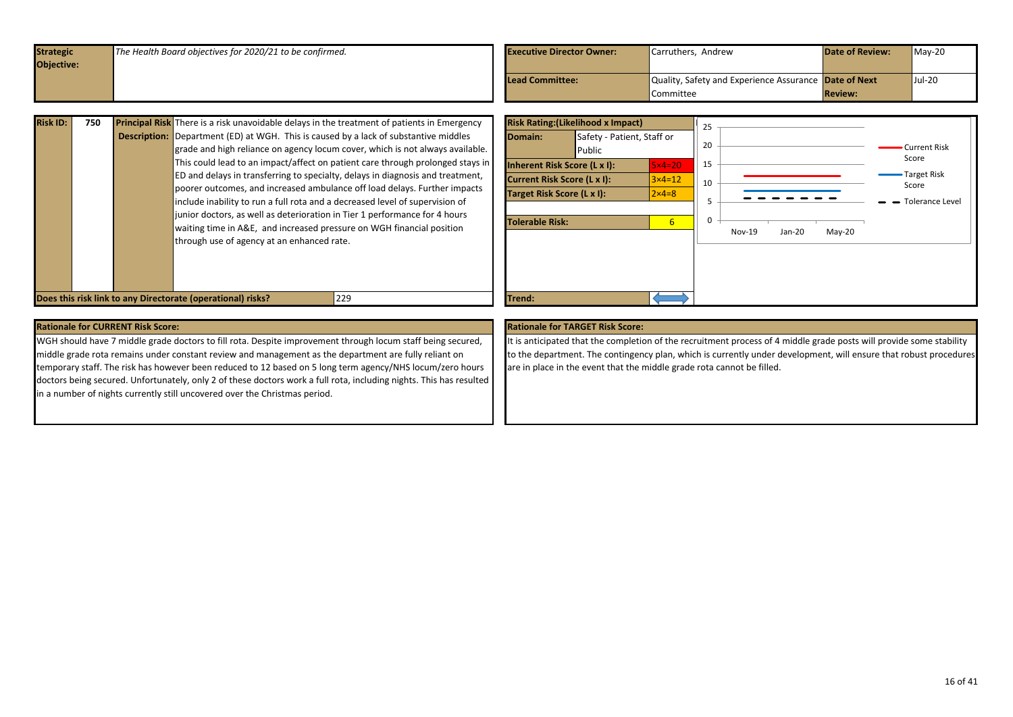<span id="page-15-0"></span>

| <b>Strategic</b> | The Health Board objectives for 2020/21 to be confirmed. | <b>Executive Director Owner:</b> | Carruthers, Andrew                                    | <b>Date of Review:</b> | $May-20$ |
|------------------|----------------------------------------------------------|----------------------------------|-------------------------------------------------------|------------------------|----------|
| Objective:       |                                                          |                                  |                                                       |                        |          |
|                  |                                                          | Lead Committee:                  | Quality, Safety and Experience Assurance Date of Next |                        | $Jul-20$ |
|                  |                                                          |                                  | <b>Committee</b>                                      | <b>Review:</b>         |          |

| <b>Risk ID:</b> | 750 | <b>Principal Risk</b> There is a risk unavoidable delays in the treatment of patients in Emergency |
|-----------------|-----|----------------------------------------------------------------------------------------------------|
|                 |     | <b>Description:</b> Department (ED) at WGH. This is caused by a lack of substantive middles        |
|                 |     | grade and high reliance on agency locum cover, which is not always available.                      |
|                 |     | This could lead to an impact/affect on patient care through prolonged stays in                     |
|                 |     | ED and delays in transferring to specialty, delays in diagnosis and treatment,                     |
|                 |     | poorer outcomes, and increased ambulance off load delays. Further impacts                          |
|                 |     | include inability to run a full rota and a decreased level of supervision of                       |
|                 |     | junior doctors, as well as deterioration in Tier 1 performance for 4 hours                         |
|                 |     | waiting time in A&E, and increased pressure on WGH financial position                              |
|                 |     | through use of agency at an enhanced rate.                                                         |
|                 |     |                                                                                                    |
|                 |     |                                                                                                    |
|                 |     |                                                                                                    |

![](_page_15_Figure_2.jpeg)

WGH should have 7 middle grade doctors to fill rota. Despite improvement through locum staff being secured, middle grade rota remains under constant review and management as the department are fully reliant on temporary staff. The risk has however been reduced to 12 based on 5 long term agency/NHS locum/zero hours doctors being secured. Unfortunately, only 2 of these doctors work a full rota, including nights. This has resulted in a number of nights currently still uncovered over the Christmas period.

It is anticipated that the completion of the recruitment process of 4 middle grade posts will provide some stability to the department. The contingency plan, which is currently under development, will ensure that robust procedures are in place in the event that the middle grade rota cannot be filled.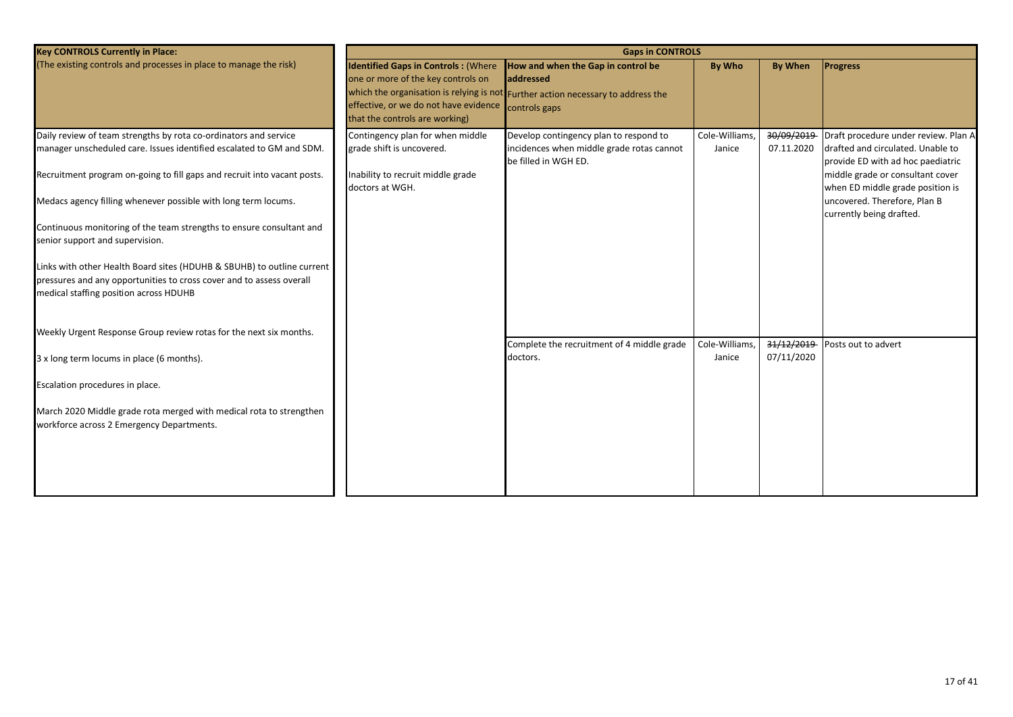| <b>Key CONTROLS Currently in Place:</b>                                                                                                                                                                                     |                                                                                                                                                                           | <b>Gaps in CONTROLS</b>                                                                                                                    |                          |                          |                                                                                                                                                    |
|-----------------------------------------------------------------------------------------------------------------------------------------------------------------------------------------------------------------------------|---------------------------------------------------------------------------------------------------------------------------------------------------------------------------|--------------------------------------------------------------------------------------------------------------------------------------------|--------------------------|--------------------------|----------------------------------------------------------------------------------------------------------------------------------------------------|
| (The existing controls and processes in place to manage the risk)                                                                                                                                                           | <b>Identified Gaps in Controls: (Where</b><br>one or more of the key controls on<br>effective, or we do not have evidence controls gaps<br>that the controls are working) | How and when the Gap in control be<br><b>addressed</b><br>which the organisation is relying is not Further action necessary to address the | By Who                   | <b>By When</b>           | <b>Progress</b>                                                                                                                                    |
| Daily review of team strengths by rota co-ordinators and service<br>manager unscheduled care. Issues identified escalated to GM and SDM.<br>Recruitment program on-going to fill gaps and recruit into vacant posts.        | Contingency plan for when middle<br>grade shift is uncovered.<br>Inability to recruit middle grade                                                                        | Develop contingency plan to respond to<br>incidences when middle grade rotas cannot<br>be filled in WGH ED.                                | Cole-Williams,<br>Janice | 30/09/2019<br>07.11.2020 | Draft procedure under review. Plan A<br>drafted and circulated. Unable to<br>provide ED with ad hoc paediatric<br>middle grade or consultant cover |
| Medacs agency filling whenever possible with long term locums.<br>Continuous monitoring of the team strengths to ensure consultant and                                                                                      | doctors at WGH.                                                                                                                                                           |                                                                                                                                            |                          |                          | when ED middle grade position is<br>uncovered. Therefore, Plan B<br>currently being drafted.                                                       |
| senior support and supervision.<br>Links with other Health Board sites (HDUHB & SBUHB) to outline current<br>pressures and any opportunities to cross cover and to assess overall<br>medical staffing position across HDUHB |                                                                                                                                                                           |                                                                                                                                            |                          |                          |                                                                                                                                                    |
| Weekly Urgent Response Group review rotas for the next six months.                                                                                                                                                          |                                                                                                                                                                           | Complete the recruitment of 4 middle grade                                                                                                 | Cole-Williams,           | 31/12/2019               | Posts out to advert                                                                                                                                |
| 3 x long term locums in place (6 months).                                                                                                                                                                                   |                                                                                                                                                                           | doctors.                                                                                                                                   | Janice                   | 07/11/2020               |                                                                                                                                                    |
| Escalation procedures in place.                                                                                                                                                                                             |                                                                                                                                                                           |                                                                                                                                            |                          |                          |                                                                                                                                                    |
| March 2020 Middle grade rota merged with medical rota to strengthen<br>workforce across 2 Emergency Departments.                                                                                                            |                                                                                                                                                                           |                                                                                                                                            |                          |                          |                                                                                                                                                    |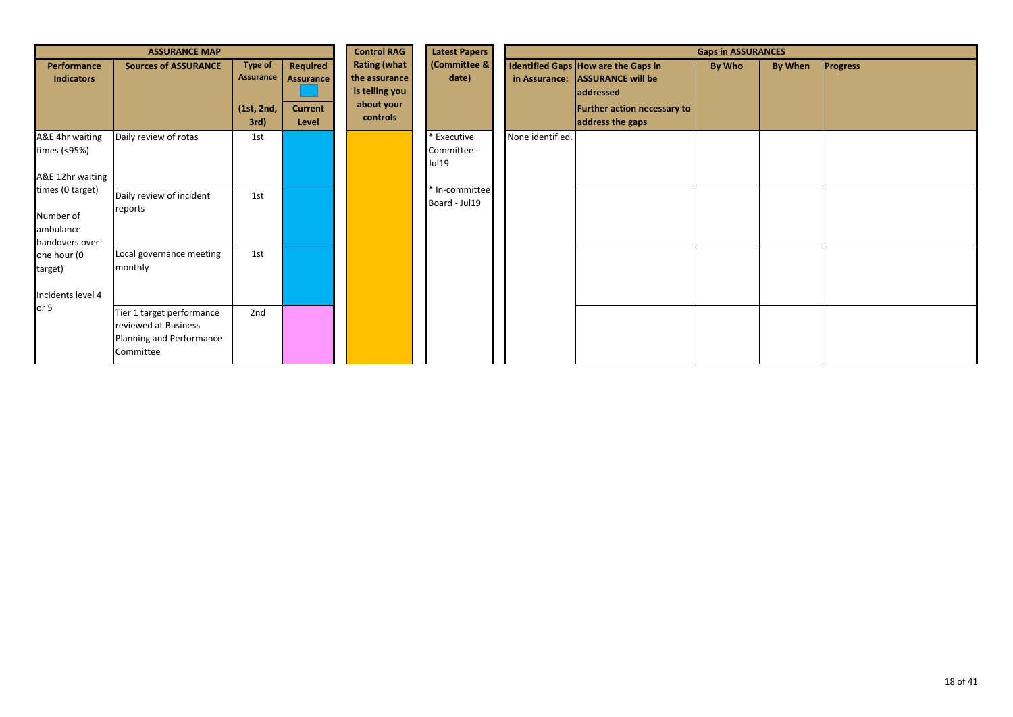|                                                              | <b>ASSURANCE MAP</b>                                                                       |                                                   |                                                         | <b>Control RAG</b>                                                               | <b>Latest Papers</b>                |                  | <b>Gaps in ASSURANCES</b>                                                                                                              |        |         |                 |  |  |  |
|--------------------------------------------------------------|--------------------------------------------------------------------------------------------|---------------------------------------------------|---------------------------------------------------------|----------------------------------------------------------------------------------|-------------------------------------|------------------|----------------------------------------------------------------------------------------------------------------------------------------|--------|---------|-----------------|--|--|--|
| Performance<br><b>Indicators</b>                             | <b>Sources of ASSURANCE</b>                                                                | <b>Type of</b><br>Assurance<br>(1st, 2nd,<br>3rd) | Required<br><b>Assurance</b><br><b>Current</b><br>Level | <b>Rating (what</b><br>the assurance<br>is telling you<br>about your<br>controls | (Committee &<br>date)               |                  | Identified Gaps How are the Gaps in<br>in Assurance: ASSURANCE will be<br>addressed<br>Further action necessary to<br>address the gaps | By Who | By When | <b>Progress</b> |  |  |  |
| A&E 4hr waiting<br>times (<95%)<br>A&E 12hr waiting          | Daily review of rotas                                                                      | 1st                                               |                                                         |                                                                                  | * Executive<br>Committee -<br>Jul19 | None identified. |                                                                                                                                        |        |         |                 |  |  |  |
| times (0 target)<br>Number of<br>ambulance<br>handovers over | Daily review of incident<br>reports                                                        | 1st                                               |                                                         |                                                                                  | * In-committee<br>Board - Jul19     |                  |                                                                                                                                        |        |         |                 |  |  |  |
| one hour (0<br>target)<br>Incidents level 4                  | Local governance meeting<br>monthly                                                        | 1st                                               |                                                         |                                                                                  |                                     |                  |                                                                                                                                        |        |         |                 |  |  |  |
| or 5                                                         | Tier 1 target performance<br>reviewed at Business<br>Planning and Performance<br>Committee | 2nd                                               |                                                         |                                                                                  |                                     |                  |                                                                                                                                        |        |         |                 |  |  |  |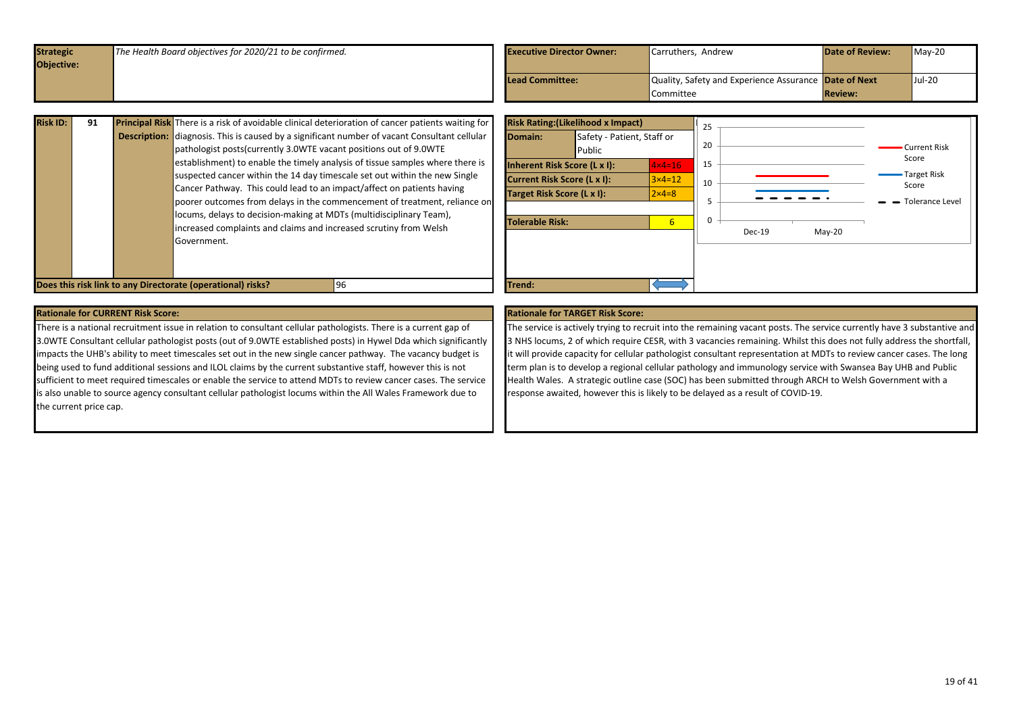<span id="page-18-0"></span>

| Objective:                                                                      |                |          |
|---------------------------------------------------------------------------------|----------------|----------|
|                                                                                 |                |          |
| Quality, Safety and Experience Assurance Date of Next<br><b>Lead Committee:</b> |                | $Jul-20$ |
| <b>Committee</b>                                                                | <b>Review:</b> |          |

| 91 |                     | <b>Principal Risk</b> There is a risk of avoidable clinical deterioration of cancer patients waiting for |
|----|---------------------|----------------------------------------------------------------------------------------------------------|
|    | <b>Description:</b> | diagnosis. This is caused by a significant number of vacant Consultant cellular                          |
|    |                     | pathologist posts (currently 3.0WTE vacant positions out of 9.0WTE                                       |
|    |                     | establishment) to enable the timely analysis of tissue samples where there is                            |
|    |                     | suspected cancer within the 14 day timescale set out within the new Single                               |
|    |                     | Cancer Pathway. This could lead to an impact/affect on patients having                                   |
|    |                     | poorer outcomes from delays in the commencement of treatment, reliance on                                |
|    |                     | locums, delays to decision-making at MDTs (multidisciplinary Team),                                      |
|    |                     | increased complaints and claims and increased scrutiny from Welsh                                        |
|    |                     | Government.                                                                                              |
|    |                     |                                                                                                          |
|    |                     |                                                                                                          |
|    |                     |                                                                                                          |

**Risk Rating:(Likelihood x Impact)** 25 **Domain:** Safety - Patient, Staff or 20 Current Risk Public Score 15 **Inherent Risk Score (L x I):**  $1 \times 4 = 16$ Target Risk **Current Risk Score (L x I):**  $3 \times 4 = 12$ 10 Score **Target Risk Score (L x I):**  $2x4=8$ - - - - - -5  $\rightarrow$  Tolerance Level  $\Omega$ **Tolerable Risk:** 6 Dec-19 May-20 **Does this risk link to any Directorate (operational) risks? <b>196 Trend: Premd: Premd: Trend: Premd: Premd: Premd: Premd: Premd: Premd: Premd: Premd: Premd: Premd: Premd: Premd: Premd: P** 

### **Rationale for CURRENT Risk Score: Rationale for TARGET Risk Score:**

There is a national recruitment issue in relation to consultant cellular pathologists. There is a current gap of 3.0WTE Consultant cellular pathologist posts (out of 9.0WTE established posts) in Hywel Dda which significantly impacts the UHB's ability to meet timescales set out in the new single cancer pathway. The vacancy budget is being used to fund additional sessions and ILOL claims by the current substantive staff, however this is not sufficient to meet required timescales or enable the service to attend MDTs to review cancer cases. The service is also unable to source agency consultant cellular pathologist locums within the All Wales Framework due to the current price cap.

The service is actively trying to recruit into the remaining vacant posts. The service currently have 3 substantive and 3 NHS locums, 2 of which require CESR, with 3 vacancies remaining. Whilst this does not fully address the shortfall, it will provide capacity for cellular pathologist consultant representation at MDTs to review cancer cases. The long term plan is to develop a regional cellular pathology and immunology service with Swansea Bay UHB and Public Health Wales. A strategic outline case (SOC) has been submitted through ARCH to Welsh Government with a response awaited, however this is likely to be delayed as a result of COVID-19.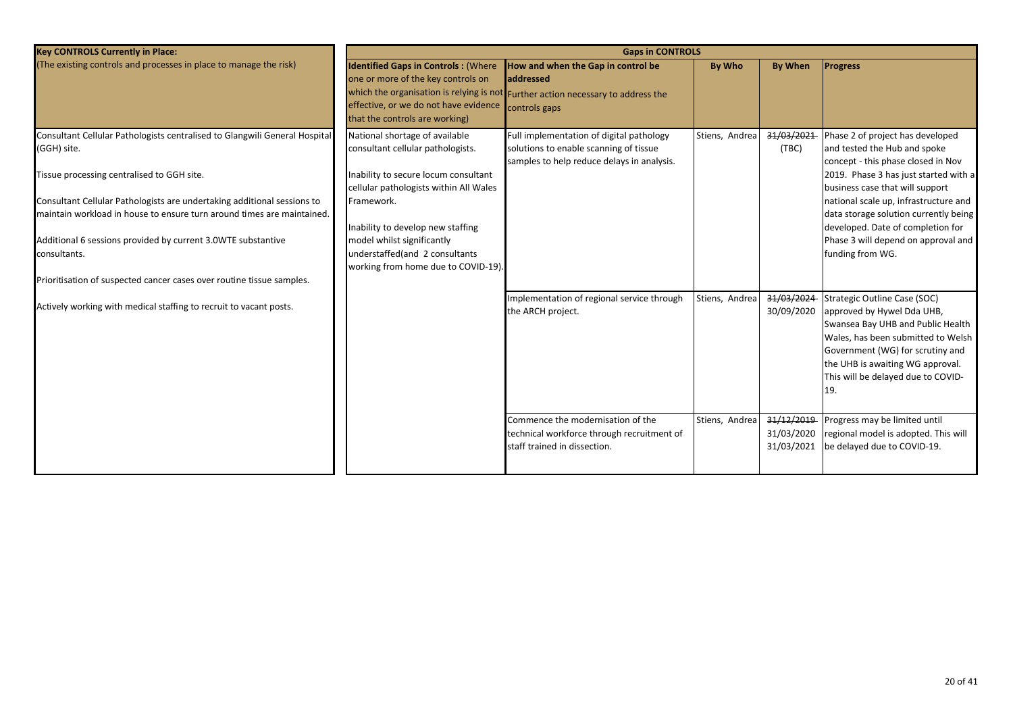| <b>Key CONTROLS Currently in Place:</b>                                                                                                                                                                           | <b>Gaps in CONTROLS</b>                                                                                                                                     |                                                                                                                                                      |                |                                        |                                                                                                                                                                                                                                                            |  |  |  |  |
|-------------------------------------------------------------------------------------------------------------------------------------------------------------------------------------------------------------------|-------------------------------------------------------------------------------------------------------------------------------------------------------------|------------------------------------------------------------------------------------------------------------------------------------------------------|----------------|----------------------------------------|------------------------------------------------------------------------------------------------------------------------------------------------------------------------------------------------------------------------------------------------------------|--|--|--|--|
| (The existing controls and processes in place to manage the risk)                                                                                                                                                 | <b>Identified Gaps in Controls: (Where</b><br>one or more of the key controls on<br>effective, or we do not have evidence<br>that the controls are working) | How and when the Gap in control be<br>addressed<br>which the organisation is relying is not Further action necessary to address the<br>controls gaps | <b>By Who</b>  | <b>By When</b>                         | <b>Progress</b>                                                                                                                                                                                                                                            |  |  |  |  |
| Consultant Cellular Pathologists centralised to Glangwili General Hospital<br>(GGH) site.<br>Tissue processing centralised to GGH site.                                                                           | National shortage of available<br>consultant cellular pathologists.<br>Inability to secure locum consultant                                                 | Full implementation of digital pathology<br>solutions to enable scanning of tissue<br>samples to help reduce delays in analysis.                     | Stiens, Andrea | 31/03/2021<br>(TBC)                    | Phase 2 of project has developed<br>and tested the Hub and spoke<br>concept - this phase closed in Nov<br>2019. Phase 3 has just started with a                                                                                                            |  |  |  |  |
| Consultant Cellular Pathologists are undertaking additional sessions to<br>maintain workload in house to ensure turn around times are maintained.<br>Additional 6 sessions provided by current 3.0WTE substantive | cellular pathologists within All Wales<br>Framework.<br>Inability to develop new staffing<br>model whilst significantly                                     |                                                                                                                                                      |                |                                        | business case that will support<br>national scale up, infrastructure and<br>data storage solution currently being<br>developed. Date of completion for<br>Phase 3 will depend on approval and                                                              |  |  |  |  |
| consultants.<br>Prioritisation of suspected cancer cases over routine tissue samples.                                                                                                                             | understaffed(and 2 consultants<br>working from home due to COVID-19).                                                                                       |                                                                                                                                                      |                |                                        | funding from WG.                                                                                                                                                                                                                                           |  |  |  |  |
| Actively working with medical staffing to recruit to vacant posts.                                                                                                                                                |                                                                                                                                                             | Implementation of regional service through<br>the ARCH project.                                                                                      | Stiens, Andrea | 31/03/2024<br>30/09/2020               | Strategic Outline Case (SOC)<br>approved by Hywel Dda UHB,<br>Swansea Bay UHB and Public Health<br>Wales, has been submitted to Welsh<br>Government (WG) for scrutiny and<br>the UHB is awaiting WG approval.<br>This will be delayed due to COVID-<br>19. |  |  |  |  |
|                                                                                                                                                                                                                   |                                                                                                                                                             | Commence the modernisation of the<br>technical workforce through recruitment of<br>staff trained in dissection.                                      | Stiens, Andrea | 31/12/2019<br>31/03/2020<br>31/03/2021 | Progress may be limited until<br>regional model is adopted. This will<br>be delayed due to COVID-19.                                                                                                                                                       |  |  |  |  |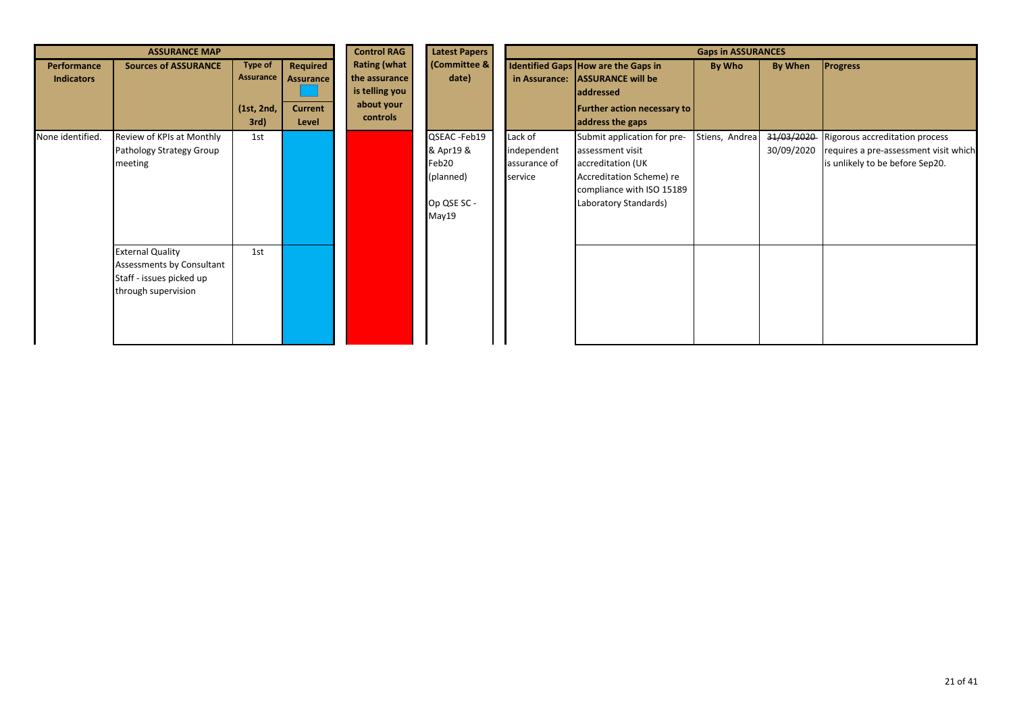| <b>ASSURANCE MAP</b>             |                                                                                                         |                                                   |                                                         | <b>Control RAG</b>                                                               | <b>Latest Papers</b>                                                    | <b>Gaps in ASSURANCES</b>                         |                                                                                                                                                        |                |                          |                                                                                                            |  |
|----------------------------------|---------------------------------------------------------------------------------------------------------|---------------------------------------------------|---------------------------------------------------------|----------------------------------------------------------------------------------|-------------------------------------------------------------------------|---------------------------------------------------|--------------------------------------------------------------------------------------------------------------------------------------------------------|----------------|--------------------------|------------------------------------------------------------------------------------------------------------|--|
| Performance<br><b>Indicators</b> | <b>Sources of ASSURANCE</b>                                                                             | <b>Type of</b><br>Assurance<br>(1st, 2nd,<br>3rd) | Required<br><b>Assurance</b><br><b>Current</b><br>Level | <b>Rating (what</b><br>the assurance<br>is telling you<br>about your<br>controls | (Committee &<br>date)                                                   |                                                   | Identified Gaps How are the Gaps in<br>in Assurance: ASSURANCE will be<br><b>addressed</b><br><b>Further action necessary to</b><br>address the gaps   | By Who         | By When                  | <b>Progress</b>                                                                                            |  |
| None identified.                 | Review of KPIs at Monthly<br>Pathology Strategy Group<br>meeting                                        | 1st                                               |                                                         |                                                                                  | QSEAC -Feb19<br>& Apr19 &<br>Feb20<br>(planned)<br>Op QSE SC -<br>May19 | Lack of<br>independent<br>assurance of<br>service | Submit application for pre-<br>assessment visit<br>accreditation (UK<br>Accreditation Scheme) re<br>compliance with ISO 15189<br>Laboratory Standards) | Stiens, Andrea | 31/03/2020<br>30/09/2020 | Rigorous accreditation process<br>requires a pre-assessment visit which<br>is unlikely to be before Sep20. |  |
|                                  | <b>External Quality</b><br>Assessments by Consultant<br>Staff - issues picked up<br>through supervision | 1st                                               |                                                         |                                                                                  |                                                                         |                                                   |                                                                                                                                                        |                |                          |                                                                                                            |  |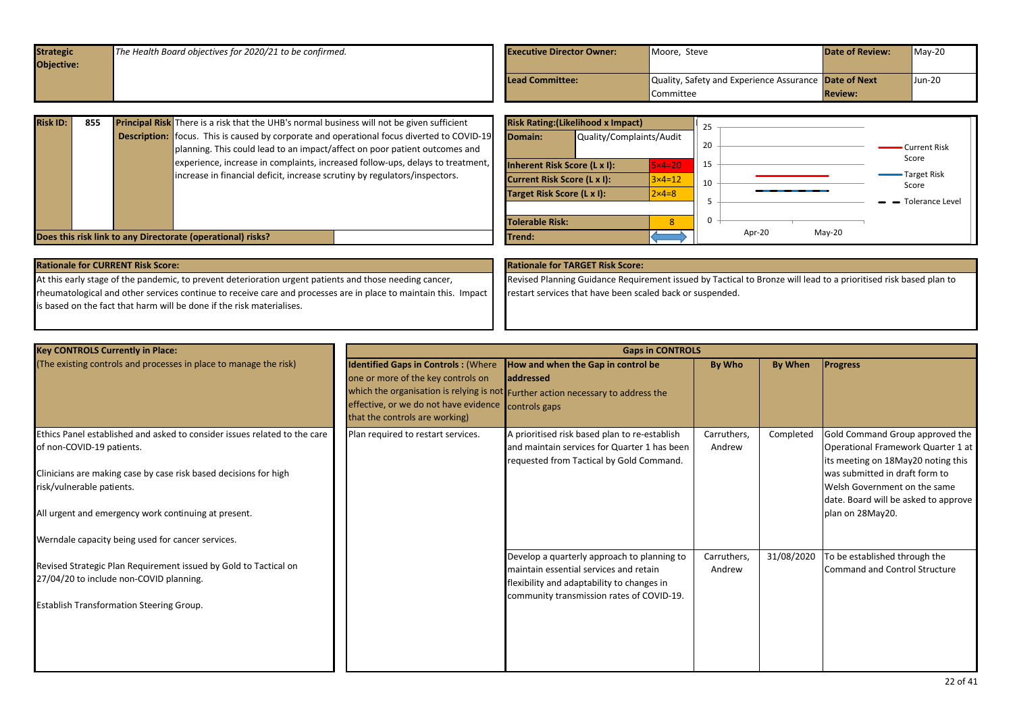<span id="page-21-0"></span>

| Objective:<br>Quality, Safety and Experience Assurance Date of Next<br>Lead Committee: |        |
|----------------------------------------------------------------------------------------|--------|
|                                                                                        |        |
|                                                                                        | Jun-20 |
| <b>Review:</b><br><b>Committee</b>                                                     |        |

| <b>Risk ID:</b> | 855 | <b>Principal Risk</b> There is a risk that the UHB's normal business will not be given sufficient |                                    | <b>Risk Rating: (Likelihood x Impact)</b> |                   |    |                    |                               |
|-----------------|-----|---------------------------------------------------------------------------------------------------|------------------------------------|-------------------------------------------|-------------------|----|--------------------|-------------------------------|
|                 |     | <b>Description:</b> focus. This is caused by corporate and operational focus diverted to COVID-19 | Domain:                            | Quality/Complaints/Audit                  |                   |    |                    |                               |
|                 |     | planning. This could lead to an impact/affect on poor patient outcomes and                        |                                    |                                           |                   | 20 |                    | Current Risk                  |
|                 |     | experience, increase in complaints, increased follow-ups, delays to treatment,                    | Inherent Risk Score (L x I):       |                                           | $5\times4=20$     | 15 |                    | Score                         |
|                 |     | increase in financial deficit, increase scrutiny by regulators/inspectors.                        | <b>Current Risk Score (L x I):</b> |                                           | $3 \times 4 = 12$ | 10 |                    | -Target Risk                  |
|                 |     |                                                                                                   | Target Risk Score (L x I):         |                                           | $2 \times 4 = 8$  |    |                    | Score                         |
|                 |     |                                                                                                   |                                    |                                           |                   |    |                    | $\rightarrow$ Tolerance Level |
|                 |     |                                                                                                   | <b>Tolerable Risk:</b>             |                                           |                   |    |                    |                               |
|                 |     | Does this risk link to any Directorate (operational) risks?                                       | <b>ITrend:</b>                     |                                           |                   |    | $Mav-20$<br>Apr-20 |                               |

| <b>Rationale for CURRENT Risk Score:</b>                                                                        | <b>Rationale for TARGET Risk Score:</b>                                                                          |
|-----------------------------------------------------------------------------------------------------------------|------------------------------------------------------------------------------------------------------------------|
| At this early stage of the pandemic, to prevent deterioration urgent patients and those needing cancer,         | Revised Planning Guidance Requirement issued by Tactical to Bronze will lead to a prioritised risk based plan to |
| Theumatological and other services continue to receive care and processes are in place to maintain this. Impact | restart services that have been scaled back or suspended.                                                        |
| is based on the fact that harm will be done if the risk materialises.                                           |                                                                                                                  |
|                                                                                                                 |                                                                                                                  |

| <b>Key CONTROLS Currently in Place:</b>                                                                                                                                                                                                                                                                              | <b>Gaps in CONTROLS</b>                                                                                                                                     |                                                                                                                                                                                  |                       |            |                                                                                                                                                                                                                                           |  |  |  |  |  |
|----------------------------------------------------------------------------------------------------------------------------------------------------------------------------------------------------------------------------------------------------------------------------------------------------------------------|-------------------------------------------------------------------------------------------------------------------------------------------------------------|----------------------------------------------------------------------------------------------------------------------------------------------------------------------------------|-----------------------|------------|-------------------------------------------------------------------------------------------------------------------------------------------------------------------------------------------------------------------------------------------|--|--|--|--|--|
| (The existing controls and processes in place to manage the risk)                                                                                                                                                                                                                                                    | <b>Identified Gaps in Controls: (Where</b><br>one or more of the key controls on<br>effective, or we do not have evidence<br>that the controls are working) | How and when the Gap in control be<br>laddressed<br>which the organisation is relying is not Further action necessary to address the<br>controls gaps                            | By Who                | By When    | <b>Progress</b>                                                                                                                                                                                                                           |  |  |  |  |  |
| Ethics Panel established and asked to consider issues related to the care<br>of non-COVID-19 patients.<br>Clinicians are making case by case risk based decisions for high<br>risk/vulnerable patients.<br>All urgent and emergency work continuing at present.<br>Werndale capacity being used for cancer services. | Plan required to restart services.                                                                                                                          | A prioritised risk based plan to re-establish<br>and maintain services for Quarter 1 has been<br>requested from Tactical by Gold Command.                                        | Carruthers,<br>Andrew | Completed  | Gold Command Group approved the<br>Operational Framework Quarter 1 at<br>its meeting on 18May20 noting this<br>was submitted in draft form to<br>Welsh Government on the same<br>date. Board will be asked to approve<br>plan on 28May20. |  |  |  |  |  |
| Revised Strategic Plan Requirement issued by Gold to Tactical on<br>27/04/20 to include non-COVID planning.<br><b>Establish Transformation Steering Group.</b>                                                                                                                                                       |                                                                                                                                                             | Develop a quarterly approach to planning to<br>maintain essential services and retain<br>flexibility and adaptability to changes in<br>community transmission rates of COVID-19. | Carruthers,<br>Andrew | 31/08/2020 | To be established through the<br><b>Command and Control Structure</b>                                                                                                                                                                     |  |  |  |  |  |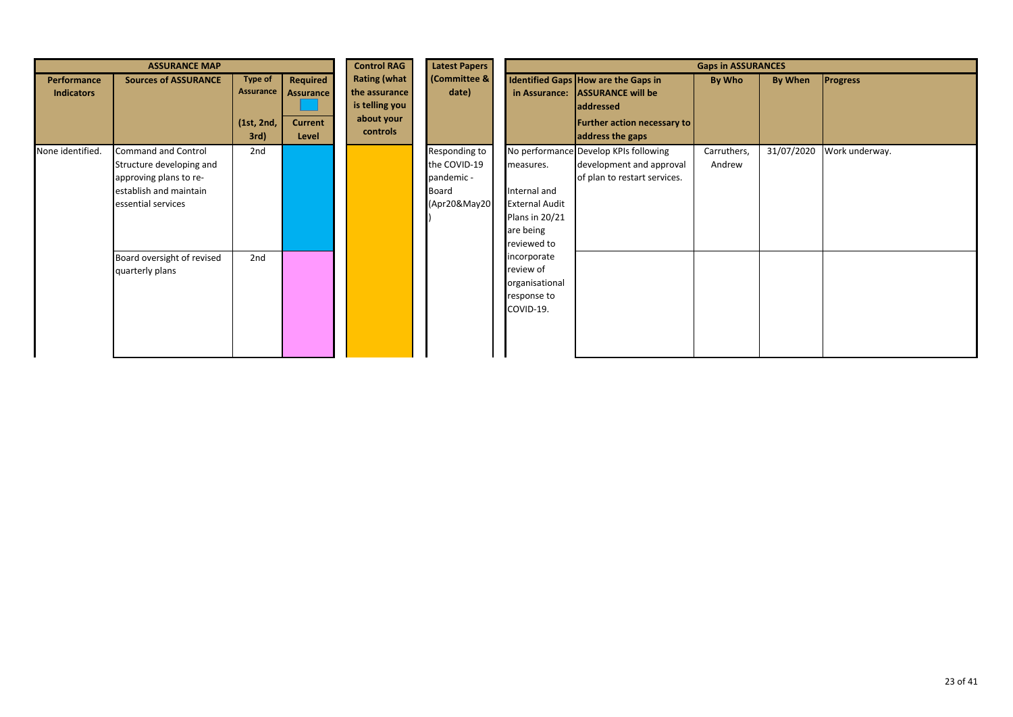|                                         | <b>ASSURANCE MAP</b>                                                                                                             |                                                   |                                                         | <b>Control RAG</b>                                                               | <b>Latest Papers</b>                                                 | <b>Gaps in ASSURANCES</b>                                                                        |                                                                                                                                        |                       |            |                 |  |
|-----------------------------------------|----------------------------------------------------------------------------------------------------------------------------------|---------------------------------------------------|---------------------------------------------------------|----------------------------------------------------------------------------------|----------------------------------------------------------------------|--------------------------------------------------------------------------------------------------|----------------------------------------------------------------------------------------------------------------------------------------|-----------------------|------------|-----------------|--|
| <b>Performance</b><br><b>Indicators</b> | <b>Sources of ASSURANCE</b>                                                                                                      | <b>Type of</b><br>Assurance<br>(1st, 2nd,<br>3rd) | Required<br><b>Assurance</b><br><b>Current</b><br>Level | <b>Rating (what</b><br>the assurance<br>is telling you<br>about your<br>controls | (Committee &<br>date)                                                |                                                                                                  | Identified Gaps How are the Gaps in<br>in Assurance: ASSURANCE will be<br>addressed<br>Further action necessary to<br>address the gaps | By Who                | By When    | <b>Progress</b> |  |
| None identified.                        | <b>Command and Control</b><br>Structure developing and<br>approving plans to re-<br>establish and maintain<br>essential services | 2nd                                               |                                                         |                                                                                  | Responding to<br>the COVID-19<br>pandemic -<br>Board<br>(Apr20&May20 | measures.<br>Internal and<br><b>External Audit</b><br>Plans in 20/21<br>are being<br>reviewed to | No performance Develop KPIs following<br>development and approval<br>of plan to restart services.                                      | Carruthers,<br>Andrew | 31/07/2020 | Work underway.  |  |
|                                         | Board oversight of revised<br>quarterly plans                                                                                    | 2nd                                               |                                                         |                                                                                  |                                                                      | incorporate<br>review of<br>organisational<br>response to<br>COVID-19.                           |                                                                                                                                        |                       |            |                 |  |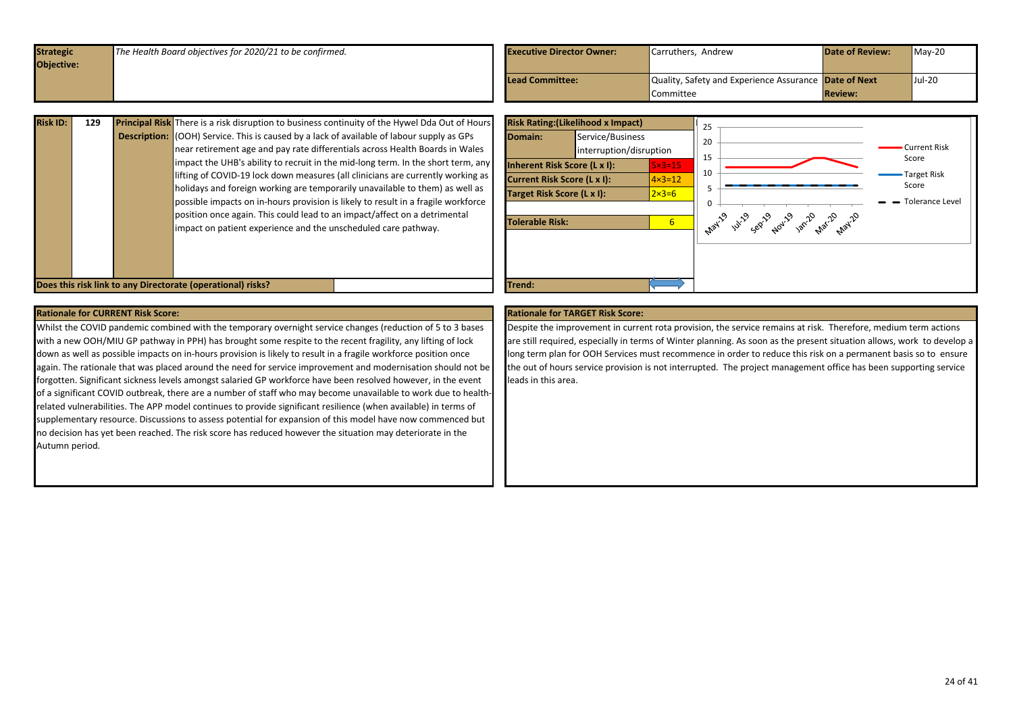<span id="page-23-0"></span>

| <b>Strategic</b><br>Objective: | The Health Board objectives for 2020/21 to be confirmed. | <b>Executive Director Owner:</b> | Carruthers, Andrew                                                 | <b>Date of Review:</b> | $Mav-20$ |
|--------------------------------|----------------------------------------------------------|----------------------------------|--------------------------------------------------------------------|------------------------|----------|
|                                |                                                          | Lead Committee:                  | Quality, Safety and Experience Assurance Date of Next<br>Committee | <b>Review:</b>         | $Jul-20$ |

| <b>Risk ID:</b> | 129 | <b>Principal Risk</b> There is a risk disruption to business continuity of the Hywel Dda Out of Hours<br><b>Description:</b> (OOH) Service. This is caused by a lack of available of labour supply as GPs<br>near retirement age and pay rate differentials across Health Boards in Wales<br>impact the UHB's ability to recruit in the mid-long term. In the short term, any<br>lifting of COVID-19 lock down measures (all clinicians are currently working as<br>holidays and foreign working are temporarily unavailable to them) as well as<br>possible impacts on in-hours provision is likely to result in a fragile workforce<br>position once again. This could lead to an impact/affect on a detrimental<br>impact on patient experience and the unscheduled care pathway.<br>Does this risk link to any Directorate (operational) risks? |  | Domain:<br>Inherent Risk Score (L x I):<br><b>Current Risk Score (L x I):</b><br>Target Risk Score (L x I):<br>Tolerable Risk:<br>Trend: | <b>Risk Rating: (Likelihood x Impact)</b><br>Service/Business<br>interruption/disruption | $5 \times 3 = 15$<br>$\vert 4 \times 3 = 12 \vert$<br>$2\times 3=6$<br>6 <sup>1</sup> | -25<br>20<br>15 | 1 141-2 cep 1-201-2 par 2 nat 2 nat 2 | <b>Current Risk</b><br>Score<br>Target Risk<br>Score<br>Tolerance Level |
|-----------------|-----|-----------------------------------------------------------------------------------------------------------------------------------------------------------------------------------------------------------------------------------------------------------------------------------------------------------------------------------------------------------------------------------------------------------------------------------------------------------------------------------------------------------------------------------------------------------------------------------------------------------------------------------------------------------------------------------------------------------------------------------------------------------------------------------------------------------------------------------------------------|--|------------------------------------------------------------------------------------------------------------------------------------------|------------------------------------------------------------------------------------------|---------------------------------------------------------------------------------------|-----------------|---------------------------------------|-------------------------------------------------------------------------|
|-----------------|-----|-----------------------------------------------------------------------------------------------------------------------------------------------------------------------------------------------------------------------------------------------------------------------------------------------------------------------------------------------------------------------------------------------------------------------------------------------------------------------------------------------------------------------------------------------------------------------------------------------------------------------------------------------------------------------------------------------------------------------------------------------------------------------------------------------------------------------------------------------------|--|------------------------------------------------------------------------------------------------------------------------------------------|------------------------------------------------------------------------------------------|---------------------------------------------------------------------------------------|-----------------|---------------------------------------|-------------------------------------------------------------------------|

Whilst the COVID pandemic combined with the temporary overnight service changes (reduction of 5 to 3 bases with a new OOH/MIU GP pathway in PPH) has brought some respite to the recent fragility, any lifting of lock down as well as possible impacts on in-hours provision is likely to result in a fragile workforce position once again. The rationale that was placed around the need for service improvement and modernisation should not be forgotten. Significant sickness levels amongst salaried GP workforce have been resolved however, in the event of a significant COVID outbreak, there are a number of staff who may become unavailable to work due to healthrelated vulnerabilities. The APP model continues to provide significant resilience (when available) in terms of supplementary resource. Discussions to assess potential for expansion of this model have now commenced but no decision has yet been reached. The risk score has reduced however the situation may deteriorate in the Autumn period.

Despite the improvement in current rota provision, the service remains at risk. Therefore, medium term actions are still required, especially in terms of Winter planning. As soon as the present situation allows, work to develop a long term plan for OOH Services must recommence in order to reduce this risk on a permanent basis so to ensure the out of hours service provision is not interrupted. The project management office has been supporting service leads in this area.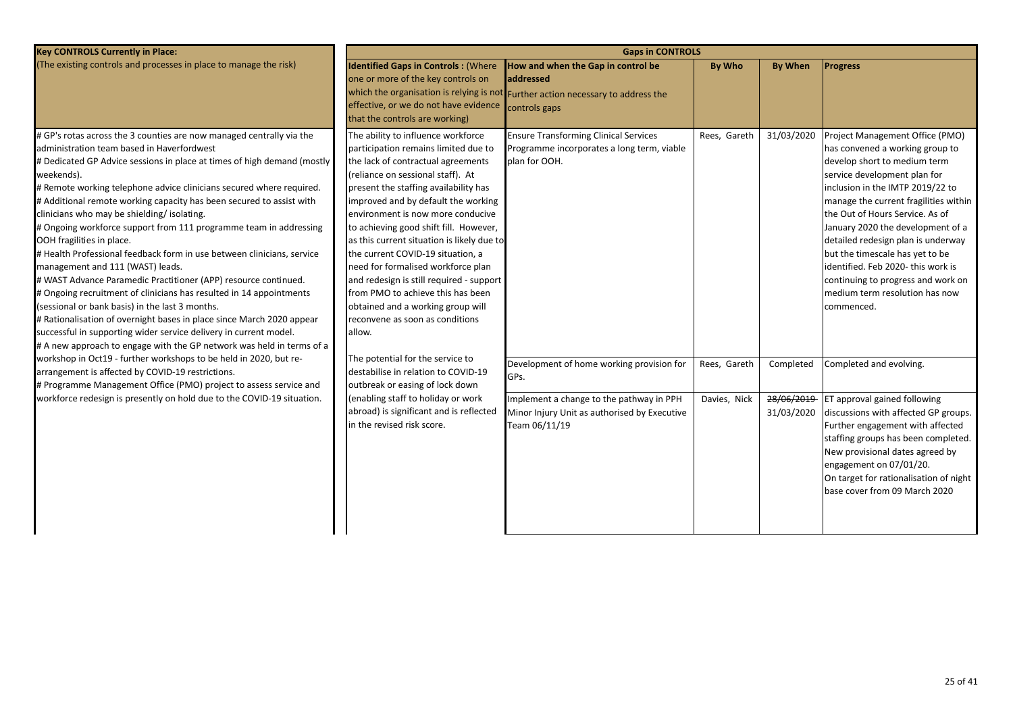| <b>Identified Gaps in Controls: (Where</b><br>one or more of the key controls on<br>that the controls are working)                                                                                                                                                                                                                                                                                                                                                                                                     | How and when the Gap in control be<br>laddressed                                                                                                               | <b>By Who</b>                                                                                                                                                                                                                     | <b>By When</b>                        | <b>Progress</b>                                                                                                                                                                                                                                                                                                                                                                                                                                                                              |
|------------------------------------------------------------------------------------------------------------------------------------------------------------------------------------------------------------------------------------------------------------------------------------------------------------------------------------------------------------------------------------------------------------------------------------------------------------------------------------------------------------------------|----------------------------------------------------------------------------------------------------------------------------------------------------------------|-----------------------------------------------------------------------------------------------------------------------------------------------------------------------------------------------------------------------------------|---------------------------------------|----------------------------------------------------------------------------------------------------------------------------------------------------------------------------------------------------------------------------------------------------------------------------------------------------------------------------------------------------------------------------------------------------------------------------------------------------------------------------------------------|
| The ability to influence workforce<br>participation remains limited due to<br>the lack of contractual agreements<br>(reliance on sessional staff). At<br>present the staffing availability has<br>improved and by default the working<br>environment is now more conducive<br>to achieving good shift fill. However,<br>the current COVID-19 situation, a<br>need for formalised workforce plan<br>from PMO to achieve this has been<br>obtained and a working group will<br>reconvene as soon as conditions<br>allow. | <b>Ensure Transforming Clinical Services</b><br>Programme incorporates a long term, viable<br>plan for OOH.                                                    | Rees, Gareth                                                                                                                                                                                                                      | 31/03/2020                            | Project Management Office (PMO)<br>has convened a working group to<br>develop short to medium term<br>service development plan for<br>inclusion in the IMTP 2019/22 to<br>manage the current fragilities within<br>the Out of Hours Service. As of<br>January 2020 the development of a<br>detailed redesign plan is underway<br>but the timescale has yet to be<br>identified. Feb 2020- this work is<br>continuing to progress and work on<br>medium term resolution has now<br>commenced. |
| The potential for the service to<br>destabilise in relation to COVID-19<br>outbreak or easing of lock down<br>(enabling staff to holiday or work<br>abroad) is significant and is reflected<br>in the revised risk score.                                                                                                                                                                                                                                                                                              | Development of home working provision for<br>GPs.<br>Implement a change to the pathway in PPH<br>Minor Injury Unit as authorised by Executive<br>Team 06/11/19 | Rees, Gareth<br>Davies, Nick                                                                                                                                                                                                      | Completed<br>28/06/2019<br>31/03/2020 | Completed and evolving.<br>ET approval gained following<br>discussions with affected GP groups.<br>Further engagement with affected<br>staffing groups has been completed.<br>New provisional dates agreed by<br>engagement on 07/01/20.<br>On target for rationalisation of night<br>base cover from 09 March 2020                                                                                                                                                                          |
|                                                                                                                                                                                                                                                                                                                                                                                                                                                                                                                        |                                                                                                                                                                | which the organisation is relying is not Further action necessary to address the<br>effective, or we do not have evidence controls gaps<br>as this current situation is likely due to<br>and redesign is still required - support | <b>Gaps in CONTROLS</b>               |                                                                                                                                                                                                                                                                                                                                                                                                                                                                                              |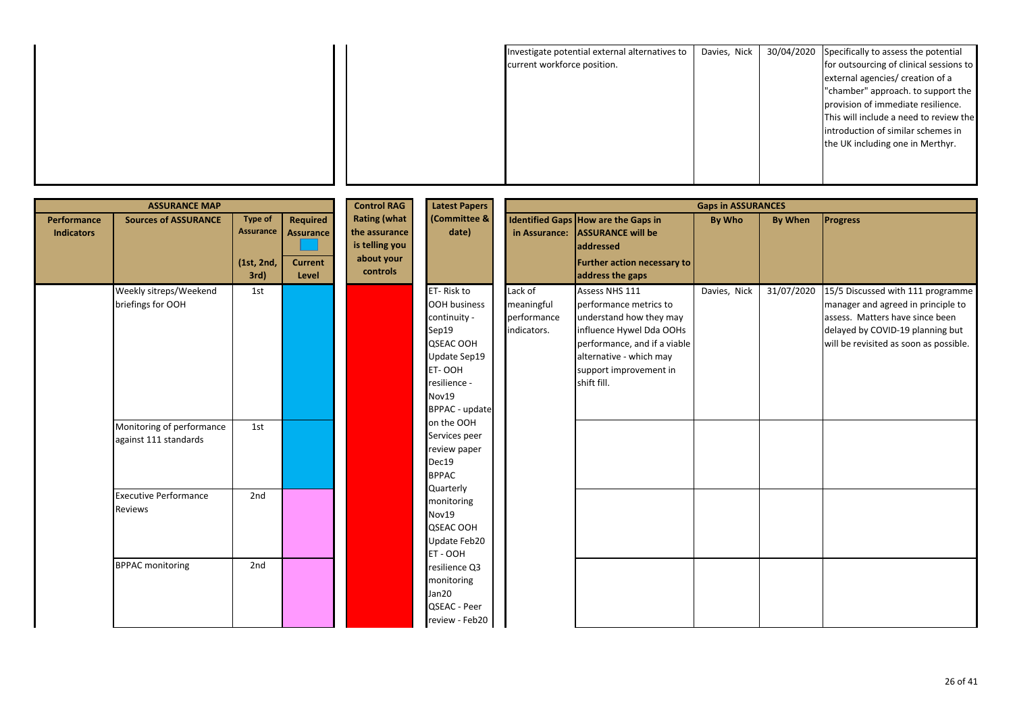|  | Investigate potential external alternatives to | Davies, Nick | 30/04/2020 Specifically to assess the potential |
|--|------------------------------------------------|--------------|-------------------------------------------------|
|  | current workforce position.                    |              | for outsourcing of clinical sessions to         |
|  |                                                |              | external agencies/ creation of a                |
|  |                                                |              | "chamber" approach. to support the              |
|  |                                                |              | provision of immediate resilience.              |
|  |                                                |              | This will include a need to review the          |
|  |                                                |              | introduction of similar schemes in              |
|  |                                                |              | the UK including one in Merthyr.                |
|  |                                                |              |                                                 |
|  |                                                |              |                                                 |
|  |                                                |              |                                                 |

|                                  | <b>ASSURANCE MAP</b>                               |                                                          |                                                                | <b>Control RAG</b><br><b>Latest Papers</b><br><b>Gaps in ASSURANCES</b>          |                                                                                                                                       |                                                     |                                                                                                                                                                                                     |              |                |                                                                                                                                                                                          |  |  |
|----------------------------------|----------------------------------------------------|----------------------------------------------------------|----------------------------------------------------------------|----------------------------------------------------------------------------------|---------------------------------------------------------------------------------------------------------------------------------------|-----------------------------------------------------|-----------------------------------------------------------------------------------------------------------------------------------------------------------------------------------------------------|--------------|----------------|------------------------------------------------------------------------------------------------------------------------------------------------------------------------------------------|--|--|
| Performance<br><b>Indicators</b> | <b>Sources of ASSURANCE</b>                        | <b>Type of</b><br><b>Assurance</b><br>(1st, 2nd,<br>3rd) | <b>Required</b><br><b>Assurance</b><br><b>Current</b><br>Level | <b>Rating (what</b><br>the assurance<br>is telling you<br>about your<br>controls | (Committee &<br>date)                                                                                                                 |                                                     | Identified Gaps How are the Gaps in<br>in Assurance: ASSURANCE will be<br><b>addressed</b><br><b>Further action necessary to</b><br>address the gaps                                                | By Who       | <b>By When</b> | <b>Progress</b>                                                                                                                                                                          |  |  |
|                                  | Weekly sitreps/Weekend<br>briefings for OOH        | 1st                                                      |                                                                |                                                                                  | ET-Risk to<br>OOH business<br>continuity -<br>Sep19<br>QSEAC OOH<br>Update Sep19<br>ET-OOH<br>resilience -<br>Nov19<br>BPPAC - update | Lack of<br>meaningful<br>performance<br>indicators. | Assess NHS 111<br>performance metrics to<br>understand how they may<br>influence Hywel Dda OOHs<br>performance, and if a viable<br>alternative - which may<br>support improvement in<br>shift fill. | Davies, Nick | 31/07/2020     | 15/5 Discussed with 111 programme<br>manager and agreed in principle to<br>assess. Matters have since been<br>delayed by COVID-19 planning but<br>will be revisited as soon as possible. |  |  |
|                                  | Monitoring of performance<br>against 111 standards | 1st                                                      |                                                                |                                                                                  | on the OOH<br>Services peer<br>review paper<br>Dec19<br><b>BPPAC</b>                                                                  |                                                     |                                                                                                                                                                                                     |              |                |                                                                                                                                                                                          |  |  |
|                                  | <b>Executive Performance</b><br>Reviews            | 2nd                                                      |                                                                |                                                                                  | Quarterly<br>monitoring<br>Nov19<br>QSEAC OOH<br>Update Feb20<br>ET - OOH                                                             |                                                     |                                                                                                                                                                                                     |              |                |                                                                                                                                                                                          |  |  |
|                                  | <b>BPPAC monitoring</b>                            | 2nd                                                      |                                                                |                                                                                  | resilience Q3<br>monitoring<br>Jan20<br>QSEAC - Peer<br>review - Feb20                                                                |                                                     |                                                                                                                                                                                                     |              |                |                                                                                                                                                                                          |  |  |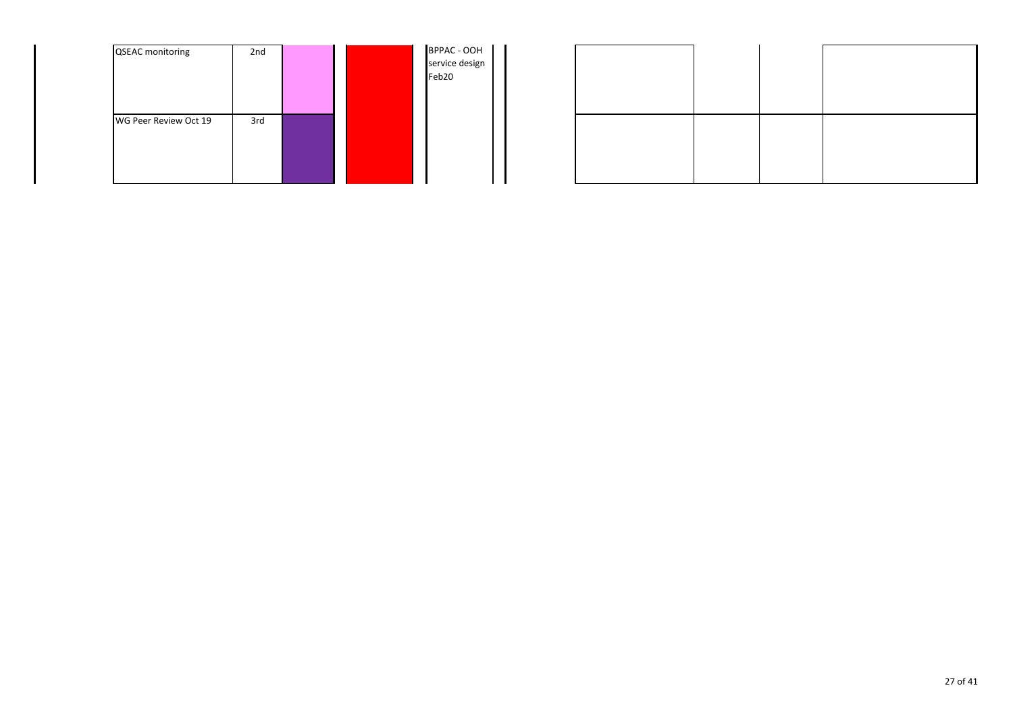| <b>QSEAC</b> monitoring | 2nd |  | BPPAC - OOH<br>service design<br>Feb20 |
|-------------------------|-----|--|----------------------------------------|
| WG Peer Review Oct 19   | 3rd |  |                                        |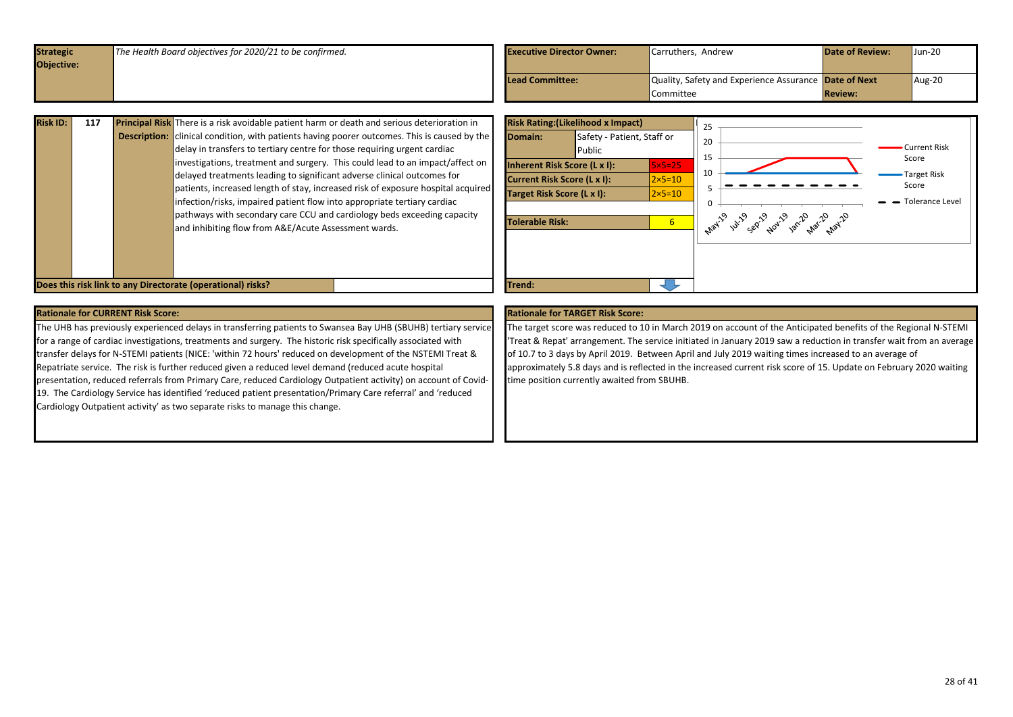<span id="page-27-0"></span>

| <b>Strategic</b><br>Objective: | The Health Board objectives for 2020/21 to be confirmed. |  | <b>Executive Director Owner:</b> | Carruthers, Andrew                                                 | <b>Date of Review:</b> | $Jun-20$ |
|--------------------------------|----------------------------------------------------------|--|----------------------------------|--------------------------------------------------------------------|------------------------|----------|
|                                |                                                          |  | Lead Committee:                  | Quality, Safety and Experience Assurance Date of Next<br>Committee | <b>Review:</b>         | Aug-20   |

| <b>Risk ID:</b> | 117 |                     | <b>Principal Risk</b> There is a risk avoidable patient harm or death and serious deterioration in                                                                                                                                                                                                                                                                                                                                                                                                                                                                                                                         | <b>Risk Rating: (Likelihood</b>                                                                                             |                  |
|-----------------|-----|---------------------|----------------------------------------------------------------------------------------------------------------------------------------------------------------------------------------------------------------------------------------------------------------------------------------------------------------------------------------------------------------------------------------------------------------------------------------------------------------------------------------------------------------------------------------------------------------------------------------------------------------------------|-----------------------------------------------------------------------------------------------------------------------------|------------------|
|                 |     | <b>Description:</b> | clinical condition, with patients having poorer outcomes. This is caused by the<br>delay in transfers to tertiary centre for those requiring urgent cardiac<br>investigations, treatment and surgery. This could lead to an impact/affect on<br>delayed treatments leading to significant adverse clinical outcomes for<br>patients, increased length of stay, increased risk of exposure hospital acquired<br>infection/risks, impaired patient flow into appropriate tertiary cardiac<br>pathways with secondary care CCU and cardiology beds exceeding capacity<br>and inhibiting flow from A&E/Acute Assessment wards. | Domain:<br>Inherent Risk Score (L)<br><b>Current Risk Score (L x</b><br><b>Target Risk Score (L x I)</b><br>Tolerable Risk: | Safety<br>Public |

![](_page_27_Figure_2.jpeg)

The UHB has previously experienced delays in transferring patients to Swansea Bay UHB (SBUHB) tertiary service for a range of cardiac investigations, treatments and surgery. The historic risk specifically associated with transfer delays for N-STEMI patients (NICE: 'within 72 hours' reduced on development of the NSTEMI Treat & Repatriate service. The risk is further reduced given a reduced level demand (reduced acute hospital presentation, reduced referrals from Primary Care, reduced Cardiology Outpatient activity) on account of Covid-19. The Cardiology Service has identified 'reduced patient presentation/Primary Care referral' and 'reduced Cardiology Outpatient activity' as two separate risks to manage this change.

The target score was reduced to 10 in March 2019 on account of the Anticipated benefits of the Regional N-STEMI 'Treat & Repat' arrangement. The service initiated in January 2019 saw a reduction in transfer wait from an average of 10.7 to 3 days by April 2019. Between April and July 2019 waiting times increased to an average of approximately 5.8 days and is reflected in the increased current risk score of 15. Update on February 2020 waiting time position currently awaited from SBUHB.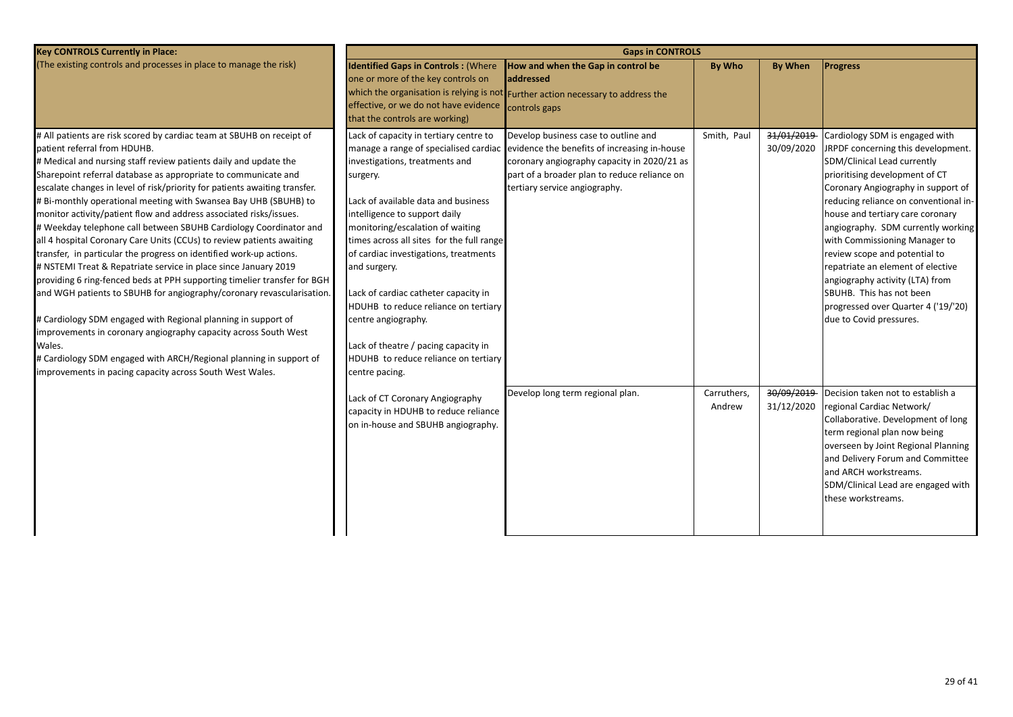| <b>Key CONTROLS Currently in Place:</b>                                                                                                                                                                                                                                                                                                                                                                                                                                                                                                                                                                                                                                                                                                                                                                                                                                                                                                                                                                                                                                                                                                                                                          |                                                                                                                                                                                                                                                                                                                                                                                                                                                                                                                                                          | <b>Gaps in CONTROLS</b>                                                                                                                                                                                              |                       |                          |                                                                                                                                                                                                                                                                                                                                                                                                                                                                                                                                        |
|--------------------------------------------------------------------------------------------------------------------------------------------------------------------------------------------------------------------------------------------------------------------------------------------------------------------------------------------------------------------------------------------------------------------------------------------------------------------------------------------------------------------------------------------------------------------------------------------------------------------------------------------------------------------------------------------------------------------------------------------------------------------------------------------------------------------------------------------------------------------------------------------------------------------------------------------------------------------------------------------------------------------------------------------------------------------------------------------------------------------------------------------------------------------------------------------------|----------------------------------------------------------------------------------------------------------------------------------------------------------------------------------------------------------------------------------------------------------------------------------------------------------------------------------------------------------------------------------------------------------------------------------------------------------------------------------------------------------------------------------------------------------|----------------------------------------------------------------------------------------------------------------------------------------------------------------------------------------------------------------------|-----------------------|--------------------------|----------------------------------------------------------------------------------------------------------------------------------------------------------------------------------------------------------------------------------------------------------------------------------------------------------------------------------------------------------------------------------------------------------------------------------------------------------------------------------------------------------------------------------------|
| (The existing controls and processes in place to manage the risk)                                                                                                                                                                                                                                                                                                                                                                                                                                                                                                                                                                                                                                                                                                                                                                                                                                                                                                                                                                                                                                                                                                                                | <b>Identified Gaps in Controls: (Where</b><br>one or more of the key controls on<br>effective, or we do not have evidence<br>that the controls are working)                                                                                                                                                                                                                                                                                                                                                                                              | How and when the Gap in control be<br><b>addressed</b><br>which the organisation is relying is not Further action necessary to address the<br>controls gaps                                                          | <b>By Who</b>         | <b>By When</b>           | <b>Progress</b>                                                                                                                                                                                                                                                                                                                                                                                                                                                                                                                        |
| # All patients are risk scored by cardiac team at SBUHB on receipt of<br>patient referral from HDUHB.<br># Medical and nursing staff review patients daily and update the<br>Sharepoint referral database as appropriate to communicate and<br>escalate changes in level of risk/priority for patients awaiting transfer.<br># Bi-monthly operational meeting with Swansea Bay UHB (SBUHB) to<br>monitor activity/patient flow and address associated risks/issues.<br># Weekday telephone call between SBUHB Cardiology Coordinator and<br>all 4 hospital Coronary Care Units (CCUs) to review patients awaiting<br>transfer, in particular the progress on identified work-up actions.<br># NSTEMI Treat & Repatriate service in place since January 2019<br>providing 6 ring-fenced beds at PPH supporting timelier transfer for BGH<br>and WGH patients to SBUHB for angiography/coronary revascularisation.<br># Cardiology SDM engaged with Regional planning in support of<br>improvements in coronary angiography capacity across South West<br>Wales.<br># Cardiology SDM engaged with ARCH/Regional planning in support of<br>improvements in pacing capacity across South West Wales. | Lack of capacity in tertiary centre to<br>manage a range of specialised cardiac<br>investigations, treatments and<br>surgery.<br>Lack of available data and business<br>intelligence to support daily<br>monitoring/escalation of waiting<br>times across all sites for the full range<br>of cardiac investigations, treatments<br>and surgery.<br>Lack of cardiac catheter capacity in<br>HDUHB to reduce reliance on tertiary<br>centre angiography.<br>Lack of theatre / pacing capacity in<br>HDUHB to reduce reliance on tertiary<br>centre pacing. | Develop business case to outline and<br>evidence the benefits of increasing in-house<br>coronary angiography capacity in 2020/21 as<br>part of a broader plan to reduce reliance on<br>tertiary service angiography. | Smith, Paul           | 31/01/2019<br>30/09/2020 | Cardiology SDM is engaged with<br>JRPDF concerning this development.<br>SDM/Clinical Lead currently<br>prioritising development of CT<br>Coronary Angiography in support of<br>reducing reliance on conventional in-<br>house and tertiary care coronary<br>angiography. SDM currently working<br>with Commissioning Manager to<br>review scope and potential to<br>repatriate an element of elective<br>angiography activity (LTA) from<br>SBUHB. This has not been<br>progressed over Quarter 4 ('19/'20)<br>due to Covid pressures. |
|                                                                                                                                                                                                                                                                                                                                                                                                                                                                                                                                                                                                                                                                                                                                                                                                                                                                                                                                                                                                                                                                                                                                                                                                  | Lack of CT Coronary Angiography<br>capacity in HDUHB to reduce reliance<br>on in-house and SBUHB angiography.                                                                                                                                                                                                                                                                                                                                                                                                                                            | Develop long term regional plan.                                                                                                                                                                                     | Carruthers,<br>Andrew | 30/09/2019<br>31/12/2020 | Decision taken not to establish a<br>regional Cardiac Network/<br>Collaborative. Development of long<br>term regional plan now being<br>overseen by Joint Regional Planning<br>and Delivery Forum and Committee<br>and ARCH workstreams.<br>SDM/Clinical Lead are engaged with<br>these workstreams.                                                                                                                                                                                                                                   |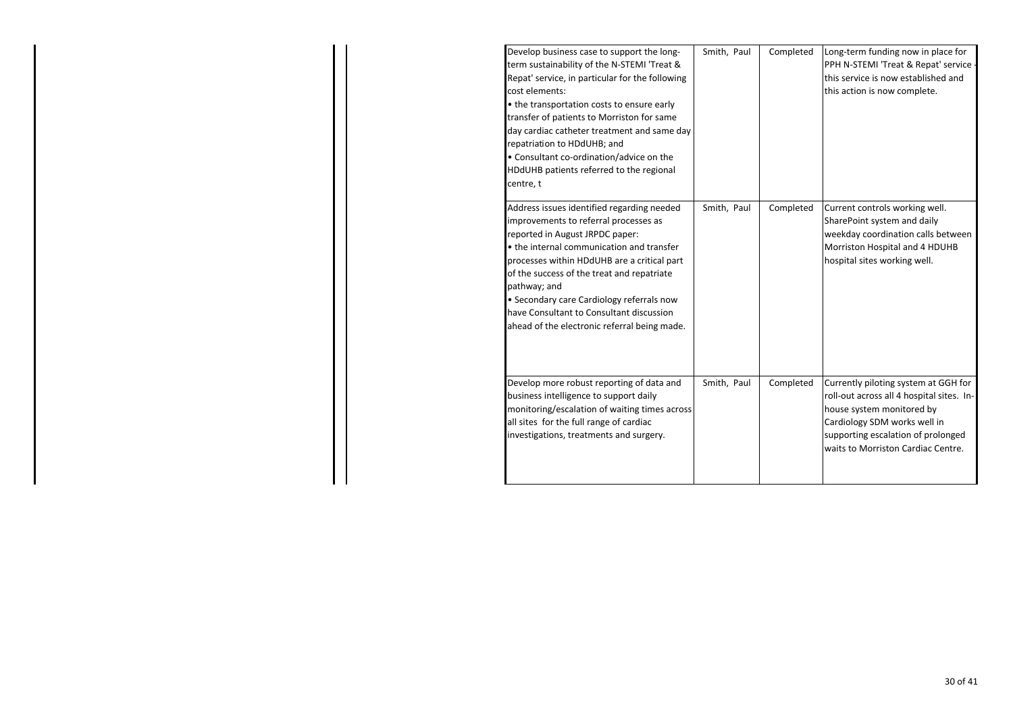| Develop business case to support the long-<br>term sustainability of the N-STEMI 'Treat &<br>Repat' service, in particular for the following<br>cost elements:<br>• the transportation costs to ensure early<br>transfer of patients to Morriston for same<br>day cardiac catheter treatment and same day<br>repatriation to HDdUHB; and<br>• Consultant co-ordination/advice on the<br>HDdUHB patients referred to the regional<br>centre, t | Smith, Paul | Completed | Long-term funding now in place for<br>PPH N-STEMI 'Treat & Repat' service -<br>this service is now established and<br>this action is now complete.                                                                         |
|-----------------------------------------------------------------------------------------------------------------------------------------------------------------------------------------------------------------------------------------------------------------------------------------------------------------------------------------------------------------------------------------------------------------------------------------------|-------------|-----------|----------------------------------------------------------------------------------------------------------------------------------------------------------------------------------------------------------------------------|
| Address issues identified regarding needed<br>improvements to referral processes as<br>reported in August JRPDC paper:<br>• the internal communication and transfer<br>processes within HDdUHB are a critical part<br>of the success of the treat and repatriate<br>pathway; and<br>• Secondary care Cardiology referrals now<br>have Consultant to Consultant discussion<br>ahead of the electronic referral being made.                     | Smith, Paul | Completed | Current controls working well.<br>SharePoint system and daily<br>weekday coordination calls between<br>Morriston Hospital and 4 HDUHB<br>hospital sites working well.                                                      |
| Develop more robust reporting of data and<br>business intelligence to support daily<br>monitoring/escalation of waiting times across<br>all sites for the full range of cardiac<br>investigations, treatments and surgery.                                                                                                                                                                                                                    | Smith, Paul | Completed | Currently piloting system at GGH for<br>roll-out across all 4 hospital sites. In-<br>house system monitored by<br>Cardiology SDM works well in<br>supporting escalation of prolonged<br>waits to Morriston Cardiac Centre. |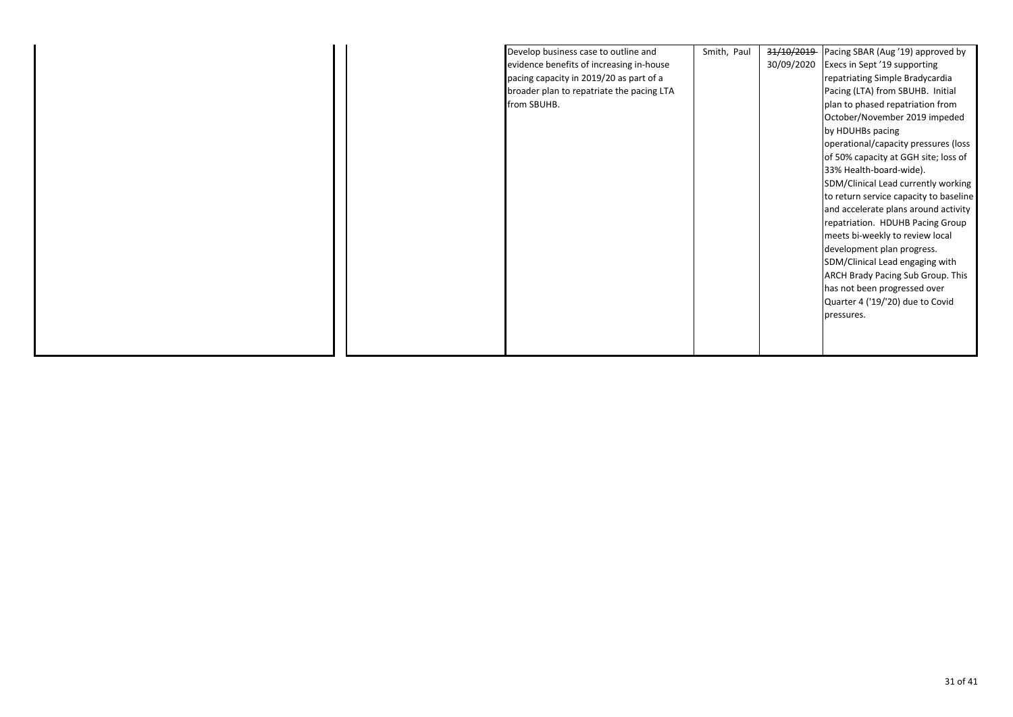|  | Develop business case to outline and      | Smith, Paul | 31/10/2019 | Pacing SBAR (Aug '19) approved by      |
|--|-------------------------------------------|-------------|------------|----------------------------------------|
|  | evidence benefits of increasing in-house  |             | 30/09/2020 | Execs in Sept '19 supporting           |
|  | pacing capacity in 2019/20 as part of a   |             |            | repatriating Simple Bradycardia        |
|  | broader plan to repatriate the pacing LTA |             |            | Pacing (LTA) from SBUHB. Initial       |
|  | from SBUHB.                               |             |            | plan to phased repatriation from       |
|  |                                           |             |            | October/November 2019 impeded          |
|  |                                           |             |            | by HDUHBs pacing                       |
|  |                                           |             |            | operational/capacity pressures (loss   |
|  |                                           |             |            | of 50% capacity at GGH site; loss of   |
|  |                                           |             |            | 33% Health-board-wide).                |
|  |                                           |             |            | SDM/Clinical Lead currently working    |
|  |                                           |             |            | to return service capacity to baseline |
|  |                                           |             |            | and accelerate plans around activity   |
|  |                                           |             |            | repatriation. HDUHB Pacing Group       |
|  |                                           |             |            | meets bi-weekly to review local        |
|  |                                           |             |            | development plan progress.             |
|  |                                           |             |            | SDM/Clinical Lead engaging with        |
|  |                                           |             |            | ARCH Brady Pacing Sub Group. This      |
|  |                                           |             |            | has not been progressed over           |
|  |                                           |             |            | Quarter 4 ('19/'20) due to Covid       |
|  |                                           |             |            | pressures.                             |
|  |                                           |             |            |                                        |
|  |                                           |             |            |                                        |
|  |                                           |             |            |                                        |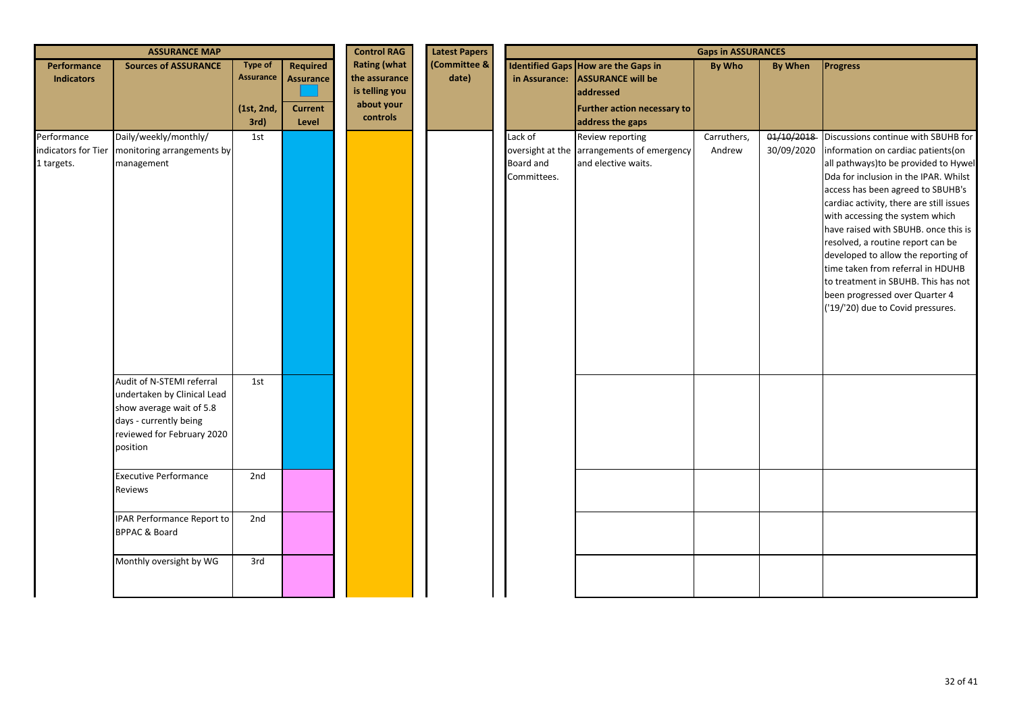| <b>ASSURANCE MAP</b>                             |                                                                                                                                                          |                                                          | <b>Control RAG</b><br><b>Latest Papers</b>                     | <b>Gaps in ASSURANCES</b>                                                        |                       |                                     |                                                                                                                                               |                       |                          |                                                                                                                                                                                                                                                                                                                                                                                                                                                                                                                                                        |
|--------------------------------------------------|----------------------------------------------------------------------------------------------------------------------------------------------------------|----------------------------------------------------------|----------------------------------------------------------------|----------------------------------------------------------------------------------|-----------------------|-------------------------------------|-----------------------------------------------------------------------------------------------------------------------------------------------|-----------------------|--------------------------|--------------------------------------------------------------------------------------------------------------------------------------------------------------------------------------------------------------------------------------------------------------------------------------------------------------------------------------------------------------------------------------------------------------------------------------------------------------------------------------------------------------------------------------------------------|
| Performance<br><b>Indicators</b>                 | <b>Sources of ASSURANCE</b>                                                                                                                              | <b>Type of</b><br><b>Assurance</b><br>(1st, 2nd,<br>3rd) | <b>Required</b><br><b>Assurance</b><br><b>Current</b><br>Level | <b>Rating (what</b><br>the assurance<br>is telling you<br>about your<br>controls | (Committee &<br>date) |                                     | Identified Gaps How are the Gaps in<br>in Assurance: ASSURANCE will be<br>addressed<br><b>Further action necessary to</b><br>address the gaps | <b>By Who</b>         | <b>By When</b>           | <b>Progress</b>                                                                                                                                                                                                                                                                                                                                                                                                                                                                                                                                        |
| Performance<br>indicators for Tier<br>1 targets. | Daily/weekly/monthly/<br>monitoring arrangements by<br>management                                                                                        | 1st                                                      |                                                                |                                                                                  |                       | Lack of<br>Board and<br>Committees. | Review reporting<br>oversight at the arrangements of emergency<br>and elective waits.                                                         | Carruthers,<br>Andrew | 01/10/2018<br>30/09/2020 | Discussions continue with SBUHB for<br>information on cardiac patients(on<br>all pathways) to be provided to Hywel<br>Dda for inclusion in the IPAR. Whilst<br>access has been agreed to SBUHB's<br>cardiac activity, there are still issues<br>with accessing the system which<br>have raised with SBUHB. once this is<br>resolved, a routine report can be<br>developed to allow the reporting of<br>time taken from referral in HDUHB<br>to treatment in SBUHB. This has not<br>been progressed over Quarter 4<br>('19/'20) due to Covid pressures. |
|                                                  | Audit of N-STEMI referral<br>undertaken by Clinical Lead<br>show average wait of 5.8<br>days - currently being<br>reviewed for February 2020<br>position | 1st                                                      |                                                                |                                                                                  |                       |                                     |                                                                                                                                               |                       |                          |                                                                                                                                                                                                                                                                                                                                                                                                                                                                                                                                                        |
|                                                  | <b>Executive Performance</b><br>Reviews                                                                                                                  | 2nd                                                      |                                                                |                                                                                  |                       |                                     |                                                                                                                                               |                       |                          |                                                                                                                                                                                                                                                                                                                                                                                                                                                                                                                                                        |
|                                                  | <b>IPAR Performance Report to</b><br><b>BPPAC &amp; Board</b>                                                                                            | 2nd                                                      |                                                                |                                                                                  |                       |                                     |                                                                                                                                               |                       |                          |                                                                                                                                                                                                                                                                                                                                                                                                                                                                                                                                                        |
|                                                  | Monthly oversight by WG                                                                                                                                  | 3rd                                                      |                                                                |                                                                                  |                       |                                     |                                                                                                                                               |                       |                          |                                                                                                                                                                                                                                                                                                                                                                                                                                                                                                                                                        |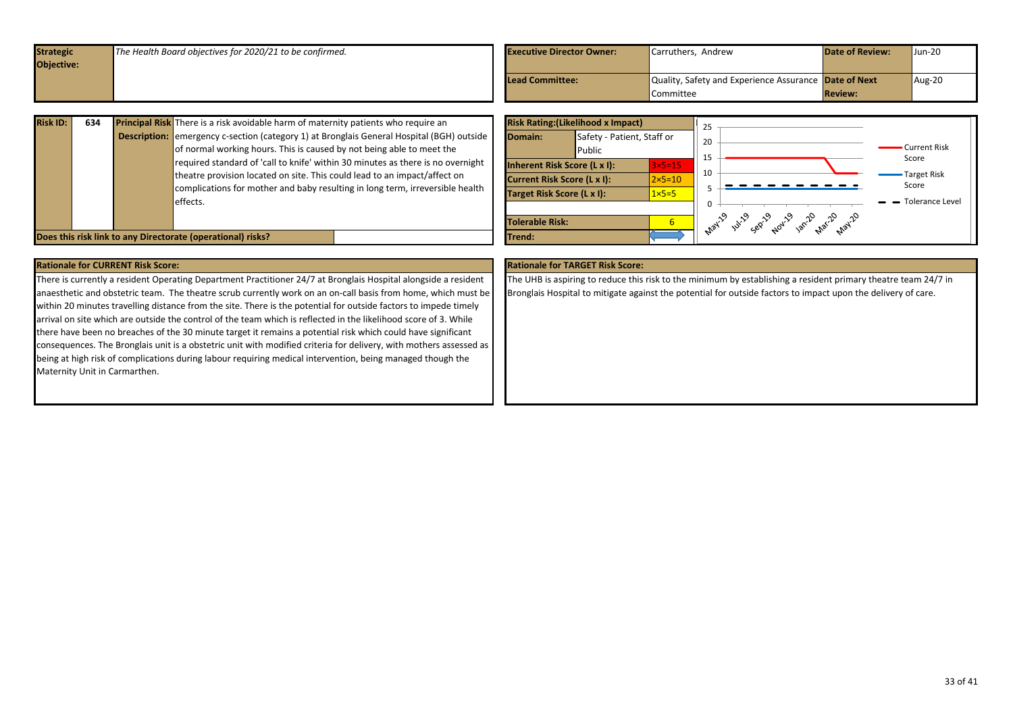<span id="page-32-0"></span>

| <b>Strategic</b>  | The Health Board objectives for 2020/21 to be confirmed. | <b>Executive Director Owner:</b> | Carruthers, Andrew                                    | <b>Date of Review:</b> | $Jun-20$ |
|-------------------|----------------------------------------------------------|----------------------------------|-------------------------------------------------------|------------------------|----------|
| <b>Objective:</b> |                                                          |                                  |                                                       |                        |          |
|                   |                                                          | <b>Lead Committee:</b>           | Quality, Safety and Experience Assurance Date of Next |                        | Aug-20   |
|                   |                                                          |                                  | Committee                                             | <b>Review:</b>         |          |
|                   |                                                          |                                  |                                                       |                        |          |

| <b>Risk ID:</b> | 634 | <b>Principal Risk</b> There is a risk avoidable harm of maternity patients who require an                                                                                                                                                                                                                                                                                                                                              |
|-----------------|-----|----------------------------------------------------------------------------------------------------------------------------------------------------------------------------------------------------------------------------------------------------------------------------------------------------------------------------------------------------------------------------------------------------------------------------------------|
|                 |     | <b>Description:</b> emergency c-section (category 1) at Bronglais General Hospital (BGH) outside<br>of normal working hours. This is caused by not being able to meet the<br>required standard of 'call to knife' within 30 minutes as there is no overnight<br>theatre provision located on site. This could lead to an impact/affect on<br>complications for mother and baby resulting in long term, irreversible health<br>effects. |

![](_page_32_Figure_2.jpeg)

| <b>Rationale for CURRENT Risk Score:</b>                                                                           | <b>Rationale for TARGET Risk Score:</b>                         |
|--------------------------------------------------------------------------------------------------------------------|-----------------------------------------------------------------|
| There is currently a resident Operating Department Practitioner 24/7 at Bronglais Hospital alongside a resident    | The UHB is aspiring to reduce this risk to the minimum by est   |
| anaesthetic and obstetric team. The theatre scrub currently work on an on-call basis from home, which must be      | Bronglais Hospital to mitigate against the potential for outsic |
| within 20 minutes travelling distance from the site. There is the potential for outside factors to impede timely   |                                                                 |
| arrival on site which are outside the control of the team which is reflected in the likelihood score of 3. While   |                                                                 |
| there have been no breaches of the 30 minute target it remains a potential risk which could have significant       |                                                                 |
| consequences. The Bronglais unit is a obstetric unit with modified criteria for delivery, with mothers assessed as |                                                                 |
| being at high risk of complications during labour requiring medical intervention, being managed though the         |                                                                 |
| Maternity Unit in Carmarthen.                                                                                      |                                                                 |
|                                                                                                                    |                                                                 |

stablishing a resident primary theatre team 24/7 in ide factors to impact upon the delivery of care.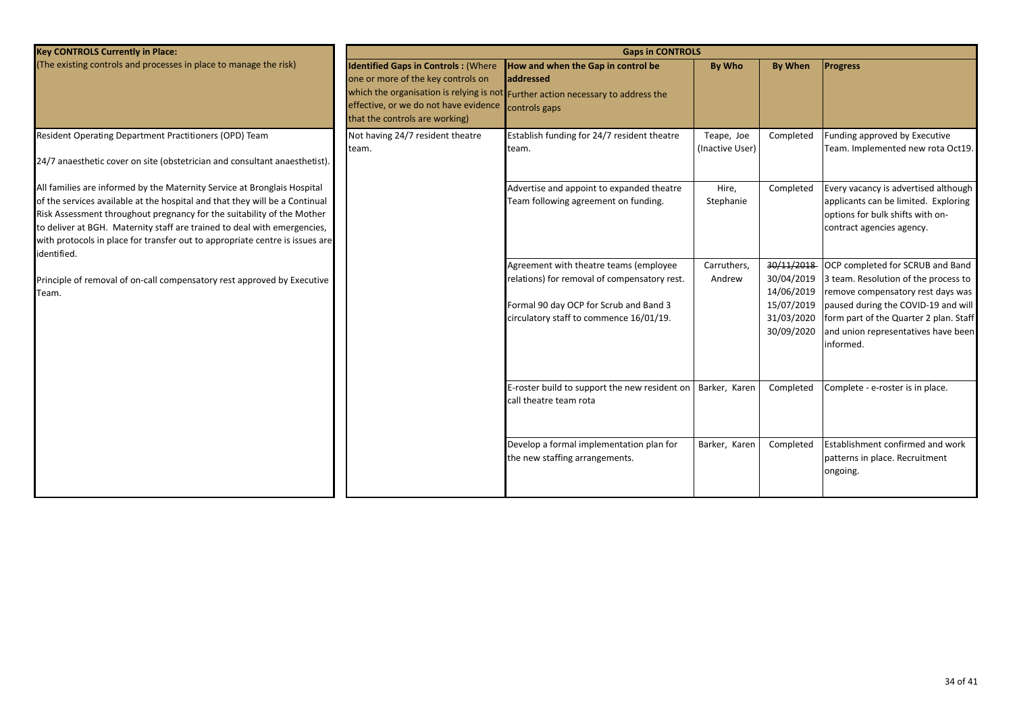| <b>Key CONTROLS Currently in Place:</b>                                                                                                                                                                                                                                                                                                                                                                      |                                                                                                                                                             | <b>Gaps in CONTROLS</b>                                                                                                                                                     |                               |                                                                                  |                                                                                                                                                                                                                                                    |
|--------------------------------------------------------------------------------------------------------------------------------------------------------------------------------------------------------------------------------------------------------------------------------------------------------------------------------------------------------------------------------------------------------------|-------------------------------------------------------------------------------------------------------------------------------------------------------------|-----------------------------------------------------------------------------------------------------------------------------------------------------------------------------|-------------------------------|----------------------------------------------------------------------------------|----------------------------------------------------------------------------------------------------------------------------------------------------------------------------------------------------------------------------------------------------|
| (The existing controls and processes in place to manage the risk)                                                                                                                                                                                                                                                                                                                                            | <b>Identified Gaps in Controls: (Where</b><br>one or more of the key controls on<br>effective, or we do not have evidence<br>that the controls are working) | How and when the Gap in control be<br>addressed<br>which the organisation is relying is not Further action necessary to address the<br>controls gaps                        | <b>By Who</b>                 | By When                                                                          | <b>Progress</b>                                                                                                                                                                                                                                    |
| Resident Operating Department Practitioners (OPD) Team<br>24/7 anaesthetic cover on site (obstetrician and consultant anaesthetist).                                                                                                                                                                                                                                                                         | Not having 24/7 resident theatre<br>team.                                                                                                                   | Establish funding for 24/7 resident theatre<br>team.                                                                                                                        | Teape, Joe<br>(Inactive User) | Completed                                                                        | Funding approved by Executive<br>Team. Implemented new rota Oct19.                                                                                                                                                                                 |
| All families are informed by the Maternity Service at Bronglais Hospital<br>of the services available at the hospital and that they will be a Continual<br>Risk Assessment throughout pregnancy for the suitability of the Mother<br>to deliver at BGH. Maternity staff are trained to deal with emergencies,<br>with protocols in place for transfer out to appropriate centre is issues are<br>identified. |                                                                                                                                                             | Advertise and appoint to expanded theatre<br>Team following agreement on funding.                                                                                           | Hire,<br>Stephanie            | Completed                                                                        | Every vacancy is advertised although<br>applicants can be limited. Exploring<br>options for bulk shifts with on-<br>contract agencies agency.                                                                                                      |
| Principle of removal of on-call compensatory rest approved by Executive<br>Team.                                                                                                                                                                                                                                                                                                                             |                                                                                                                                                             | Agreement with theatre teams (employee<br>relations) for removal of compensatory rest.<br>Formal 90 day OCP for Scrub and Band 3<br>circulatory staff to commence 16/01/19. | Carruthers,<br>Andrew         | 30/11/2018<br>30/04/2019<br>14/06/2019<br>15/07/2019<br>31/03/2020<br>30/09/2020 | OCP completed for SCRUB and Band<br>3 team. Resolution of the process to<br>remove compensatory rest days was<br>paused during the COVID-19 and will<br>form part of the Quarter 2 plan. Staff<br>and union representatives have been<br>informed. |
|                                                                                                                                                                                                                                                                                                                                                                                                              |                                                                                                                                                             | E-roster build to support the new resident on<br>call theatre team rota                                                                                                     | Barker, Karen                 | Completed                                                                        | Complete - e-roster is in place.                                                                                                                                                                                                                   |
|                                                                                                                                                                                                                                                                                                                                                                                                              |                                                                                                                                                             | Develop a formal implementation plan for<br>the new staffing arrangements.                                                                                                  | Barker, Karer                 | Completed                                                                        | Establishment confirmed and work<br>patterns in place. Recruitment<br>ongoing.                                                                                                                                                                     |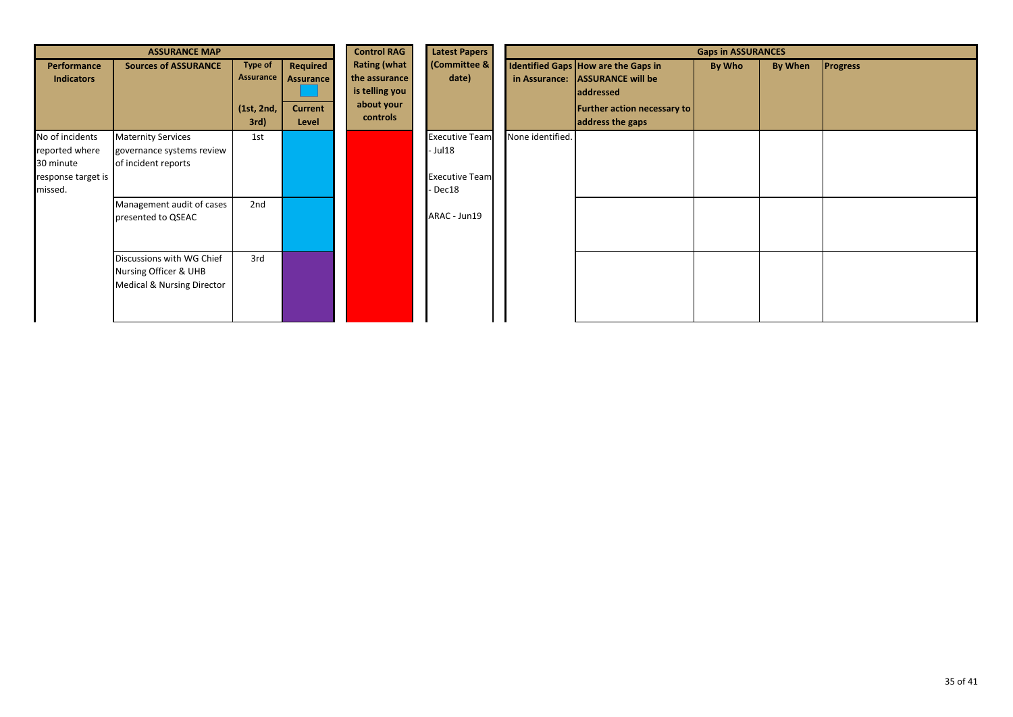| <b>ASSURANCE MAP</b>                                                            |                                                                                                                                  |                                                   | <b>Control RAG</b>                                      | <b>Latest Papers</b>                                                             | <b>Gaps in ASSURANCES</b>                                                           |                  |                                                                                                                                               |        |                |                 |
|---------------------------------------------------------------------------------|----------------------------------------------------------------------------------------------------------------------------------|---------------------------------------------------|---------------------------------------------------------|----------------------------------------------------------------------------------|-------------------------------------------------------------------------------------|------------------|-----------------------------------------------------------------------------------------------------------------------------------------------|--------|----------------|-----------------|
| Performance<br><b>Indicators</b>                                                | <b>Sources of ASSURANCE</b>                                                                                                      | <b>Type of</b><br>Assurance<br>(1st, 2nd,<br>3rd) | Required<br><b>Assurance</b><br><b>Current</b><br>Level | <b>Rating (what</b><br>the assurance<br>is telling you<br>about your<br>controls | (Committee &<br>date)                                                               |                  | Identified Gaps How are the Gaps in<br>in Assurance: ASSURANCE will be<br><b>addressed</b><br>Further action necessary to<br>address the gaps | By Who | <b>By When</b> | <b>Progress</b> |
| No of incidents<br>reported where<br>30 minute<br>response target is<br>missed. | <b>Maternity Services</b><br>governance systems review<br>of incident reports<br>Management audit of cases<br>presented to QSEAC | 1st<br>2nd                                        |                                                         |                                                                                  | <b>Executive Team</b><br>- Jul 18<br><b>Executive Team</b><br>Dec18<br>ARAC - Jun19 | None identified. |                                                                                                                                               |        |                |                 |
|                                                                                 | Discussions with WG Chief<br>Nursing Officer & UHB<br><b>Medical &amp; Nursing Director</b>                                      | 3rd                                               |                                                         |                                                                                  |                                                                                     |                  |                                                                                                                                               |        |                |                 |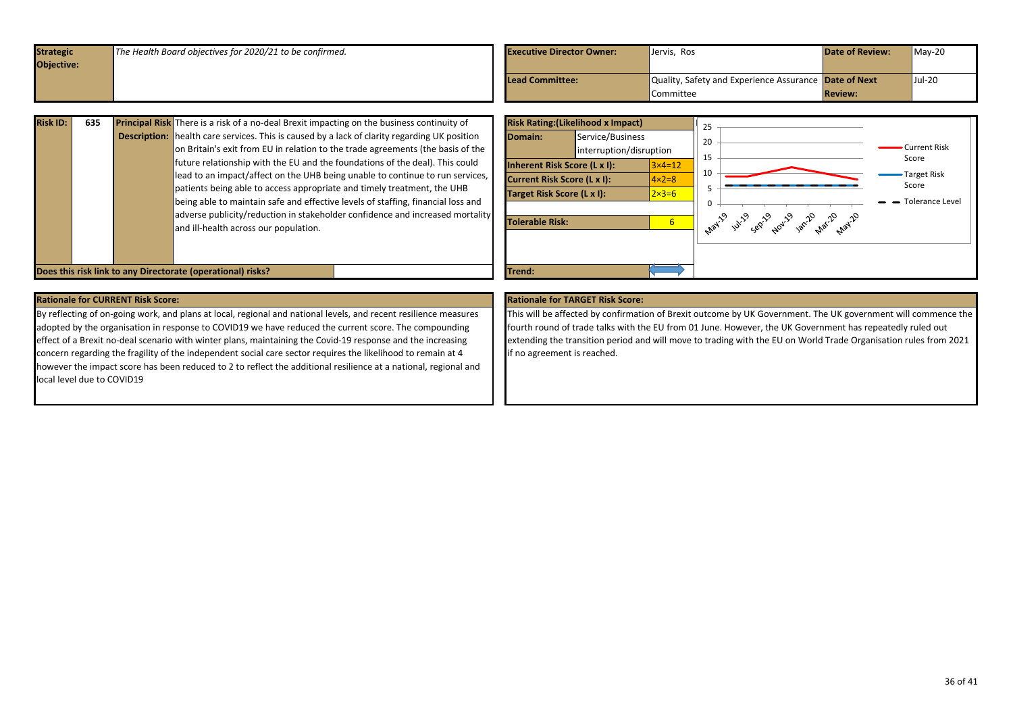<span id="page-35-0"></span>

| <b>Strategic</b><br><b>Objective:</b> | The Health Board objectives for 2020/21 to be confirmed. | <b>Executive Director Owner:</b> | Jervis, Ros                                                        | <b>Date of Review:</b> | $Mav-20$ |
|---------------------------------------|----------------------------------------------------------|----------------------------------|--------------------------------------------------------------------|------------------------|----------|
|                                       |                                                          | Lead Committee:                  | Quality, Safety and Experience Assurance Date of Next<br>Committee | <b>Review:</b>         | Jul-20   |

| 635 | <b>Principal Risk</b> There is a risk of a no-deal Brexit impacting on the business continuity of   |
|-----|-----------------------------------------------------------------------------------------------------|
|     | <b>Description:</b> health care services. This is caused by a lack of clarity regarding UK position |
|     | on Britain's exit from EU in relation to the trade agreements (the basis of the                     |
|     | future relationship with the EU and the foundations of the deal). This could                        |
|     | lead to an impact/affect on the UHB being unable to continue to run services,                       |
|     | patients being able to access appropriate and timely treatment, the UHB                             |
|     | being able to maintain safe and effective levels of staffing, financial loss and                    |
|     | adverse publicity/reduction in stakeholder confidence and increased mortality                       |
|     | and ill-health across our population.                                                               |
|     |                                                                                                     |
|     |                                                                                                     |

![](_page_35_Figure_2.jpeg)

By reflecting of on-going work, and plans at local, regional and national levels, and recent resilience measures adopted by the organisation in response to COVID19 we have reduced the current score. The compounding effect of a Brexit no-deal scenario with winter plans, maintaining the Covid-19 response and the increasing concern regarding the fragility of the independent social care sector requires the likelihood to remain at 4 however the impact score has been reduced to 2 to reflect the additional resilience at a national, regional and local level due to COVID19

This will be affected by confirmation of Brexit outcome by UK Government. The UK government will commence the fourth round of trade talks with the EU from 01 June. However, the UK Government has repeatedly ruled out extending the transition period and will move to trading with the EU on World Trade Organisation rules from 2021 if no agreement is reached.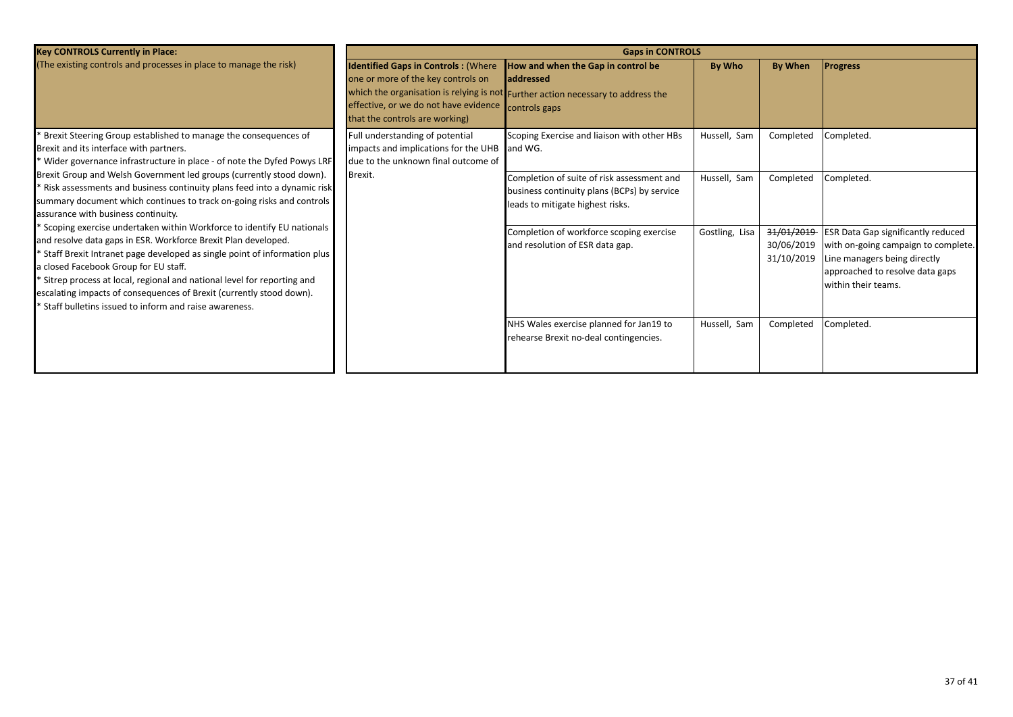| <b>Key CONTROLS Currently in Place:</b>                                                                                                                                                                                                                                                                                                                                                                                                                                         |                                                                                                                                                             | <b>Gaps in CONTROLS</b>                                                                                                                               |                |                                        |                                                                                                                                                                            |
|---------------------------------------------------------------------------------------------------------------------------------------------------------------------------------------------------------------------------------------------------------------------------------------------------------------------------------------------------------------------------------------------------------------------------------------------------------------------------------|-------------------------------------------------------------------------------------------------------------------------------------------------------------|-------------------------------------------------------------------------------------------------------------------------------------------------------|----------------|----------------------------------------|----------------------------------------------------------------------------------------------------------------------------------------------------------------------------|
| (The existing controls and processes in place to manage the risk)                                                                                                                                                                                                                                                                                                                                                                                                               | <b>Identified Gaps in Controls: (Where</b><br>one or more of the key controls on<br>effective, or we do not have evidence<br>that the controls are working) | How and when the Gap in control be<br>laddressed<br>which the organisation is relying is not Further action necessary to address the<br>controls gaps | By Who         | By When                                | <b>Progress</b>                                                                                                                                                            |
| Brexit Steering Group established to manage the consequences of<br>Brexit and its interface with partners.<br>* Wider governance infrastructure in place - of note the Dyfed Powys LRF                                                                                                                                                                                                                                                                                          | Full understanding of potential<br>impacts and implications for the UHB and WG.<br>due to the unknown final outcome of                                      | Scoping Exercise and liaison with other HBs                                                                                                           | Hussell, Sam   | Completed                              | Completed.                                                                                                                                                                 |
| Brexit Group and Welsh Government led groups (currently stood down).<br>Risk assessments and business continuity plans feed into a dynamic risk<br>summary document which continues to track on-going risks and controls<br>assurance with business continuity.                                                                                                                                                                                                                 | Brexit.                                                                                                                                                     | Completion of suite of risk assessment and<br>business continuity plans (BCPs) by service<br>leads to mitigate highest risks.                         | Hussell, Sam   | Completed                              | Completed.                                                                                                                                                                 |
| * Scoping exercise undertaken within Workforce to identify EU nationals<br>and resolve data gaps in ESR. Workforce Brexit Plan developed.<br>* Staff Brexit Intranet page developed as single point of information plus<br>a closed Facebook Group for EU staff.<br>* Sitrep process at local, regional and national level for reporting and<br>escalating impacts of consequences of Brexit (currently stood down).<br>* Staff bulletins issued to inform and raise awareness. |                                                                                                                                                             | Completion of workforce scoping exercise<br>and resolution of ESR data gap.                                                                           | Gostling, Lisa | 31/01/2019<br>30/06/2019<br>31/10/2019 | <b>ESR Data Gap significantly reduced</b><br>with on-going campaign to complete.<br>Line managers being directly<br>approached to resolve data gaps<br>within their teams. |
|                                                                                                                                                                                                                                                                                                                                                                                                                                                                                 |                                                                                                                                                             | NHS Wales exercise planned for Jan19 to<br>rehearse Brexit no-deal contingencies.                                                                     | Hussell, Sam   | Completed                              | Completed.                                                                                                                                                                 |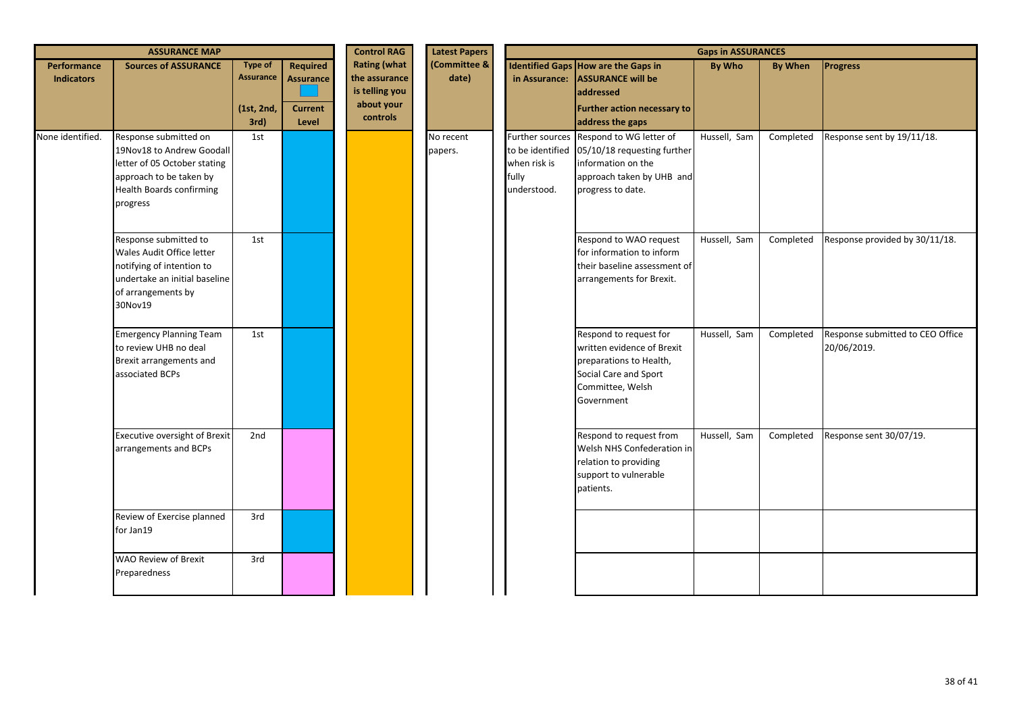|                                  | <b>ASSURANCE MAP</b>                                                                                                                                         |                                                          |                                                         | <b>Control RAG</b>                                                               | <b>Latest Papers</b>  | <b>Gaps in ASSURANCES</b>            |                                                                                                                                                                 |              |                |                                                 |
|----------------------------------|--------------------------------------------------------------------------------------------------------------------------------------------------------------|----------------------------------------------------------|---------------------------------------------------------|----------------------------------------------------------------------------------|-----------------------|--------------------------------------|-----------------------------------------------------------------------------------------------------------------------------------------------------------------|--------------|----------------|-------------------------------------------------|
| Performance<br><b>Indicators</b> | <b>Sources of ASSURANCE</b>                                                                                                                                  | <b>Type of</b><br><b>Assurance</b><br>(1st, 2nd,<br>3rd) | Required<br><b>Assurance</b><br><b>Current</b><br>Level | <b>Rating (what</b><br>the assurance<br>is telling you<br>about your<br>controls | (Committee &<br>date) |                                      | <b>Identified Gaps How are the Gaps in</b><br>in Assurance: ASSURANCE will be<br>addressed<br>Further action necessary to<br>address the gaps                   | By Who       | <b>By When</b> | <b>Progress</b>                                 |
| None identified.                 | Response submitted on<br>19Nov18 to Andrew Goodall<br>letter of 05 October stating<br>approach to be taken by<br><b>Health Boards confirming</b><br>progress | 1st                                                      |                                                         |                                                                                  | No recent<br>papers.  | when risk is<br>fully<br>understood. | Further sources Respond to WG letter of<br>to be identified 05/10/18 requesting further<br>information on the<br>approach taken by UHB and<br>progress to date. | Hussell, Sam | Completed      | Response sent by 19/11/18.                      |
|                                  | Response submitted to<br>Wales Audit Office letter<br>notifying of intention to<br>undertake an initial baseline<br>of arrangements by<br>30Nov19            | 1st                                                      |                                                         |                                                                                  |                       |                                      | Respond to WAO request<br>for information to inform<br>their baseline assessment of<br>arrangements for Brexit.                                                 | Hussell, Sam | Completed      | Response provided by 30/11/18.                  |
|                                  | <b>Emergency Planning Team</b><br>to review UHB no deal<br>Brexit arrangements and<br>associated BCPs                                                        | 1st                                                      |                                                         |                                                                                  |                       |                                      | Respond to request for<br>written evidence of Brexit<br>preparations to Health,<br>Social Care and Sport<br>Committee, Welsh<br>Government                      | Hussell, Sam | Completed      | Response submitted to CEO Office<br>20/06/2019. |
|                                  | Executive oversight of Brexit<br>arrangements and BCPs                                                                                                       | 2nd                                                      |                                                         |                                                                                  |                       |                                      | Respond to request from<br>Welsh NHS Confederation in<br>relation to providing<br>support to vulnerable<br>patients.                                            | Hussell, Sam | Completed      | Response sent 30/07/19.                         |
|                                  | Review of Exercise planned<br>for Jan19                                                                                                                      | 3rd                                                      |                                                         |                                                                                  |                       |                                      |                                                                                                                                                                 |              |                |                                                 |
|                                  | <b>WAO Review of Brexit</b><br>Preparedness                                                                                                                  | 3rd                                                      |                                                         |                                                                                  |                       |                                      |                                                                                                                                                                 |              |                |                                                 |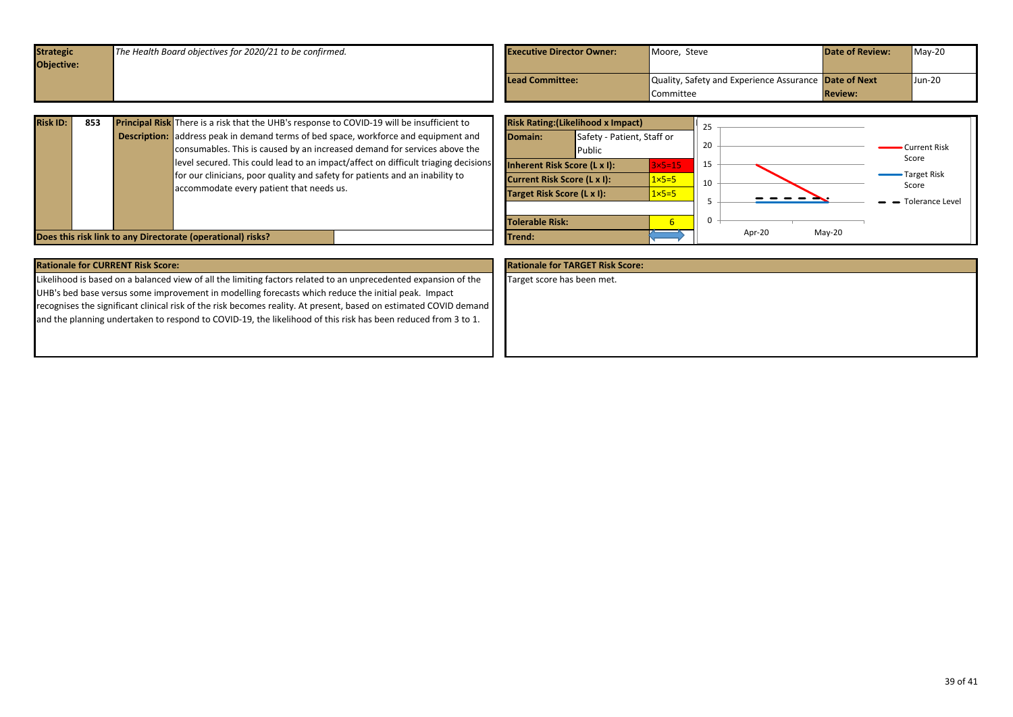<span id="page-38-0"></span>

| Objective:<br>Quality, Safety and Experience Assurance Date of Next<br><b>Lead Committee:</b> | $May-20$ |
|-----------------------------------------------------------------------------------------------|----------|
|                                                                                               |          |
|                                                                                               | Jun-20   |
| <b>Review:</b><br><b>Committee</b>                                                            |          |

| <b>Risk ID:</b> | 853 | Principal Risk There is a risk that the UHB's response to COVID-19 will be insufficient to                                                                                                                     | <b>Risk Rating: (Likelihood x Impact)</b>                                                                                                                                                                                        |  |
|-----------------|-----|----------------------------------------------------------------------------------------------------------------------------------------------------------------------------------------------------------------|----------------------------------------------------------------------------------------------------------------------------------------------------------------------------------------------------------------------------------|--|
|                 |     | <b>Description:</b> address peak in demand terms of bed space, workforce and equipment and<br>consumables. This is caused by an increased demand for services above the                                        | Safety - Patient, Staff or<br>Domain:<br>20<br>Current Risk<br>Public<br>Score                                                                                                                                                   |  |
|                 |     | level secured. This could lead to an impact/affect on difficult triaging decisions<br>for our clinicians, poor quality and safety for patients and an inability to<br>accommodate every patient that needs us. | 15<br>Inherent Risk Score (L x I):<br>$3\times 5=15$<br>-Target Risk<br>$1 \times 5 = 5$<br><b>Current Risk Score (L x I):</b><br>10<br>Score<br>$1 \times 5 = 5$<br>Target Risk Score (L x I):<br>$\rightarrow$ Tolerance Level |  |
|                 |     | Does this risk link to any Directorate (operational) risks?                                                                                                                                                    | <b>Tolerable Risk:</b><br>$Mav-20$<br>Apr-20<br><b>Trend:</b>                                                                                                                                                                    |  |

| <b>Rationale for CURRENT Risk Score:</b>                                                                          | <b>Rationale for TARGET Risk Score:</b> |
|-------------------------------------------------------------------------------------------------------------------|-----------------------------------------|
| Likelihood is based on a balanced view of all the limiting factors related to an unprecedented expansion of the   | Target score has been met.              |
| UHB's bed base versus some improvement in modelling forecasts which reduce the initial peak. Impact               |                                         |
| recognises the significant clinical risk of the risk becomes reality. At present, based on estimated COVID demand |                                         |
| and the planning undertaken to respond to COVID-19, the likelihood of this risk has been reduced from 3 to 1.     |                                         |
|                                                                                                                   |                                         |
|                                                                                                                   |                                         |
|                                                                                                                   |                                         |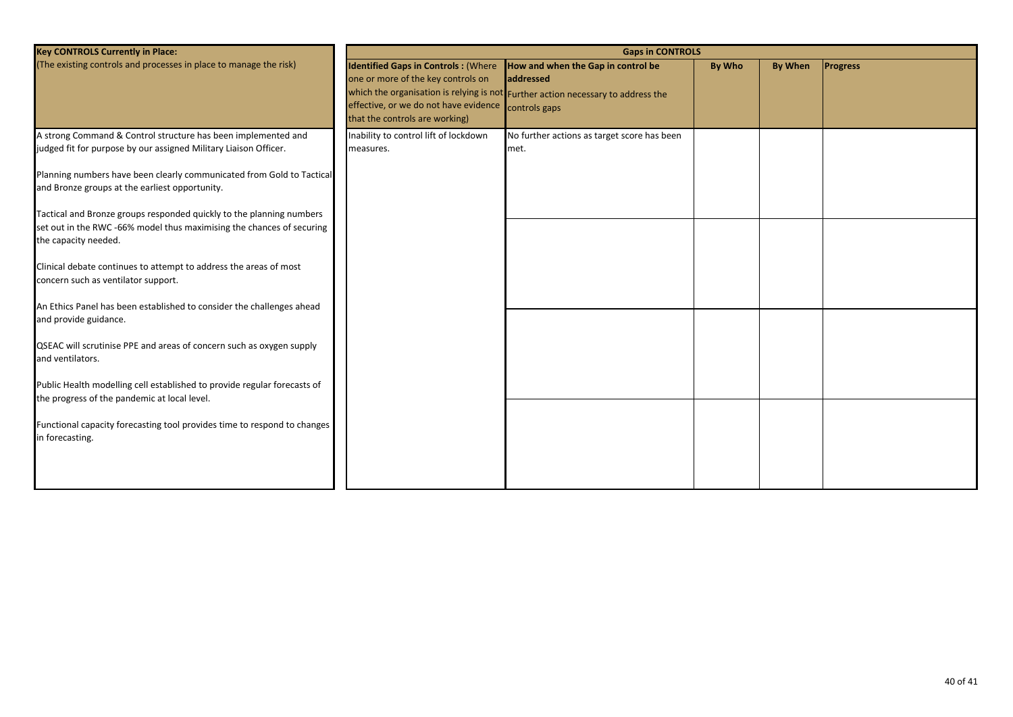| <b>Key CONTROLS Currently in Place:</b>                                                                                                                                                                    | <b>Gaps in CONTROLS</b>                                                                                                                                     |                                                                                                                                                      |        |                |                 |  |
|------------------------------------------------------------------------------------------------------------------------------------------------------------------------------------------------------------|-------------------------------------------------------------------------------------------------------------------------------------------------------------|------------------------------------------------------------------------------------------------------------------------------------------------------|--------|----------------|-----------------|--|
| (The existing controls and processes in place to manage the risk)                                                                                                                                          | <b>Identified Gaps in Controls: (Where</b><br>one or more of the key controls on<br>effective, or we do not have evidence<br>that the controls are working) | How and when the Gap in control be<br>addressed<br>which the organisation is relying is not Further action necessary to address the<br>controls gaps | By Who | <b>By When</b> | <b>Progress</b> |  |
| A strong Command & Control structure has been implemented and<br>judged fit for purpose by our assigned Military Liaison Officer.<br>Planning numbers have been clearly communicated from Gold to Tactical | Inability to control lift of lockdown<br>measures.                                                                                                          | No further actions as target score has been<br>met.                                                                                                  |        |                |                 |  |
| and Bronze groups at the earliest opportunity.                                                                                                                                                             |                                                                                                                                                             |                                                                                                                                                      |        |                |                 |  |
| Tactical and Bronze groups responded quickly to the planning numbers<br>set out in the RWC -66% model thus maximising the chances of securing<br>the capacity needed.                                      |                                                                                                                                                             |                                                                                                                                                      |        |                |                 |  |
| Clinical debate continues to attempt to address the areas of most<br>concern such as ventilator support.                                                                                                   |                                                                                                                                                             |                                                                                                                                                      |        |                |                 |  |
| An Ethics Panel has been established to consider the challenges ahead<br>and provide guidance.                                                                                                             |                                                                                                                                                             |                                                                                                                                                      |        |                |                 |  |
| QSEAC will scrutinise PPE and areas of concern such as oxygen supply<br>and ventilators.                                                                                                                   |                                                                                                                                                             |                                                                                                                                                      |        |                |                 |  |
| Public Health modelling cell established to provide regular forecasts of<br>the progress of the pandemic at local level.                                                                                   |                                                                                                                                                             |                                                                                                                                                      |        |                |                 |  |
| Functional capacity forecasting tool provides time to respond to changes<br>in forecasting.                                                                                                                |                                                                                                                                                             |                                                                                                                                                      |        |                |                 |  |